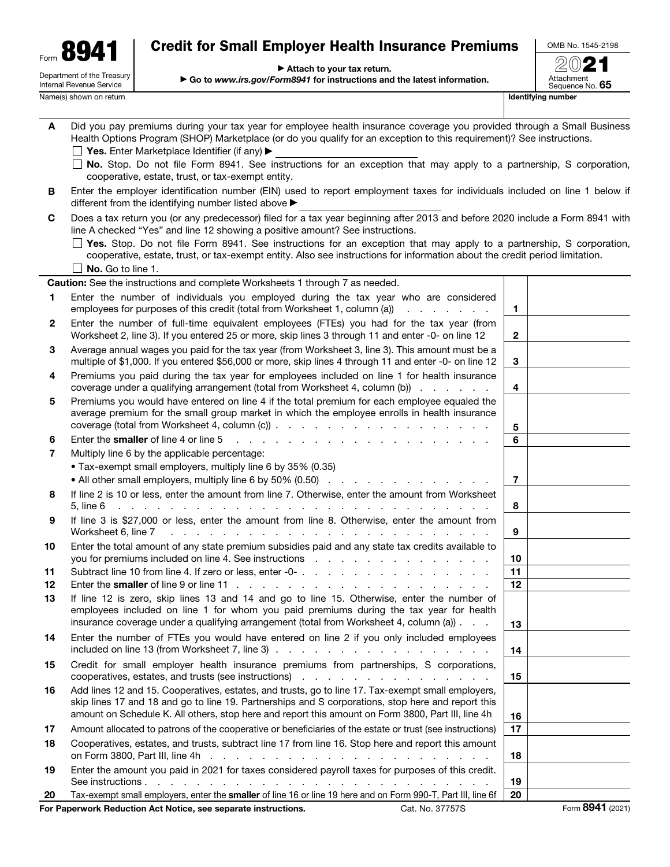| Form |                                                               |
|------|---------------------------------------------------------------|
|      | Department of the Treasury<br><b>Internal Revenue Service</b> |

# Credit for Small Employer Health Insurance Premiums

▶ Attach to your tax return.

▶ Go to *www.irs.gov/Form8941* for instructions and the latest information.

OMB No. 1545-2198 2021

Attachment<br>Sequence No. **65** Name(s) shown on return **IDENTIFY** Name(s) shown on return **IDENTIFY** Name(s) shown on return **IDENTIFYing number** 

| A  | Did you pay premiums during your tax year for employee health insurance coverage you provided through a Small Business<br>Health Options Program (SHOP) Marketplace (or do you qualify for an exception to this requirement)? See instructions.<br><b>Yes.</b> Enter Marketplace Identifier (if any) $\blacktriangleright$          |    |  |
|----|-------------------------------------------------------------------------------------------------------------------------------------------------------------------------------------------------------------------------------------------------------------------------------------------------------------------------------------|----|--|
|    | □ No. Stop. Do not file Form 8941. See instructions for an exception that may apply to a partnership, S corporation,<br>cooperative, estate, trust, or tax-exempt entity.                                                                                                                                                           |    |  |
| в  | Enter the employer identification number (EIN) used to report employment taxes for individuals included on line 1 below if<br>different from the identifying number listed above ▶                                                                                                                                                  |    |  |
| C  | Does a tax return you (or any predecessor) filed for a tax year beginning after 2013 and before 2020 include a Form 8941 with<br>line A checked "Yes" and line 12 showing a positive amount? See instructions.                                                                                                                      |    |  |
|    | $\Box$ Yes. Stop. Do not file Form 8941. See instructions for an exception that may apply to a partnership, S corporation,<br>cooperative, estate, trust, or tax-exempt entity. Also see instructions for information about the credit period limitation.                                                                           |    |  |
|    | No. Go to line 1.                                                                                                                                                                                                                                                                                                                   |    |  |
|    | <b>Caution:</b> See the instructions and complete Worksheets 1 through 7 as needed.                                                                                                                                                                                                                                                 |    |  |
| 1. | Enter the number of individuals you employed during the tax year who are considered<br>employees for purposes of this credit (total from Worksheet 1, column (a))<br>and the contract of the                                                                                                                                        | 1  |  |
| 2  | Enter the number of full-time equivalent employees (FTEs) you had for the tax year (from<br>Worksheet 2, line 3). If you entered 25 or more, skip lines 3 through 11 and enter -0- on line 12                                                                                                                                       | 2  |  |
| 3  | Average annual wages you paid for the tax year (from Worksheet 3, line 3). This amount must be a<br>multiple of \$1,000. If you entered \$56,000 or more, skip lines 4 through 11 and enter -0- on line 12                                                                                                                          | 3  |  |
| 4  | Premiums you paid during the tax year for employees included on line 1 for health insurance<br>coverage under a qualifying arrangement (total from Worksheet 4, column (b))                                                                                                                                                         | 4  |  |
| 5  | Premiums you would have entered on line 4 if the total premium for each employee equaled the<br>average premium for the small group market in which the employee enrolls in health insurance                                                                                                                                        |    |  |
|    |                                                                                                                                                                                                                                                                                                                                     | 5  |  |
| 6  | Enter the smaller of line 4 or line 5<br>and a complete state of the complete state of the state of the state of the state of the state of the state of                                                                                                                                                                             | 6  |  |
| 7  | Multiply line 6 by the applicable percentage:                                                                                                                                                                                                                                                                                       |    |  |
|    | • Tax-exempt small employers, multiply line 6 by 35% (0.35)                                                                                                                                                                                                                                                                         |    |  |
|    | • All other small employers, multiply line 6 by 50% (0.50)                                                                                                                                                                                                                                                                          | 7  |  |
| 8  | If line 2 is 10 or less, enter the amount from line 7. Otherwise, enter the amount from Worksheet<br>5. line 6<br>and the contract of the contract of the contract of the contract of the contract of                                                                                                                               | 8  |  |
| 9  | If line 3 is \$27,000 or less, enter the amount from line 8. Otherwise, enter the amount from<br>Worksheet 6, line 7<br>the contract of the contract of the contract of the contract of the contract of                                                                                                                             | 9  |  |
| 10 | Enter the total amount of any state premium subsidies paid and any state tax credits available to<br>you for premiums included on line 4. See instructions enterstanding to the entertainment of the set of the set of the set of the set of the set of the set of the set of the set of the set of the set of the set of the set o | 10 |  |
| 11 |                                                                                                                                                                                                                                                                                                                                     | 11 |  |
| 12 |                                                                                                                                                                                                                                                                                                                                     | 12 |  |
| 13 | If line 12 is zero, skip lines 13 and 14 and go to line 15. Otherwise, enter the number of<br>employees included on line 1 for whom you paid premiums during the tax year for health                                                                                                                                                |    |  |
|    | insurance coverage under a qualifying arrangement (total from Worksheet 4, column (a)).                                                                                                                                                                                                                                             | 13 |  |
| 14 | Enter the number of FTEs you would have entered on line 2 if you only included employees<br>included on line 13 (from Worksheet 7, line 3) $\ldots$ $\ldots$ $\ldots$ $\ldots$ $\ldots$ $\ldots$ $\ldots$                                                                                                                           | 14 |  |
| 15 | Credit for small employer health insurance premiums from partnerships, S corporations,                                                                                                                                                                                                                                              | 15 |  |
| 16 | Add lines 12 and 15. Cooperatives, estates, and trusts, go to line 17. Tax-exempt small employers,<br>skip lines 17 and 18 and go to line 19. Partnerships and S corporations, stop here and report this<br>amount on Schedule K. All others, stop here and report this amount on Form 3800, Part III, line 4h                      | 16 |  |
| 17 | Amount allocated to patrons of the cooperative or beneficiaries of the estate or trust (see instructions)                                                                                                                                                                                                                           | 17 |  |
| 18 | Cooperatives, estates, and trusts, subtract line 17 from line 16. Stop here and report this amount                                                                                                                                                                                                                                  | 18 |  |
| 19 | Enter the amount you paid in 2021 for taxes considered payroll taxes for purposes of this credit.                                                                                                                                                                                                                                   | 19 |  |
| 20 | Tax-exempt small employers, enter the smaller of line 16 or line 19 here and on Form 990-T, Part III, line 6f                                                                                                                                                                                                                       | 20 |  |
|    |                                                                                                                                                                                                                                                                                                                                     |    |  |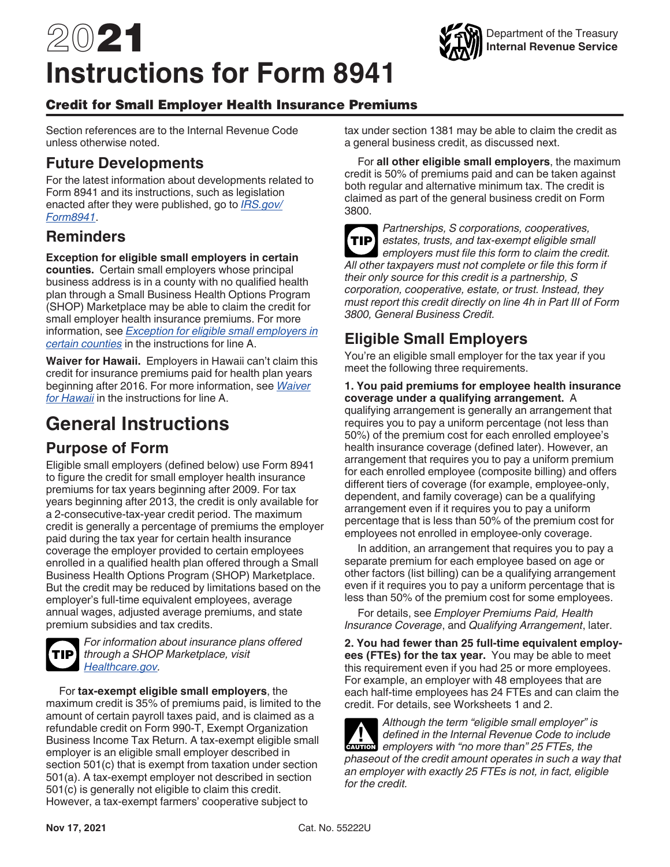# 2021 **Instructions for Form 8941**



### Credit for Small Employer Health Insurance Premiums

Section references are to the Internal Revenue Code unless otherwise noted.

### **Future Developments**

For the latest information about developments related to Form 8941 and its instructions, such as legislation enacted after they were published, go to *[IRS.gov/](https://www.irs.gov/form8941) [Form8941](https://www.irs.gov/form8941)*.

### **Reminders**

**Exception for eligible small employers in certain** 

**counties.** Certain small employers whose principal business address is in a county with no qualified health plan through a Small Business Health Options Program (SHOP) Marketplace may be able to claim the credit for small employer health insurance premiums. For more information, see *Exception for eligible small employers in certain counties* in the instructions for line A.

**Waiver for Hawaii.** Employers in Hawaii can't claim this credit for insurance premiums paid for health plan years beginning after 2016. For more information, see *Waiver for Hawaii* in the instructions for line A.

# **General Instructions**

# **Purpose of Form**

Eligible small employers (defined below) use Form 8941 to figure the credit for small employer health insurance premiums for tax years beginning after 2009. For tax years beginning after 2013, the credit is only available for a 2-consecutive-tax-year credit period. The maximum credit is generally a percentage of premiums the employer paid during the tax year for certain health insurance coverage the employer provided to certain employees enrolled in a qualified health plan offered through a Small Business Health Options Program (SHOP) Marketplace. But the credit may be reduced by limitations based on the employer's full-time equivalent employees, average annual wages, adjusted average premiums, and state premium subsidies and tax credits.



*For information about insurance plans offered through a SHOP Marketplace, visit [Healthcare.gov.](https://www.healthcare.gov/small-businesses/)*

For **tax-exempt eligible small employers**, the maximum credit is 35% of premiums paid, is limited to the amount of certain payroll taxes paid, and is claimed as a refundable credit on Form 990-T, Exempt Organization Business Income Tax Return. A tax-exempt eligible small employer is an eligible small employer described in section 501(c) that is exempt from taxation under section 501(a). A tax-exempt employer not described in section 501(c) is generally not eligible to claim this credit. However, a tax-exempt farmers' cooperative subject to

tax under section 1381 may be able to claim the credit as a general business credit, as discussed next.

For **all other eligible small employers**, the maximum credit is 50% of premiums paid and can be taken against both regular and alternative minimum tax. The credit is claimed as part of the general business credit on Form 3800.

*Partnerships, S corporations, cooperatives, estates, trusts, and tax-exempt eligible small*  **TIP** *employers must file this form to claim the credit. All other taxpayers must not complete or file this form if their only source for this credit is a partnership, S corporation, cooperative, estate, or trust. Instead, they must report this credit directly on line 4h in Part III of Form 3800, General Business Credit.*

# **Eligible Small Employers**

You're an eligible small employer for the tax year if you meet the following three requirements.

#### **1. You paid premiums for employee health insurance coverage under a qualifying arrangement.** A

qualifying arrangement is generally an arrangement that requires you to pay a uniform percentage (not less than 50%) of the premium cost for each enrolled employee's health insurance coverage (defined later). However, an arrangement that requires you to pay a uniform premium for each enrolled employee (composite billing) and offers different tiers of coverage (for example, employee-only, dependent, and family coverage) can be a qualifying arrangement even if it requires you to pay a uniform percentage that is less than 50% of the premium cost for employees not enrolled in employee-only coverage.

In addition, an arrangement that requires you to pay a separate premium for each employee based on age or other factors (list billing) can be a qualifying arrangement even if it requires you to pay a uniform percentage that is less than 50% of the premium cost for some employees.

For details, see *Employer Premiums Paid, Health Insurance Coverage*, and *Qualifying Arrangement*, later.

**2. You had fewer than 25 full-time equivalent employees (FTEs) for the tax year.** You may be able to meet this requirement even if you had 25 or more employees. For example, an employer with 48 employees that are each half-time employees has 24 FTEs and can claim the credit. For details, see Worksheets 1 and 2.

*Although the term "eligible small employer" is defined in the Internal Revenue Code to include*  defined in the Internal Revenue Code to inclusion employers with "no more than" 25 FTEs, the *phaseout of the credit amount operates in such a way that an employer with exactly 25 FTEs is not, in fact, eligible for the credit.*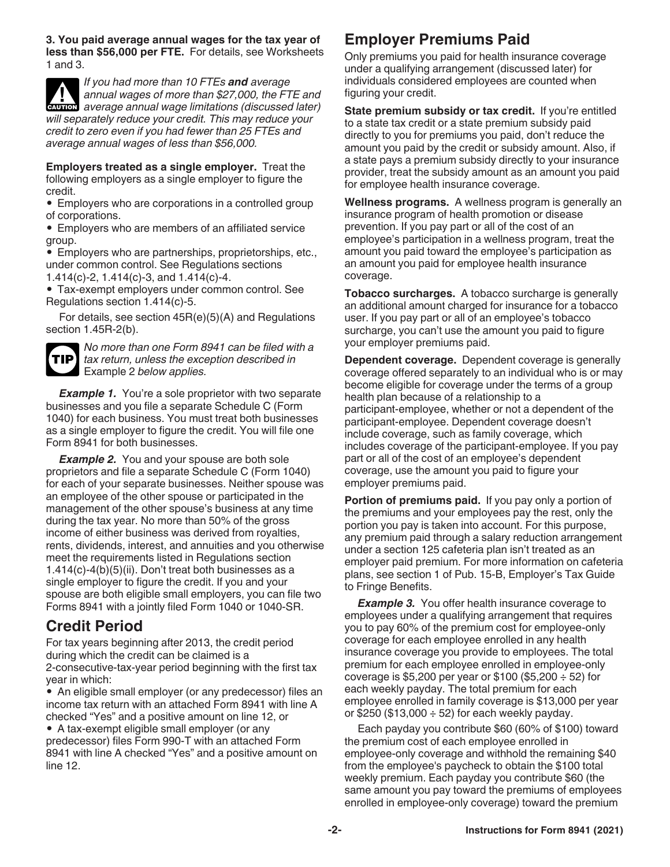**3. You paid average annual wages for the tax year of less than \$56,000 per FTE.** For details, see Worksheets 1 and 3.

*If you had more than 10 FTEs and average annual wages of more than \$27,000, the FTE and*  **z** annual wages of more than \$27,000, the FTE and average annual wage limitations (discussed later) *will separately reduce your credit. This may reduce your credit to zero even if you had fewer than 25 FTEs and average annual wages of less than \$56,000.*

**Employers treated as a single employer.** Treat the following employers as a single employer to figure the credit.

• Employers who are corporations in a controlled group of corporations.

• Employers who are members of an affiliated service group.

• Employers who are partnerships, proprietorships, etc., under common control. See Regulations sections 1.414(c)-2, 1.414(c)-3, and 1.414(c)-4.

• Tax-exempt employers under common control. See Regulations section 1.414(c)-5.

For details, see section 45R(e)(5)(A) and Regulations section 1.45R-2(b).



*No more than one Form 8941 can be filed with a tax return, unless the exception described in*  Example 2 *below applies.*

*Example 1.* You're a sole proprietor with two separate businesses and you file a separate Schedule C (Form 1040) for each business. You must treat both businesses as a single employer to figure the credit. You will file one Form 8941 for both businesses.

**Example 2.** You and your spouse are both sole proprietors and file a separate Schedule C (Form 1040) for each of your separate businesses. Neither spouse was an employee of the other spouse or participated in the management of the other spouse's business at any time during the tax year. No more than 50% of the gross income of either business was derived from royalties, rents, dividends, interest, and annuities and you otherwise meet the requirements listed in Regulations section 1.414(c)-4(b)(5)(ii). Don't treat both businesses as a single employer to figure the credit. If you and your spouse are both eligible small employers, you can file two Forms 8941 with a jointly filed Form 1040 or 1040-SR.

### **Credit Period**

For tax years beginning after 2013, the credit period during which the credit can be claimed is a 2-consecutive-tax-year period beginning with the first tax year in which:

• An eligible small employer (or any predecessor) files an income tax return with an attached Form 8941 with line A checked "Yes" and a positive amount on line 12, or

• A tax-exempt eligible small employer (or any predecessor) files Form 990-T with an attached Form 8941 with line A checked "Yes" and a positive amount on line 12.

# **Employer Premiums Paid**

Only premiums you paid for health insurance coverage under a qualifying arrangement (discussed later) for individuals considered employees are counted when figuring your credit.

**State premium subsidy or tax credit.** If you're entitled to a state tax credit or a state premium subsidy paid directly to you for premiums you paid, don't reduce the amount you paid by the credit or subsidy amount. Also, if a state pays a premium subsidy directly to your insurance provider, treat the subsidy amount as an amount you paid for employee health insurance coverage.

**Wellness programs.** A wellness program is generally an insurance program of health promotion or disease prevention. If you pay part or all of the cost of an employee's participation in a wellness program, treat the amount you paid toward the employee's participation as an amount you paid for employee health insurance coverage.

**Tobacco surcharges.** A tobacco surcharge is generally an additional amount charged for insurance for a tobacco user. If you pay part or all of an employee's tobacco surcharge, you can't use the amount you paid to figure your employer premiums paid.

**Dependent coverage.** Dependent coverage is generally coverage offered separately to an individual who is or may become eligible for coverage under the terms of a group health plan because of a relationship to a participant-employee, whether or not a dependent of the participant-employee. Dependent coverage doesn't include coverage, such as family coverage, which includes coverage of the participant-employee. If you pay part or all of the cost of an employee's dependent coverage, use the amount you paid to figure your employer premiums paid.

**Portion of premiums paid.** If you pay only a portion of the premiums and your employees pay the rest, only the portion you pay is taken into account. For this purpose, any premium paid through a salary reduction arrangement under a section 125 cafeteria plan isn't treated as an employer paid premium. For more information on cafeteria plans, see section 1 of Pub. 15-B, Employer's Tax Guide to Fringe Benefits.

**Example 3.** You offer health insurance coverage to employees under a qualifying arrangement that requires you to pay 60% of the premium cost for employee-only coverage for each employee enrolled in any health insurance coverage you provide to employees. The total premium for each employee enrolled in employee-only coverage is \$5,200 per year or \$100 (\$5,200  $\div$  52) for each weekly payday. The total premium for each employee enrolled in family coverage is \$13,000 per year or \$250 (\$13,000  $\div$  52) for each weekly payday.

Each payday you contribute \$60 (60% of \$100) toward the premium cost of each employee enrolled in employee-only coverage and withhold the remaining \$40 from the employee's paycheck to obtain the \$100 total weekly premium. Each payday you contribute \$60 (the same amount you pay toward the premiums of employees enrolled in employee-only coverage) toward the premium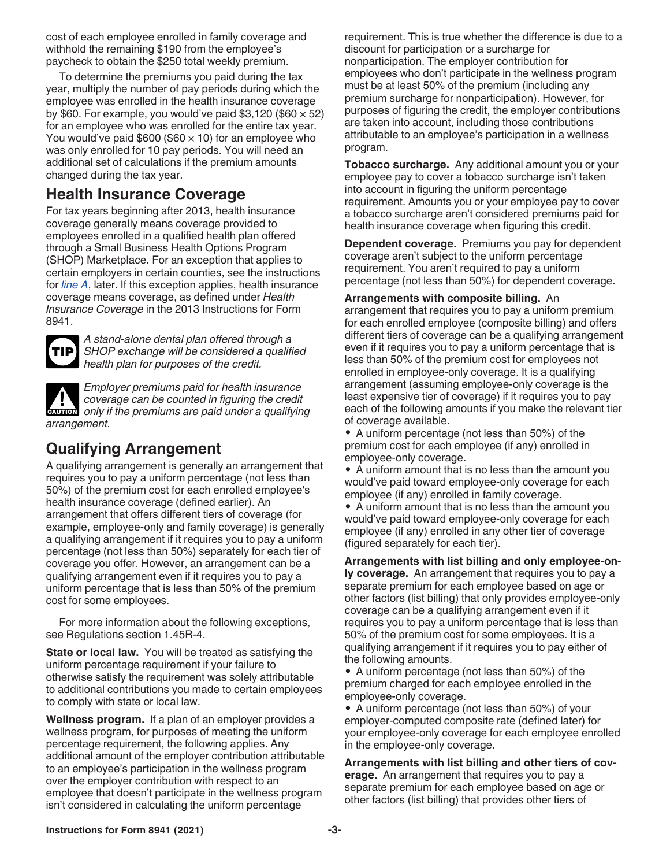cost of each employee enrolled in family coverage and withhold the remaining \$190 from the employee's paycheck to obtain the \$250 total weekly premium.

To determine the premiums you paid during the tax year, multiply the number of pay periods during which the employee was enrolled in the health insurance coverage by \$60. For example, you would've paid \$3,120 (\$60  $\times$  52) for an employee who was enrolled for the entire tax year. You would've paid \$600 (\$60  $\times$  10) for an employee who was only enrolled for 10 pay periods. You will need an additional set of calculations if the premium amounts changed during the tax year.

### **Health Insurance Coverage**

For tax years beginning after 2013, health insurance coverage generally means coverage provided to employees enrolled in a qualified health plan offered through a Small Business Health Options Program (SHOP) Marketplace. For an exception that applies to certain employers in certain counties, see the instructions for *line A*, later. If this exception applies, health insurance coverage means coverage, as defined under *Health Insurance Coverage* in the 2013 Instructions for Form 8941.



*A stand-alone dental plan offered through a SHOP exchange will be considered a qualified health plan for purposes of the credit.*

*Employer premiums paid for health insurance coverage can be counted in figuring the credit*  **COVERGE CALLET COVERGE CALLET AND COVERGE CALLET COVERGE CALLET CAUTION Only if the premiums are paid under a qualifying** *arrangement.*

# **Qualifying Arrangement**

A qualifying arrangement is generally an arrangement that requires you to pay a uniform percentage (not less than 50%) of the premium cost for each enrolled employee's health insurance coverage (defined earlier). An arrangement that offers different tiers of coverage (for example, employee-only and family coverage) is generally a qualifying arrangement if it requires you to pay a uniform percentage (not less than 50%) separately for each tier of coverage you offer. However, an arrangement can be a qualifying arrangement even if it requires you to pay a uniform percentage that is less than 50% of the premium cost for some employees.

For more information about the following exceptions, see Regulations section 1.45R-4.

**State or local law.** You will be treated as satisfying the uniform percentage requirement if your failure to otherwise satisfy the requirement was solely attributable to additional contributions you made to certain employees to comply with state or local law.

**Wellness program.** If a plan of an employer provides a wellness program, for purposes of meeting the uniform percentage requirement, the following applies. Any additional amount of the employer contribution attributable to an employee's participation in the wellness program over the employer contribution with respect to an employee that doesn't participate in the wellness program isn't considered in calculating the uniform percentage

requirement. This is true whether the difference is due to a discount for participation or a surcharge for nonparticipation. The employer contribution for employees who don't participate in the wellness program must be at least 50% of the premium (including any premium surcharge for nonparticipation). However, for purposes of figuring the credit, the employer contributions are taken into account, including those contributions attributable to an employee's participation in a wellness program.

**Tobacco surcharge.** Any additional amount you or your employee pay to cover a tobacco surcharge isn't taken into account in figuring the uniform percentage requirement. Amounts you or your employee pay to cover a tobacco surcharge aren't considered premiums paid for health insurance coverage when figuring this credit.

**Dependent coverage.** Premiums you pay for dependent coverage aren't subject to the uniform percentage requirement. You aren't required to pay a uniform percentage (not less than 50%) for dependent coverage.

**Arrangements with composite billing.** An arrangement that requires you to pay a uniform premium for each enrolled employee (composite billing) and offers different tiers of coverage can be a qualifying arrangement even if it requires you to pay a uniform percentage that is less than 50% of the premium cost for employees not enrolled in employee-only coverage. It is a qualifying arrangement (assuming employee-only coverage is the least expensive tier of coverage) if it requires you to pay each of the following amounts if you make the relevant tier of coverage available.

• A uniform percentage (not less than 50%) of the premium cost for each employee (if any) enrolled in employee-only coverage.

• A uniform amount that is no less than the amount you would've paid toward employee-only coverage for each employee (if any) enrolled in family coverage.

• A uniform amount that is no less than the amount you would've paid toward employee-only coverage for each employee (if any) enrolled in any other tier of coverage (figured separately for each tier).

**Arrangements with list billing and only employee-only coverage.** An arrangement that requires you to pay a separate premium for each employee based on age or other factors (list billing) that only provides employee-only coverage can be a qualifying arrangement even if it requires you to pay a uniform percentage that is less than 50% of the premium cost for some employees. It is a qualifying arrangement if it requires you to pay either of the following amounts.

• A uniform percentage (not less than 50%) of the premium charged for each employee enrolled in the employee-only coverage.

• A uniform percentage (not less than 50%) of your employer-computed composite rate (defined later) for your employee-only coverage for each employee enrolled in the employee-only coverage.

**Arrangements with list billing and other tiers of coverage.** An arrangement that requires you to pay a separate premium for each employee based on age or other factors (list billing) that provides other tiers of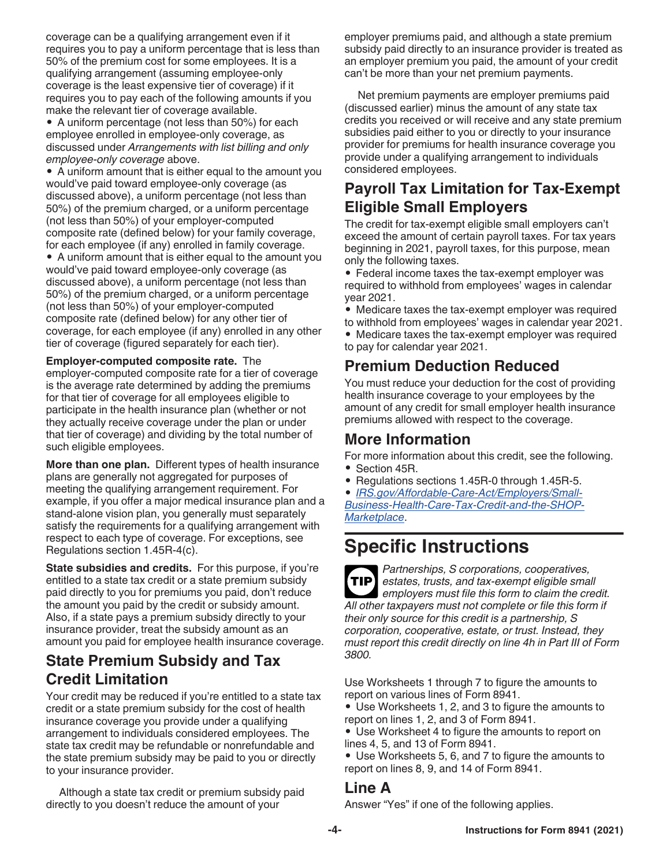coverage can be a qualifying arrangement even if it requires you to pay a uniform percentage that is less than 50% of the premium cost for some employees. It is a qualifying arrangement (assuming employee-only coverage is the least expensive tier of coverage) if it requires you to pay each of the following amounts if you make the relevant tier of coverage available.

• A uniform percentage (not less than 50%) for each employee enrolled in employee-only coverage, as discussed under *Arrangements with list billing and only employee-only coverage* above.

• A uniform amount that is either equal to the amount you would've paid toward employee-only coverage (as discussed above), a uniform percentage (not less than 50%) of the premium charged, or a uniform percentage (not less than 50%) of your employer-computed composite rate (defined below) for your family coverage, for each employee (if any) enrolled in family coverage.

• A uniform amount that is either equal to the amount you would've paid toward employee-only coverage (as discussed above), a uniform percentage (not less than 50%) of the premium charged, or a uniform percentage (not less than 50%) of your employer-computed composite rate (defined below) for any other tier of coverage, for each employee (if any) enrolled in any other tier of coverage (figured separately for each tier).

#### **Employer-computed composite rate.** The

employer-computed composite rate for a tier of coverage is the average rate determined by adding the premiums for that tier of coverage for all employees eligible to participate in the health insurance plan (whether or not they actually receive coverage under the plan or under that tier of coverage) and dividing by the total number of such eligible employees.

**More than one plan.** Different types of health insurance plans are generally not aggregated for purposes of meeting the qualifying arrangement requirement. For example, if you offer a major medical insurance plan and a stand-alone vision plan, you generally must separately satisfy the requirements for a qualifying arrangement with respect to each type of coverage. For exceptions, see Regulations section 1.45R-4(c).

**State subsidies and credits.** For this purpose, if you're entitled to a state tax credit or a state premium subsidy paid directly to you for premiums you paid, don't reduce the amount you paid by the credit or subsidy amount. Also, if a state pays a premium subsidy directly to your insurance provider, treat the subsidy amount as an amount you paid for employee health insurance coverage.

### **State Premium Subsidy and Tax Credit Limitation**

Your credit may be reduced if you're entitled to a state tax credit or a state premium subsidy for the cost of health insurance coverage you provide under a qualifying arrangement to individuals considered employees. The state tax credit may be refundable or nonrefundable and the state premium subsidy may be paid to you or directly to your insurance provider.

Although a state tax credit or premium subsidy paid directly to you doesn't reduce the amount of your

employer premiums paid, and although a state premium subsidy paid directly to an insurance provider is treated as an employer premium you paid, the amount of your credit can't be more than your net premium payments.

Net premium payments are employer premiums paid (discussed earlier) minus the amount of any state tax credits you received or will receive and any state premium subsidies paid either to you or directly to your insurance provider for premiums for health insurance coverage you provide under a qualifying arrangement to individuals considered employees.

# **Payroll Tax Limitation for Tax-Exempt Eligible Small Employers**

The credit for tax-exempt eligible small employers can't exceed the amount of certain payroll taxes. For tax years beginning in 2021, payroll taxes, for this purpose, mean only the following taxes.

• Federal income taxes the tax-exempt employer was required to withhold from employees' wages in calendar year 2021.

- Medicare taxes the tax-exempt employer was required
- to withhold from employees' wages in calendar year 2021. • Medicare taxes the tax-exempt employer was required

to pay for calendar year 2021.

### **Premium Deduction Reduced**

You must reduce your deduction for the cost of providing health insurance coverage to your employees by the amount of any credit for small employer health insurance premiums allowed with respect to the coverage.

### **More Information**

For more information about this credit, see the following. • Section 45R.

- Regulations sections 1.45R-0 through 1.45R-5.
- *[IRS.gov/Affordable-Care-Act/Employers/Small-](https://www.irs.gov/Affordable-Care-Act/Employers/Small-Business-Health-Care-Tax-Credit-and-the-SHOP-Marketplace)*

*[Business-Health-Care-Tax-Credit-and-the-SHOP-](https://www.irs.gov/Affordable-Care-Act/Employers/Small-Business-Health-Care-Tax-Credit-and-the-SHOP-Marketplace)[Marketplace](https://www.irs.gov/Affordable-Care-Act/Employers/Small-Business-Health-Care-Tax-Credit-and-the-SHOP-Marketplace)*.

# **Specific Instructions**

*Partnerships, S corporations, cooperatives, estates, trusts, and tax-exempt eligible small employers must file this form to claim the credit. All other taxpayers must not complete or file this form if their only source for this credit is a partnership, S corporation, cooperative, estate, or trust. Instead, they must report this credit directly on line 4h in Part III of Form 3800.* **TIP**

Use Worksheets 1 through 7 to figure the amounts to report on various lines of Form 8941.

• Use Worksheets 1, 2, and 3 to figure the amounts to report on lines 1, 2, and 3 of Form 8941.

• Use Worksheet 4 to figure the amounts to report on lines 4, 5, and 13 of Form 8941.

• Use Worksheets 5, 6, and 7 to figure the amounts to report on lines 8, 9, and 14 of Form 8941.

### **Line A**

Answer "Yes" if one of the following applies.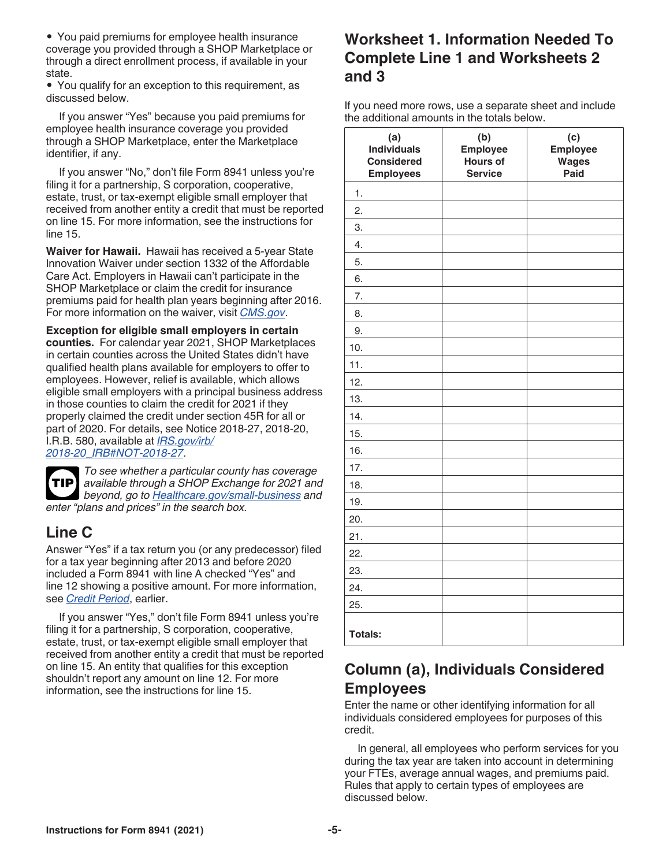• You paid premiums for employee health insurance coverage you provided through a SHOP Marketplace or through a direct enrollment process, if available in your state.

• You qualify for an exception to this requirement, as discussed below.

If you answer "Yes" because you paid premiums for employee health insurance coverage you provided through a SHOP Marketplace, enter the Marketplace identifier, if any.

If you answer "No," don't file Form 8941 unless you're filing it for a partnership, S corporation, cooperative, estate, trust, or tax-exempt eligible small employer that received from another entity a credit that must be reported on line 15. For more information, see the instructions for line 15.

**Waiver for Hawaii.** Hawaii has received a 5-year State Innovation Waiver under section 1332 of the Affordable Care Act. Employers in Hawaii can't participate in the SHOP Marketplace or claim the credit for insurance premiums paid for health plan years beginning after 2016. For more information on the waiver, visit *[CMS.gov](https://www.cms.gov/)*.

**Exception for eligible small employers in certain counties.** For calendar year 2021, SHOP Marketplaces in certain counties across the United States didn't have qualified health plans available for employers to offer to employees. However, relief is available, which allows eligible small employers with a principal business address in those counties to claim the credit for 2021 if they properly claimed the credit under section 45R for all or part of 2020. For details, see Notice 2018-27, 2018-20, I.R.B. 580, available at *[IRS.gov/irb/](https://www.irs.gov/irb/2018-20_IRB#NOT-2018-27) [2018-20\\_IRB#NOT-2018-27](https://www.irs.gov/irb/2018-20_IRB#NOT-2018-27)*.

*To see whether a particular county has coverage available through a SHOP Exchange for 2021 and*  **TIP** *beyond, go to [Healthcare.gov/small-business](https://www.healthcare.gov/small-businesses/) and enter "plans and prices" in the search box.*

# **Line C**

Answer "Yes" if a tax return you (or any predecessor) filed for a tax year beginning after 2013 and before 2020 included a Form 8941 with line A checked "Yes" and line 12 showing a positive amount. For more information, see *Credit Period*, earlier.

If you answer "Yes," don't file Form 8941 unless you're filing it for a partnership, S corporation, cooperative, estate, trust, or tax-exempt eligible small employer that received from another entity a credit that must be reported on line 15. An entity that qualifies for this exception shouldn't report any amount on line 12. For more information, see the instructions for line 15.

# **Worksheet 1. Information Needed To Complete Line 1 and Worksheets 2 and 3**

If you need more rows, use a separate sheet and include the additional amounts in the totals below.

| (a)<br><b>Individuals</b><br><b>Considered</b><br><b>Employees</b> | (b)<br><b>Employee</b><br>Hours of<br><b>Service</b> | (c)<br><b>Employee</b><br><b>Wages</b><br>Paid |
|--------------------------------------------------------------------|------------------------------------------------------|------------------------------------------------|
| $\mathbf{1}$ .                                                     |                                                      |                                                |
| $\overline{2}$ .                                                   |                                                      |                                                |
| 3.                                                                 |                                                      |                                                |
| 4.                                                                 |                                                      |                                                |
| 5.                                                                 |                                                      |                                                |
| 6.                                                                 |                                                      |                                                |
| 7.                                                                 |                                                      |                                                |
| 8.                                                                 |                                                      |                                                |
| 9.                                                                 |                                                      |                                                |
| 10.                                                                |                                                      |                                                |
| 11.                                                                |                                                      |                                                |
| 12.                                                                |                                                      |                                                |
| 13.                                                                |                                                      |                                                |
| 14.                                                                |                                                      |                                                |
| 15.                                                                |                                                      |                                                |
| 16.                                                                |                                                      |                                                |
| 17.                                                                |                                                      |                                                |
| 18.                                                                |                                                      |                                                |
| 19.                                                                |                                                      |                                                |
| 20.                                                                |                                                      |                                                |
| 21.                                                                |                                                      |                                                |
| 22.                                                                |                                                      |                                                |
| 23.                                                                |                                                      |                                                |
| 24.                                                                |                                                      |                                                |
| 25.                                                                |                                                      |                                                |
| <b>Totals:</b>                                                     |                                                      |                                                |

### **Column (a), Individuals Considered Employees**

Enter the name or other identifying information for all individuals considered employees for purposes of this credit.

In general, all employees who perform services for you during the tax year are taken into account in determining your FTEs, average annual wages, and premiums paid. Rules that apply to certain types of employees are discussed below.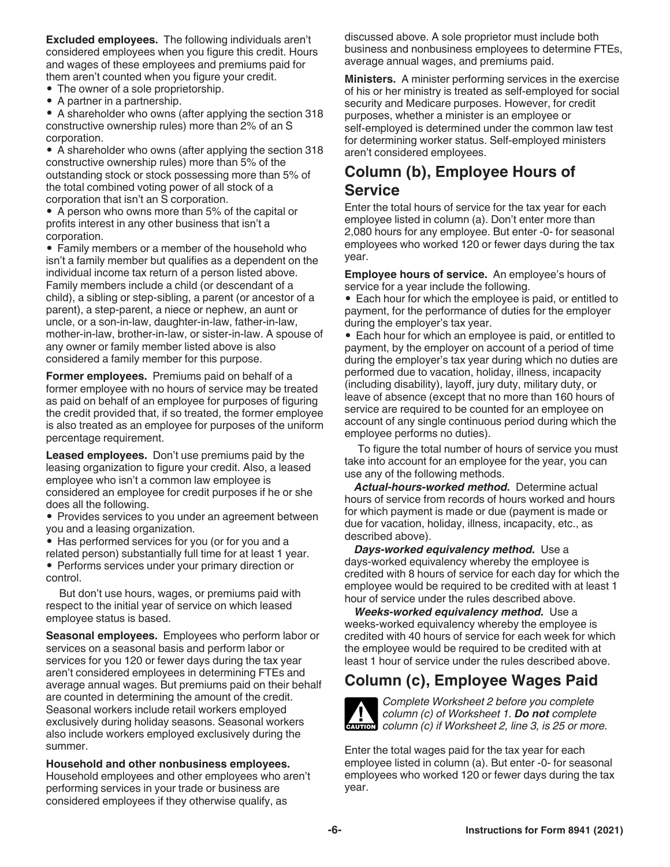**Excluded employees.** The following individuals aren't considered employees when you figure this credit. Hours and wages of these employees and premiums paid for them aren't counted when you figure your credit.

- The owner of a sole proprietorship.
- A partner in a partnership.

• A shareholder who owns (after applying the section 318 constructive ownership rules) more than 2% of an S corporation.

• A shareholder who owns (after applying the section 318 constructive ownership rules) more than 5% of the outstanding stock or stock possessing more than 5% of the total combined voting power of all stock of a corporation that isn't an S corporation.

• A person who owns more than 5% of the capital or profits interest in any other business that isn't a corporation.

• Family members or a member of the household who isn't a family member but qualifies as a dependent on the individual income tax return of a person listed above. Family members include a child (or descendant of a child), a sibling or step-sibling, a parent (or ancestor of a parent), a step-parent, a niece or nephew, an aunt or uncle, or a son-in-law, daughter-in-law, father-in-law, mother-in-law, brother-in-law, or sister-in-law. A spouse of any owner or family member listed above is also considered a family member for this purpose.

**Former employees.** Premiums paid on behalf of a former employee with no hours of service may be treated as paid on behalf of an employee for purposes of figuring the credit provided that, if so treated, the former employee is also treated as an employee for purposes of the uniform percentage requirement.

**Leased employees.** Don't use premiums paid by the leasing organization to figure your credit. Also, a leased employee who isn't a common law employee is considered an employee for credit purposes if he or she does all the following.

• Provides services to you under an agreement between you and a leasing organization.

• Has performed services for you (or for you and a related person) substantially full time for at least 1 year.

• Performs services under your primary direction or control.

But don't use hours, wages, or premiums paid with respect to the initial year of service on which leased employee status is based.

**Seasonal employees.** Employees who perform labor or services on a seasonal basis and perform labor or services for you 120 or fewer days during the tax year aren't considered employees in determining FTEs and average annual wages. But premiums paid on their behalf are counted in determining the amount of the credit. Seasonal workers include retail workers employed exclusively during holiday seasons. Seasonal workers also include workers employed exclusively during the summer.

**Household and other nonbusiness employees.**  Household employees and other employees who aren't performing services in your trade or business are considered employees if they otherwise qualify, as

discussed above. A sole proprietor must include both business and nonbusiness employees to determine FTEs, average annual wages, and premiums paid.

**Ministers.** A minister performing services in the exercise of his or her ministry is treated as self-employed for social security and Medicare purposes. However, for credit purposes, whether a minister is an employee or self-employed is determined under the common law test for determining worker status. Self-employed ministers aren't considered employees.

# **Column (b), Employee Hours of Service**

Enter the total hours of service for the tax year for each employee listed in column (a). Don't enter more than 2,080 hours for any employee. But enter -0- for seasonal employees who worked 120 or fewer days during the tax year.

**Employee hours of service.** An employee's hours of service for a year include the following.

• Each hour for which the employee is paid, or entitled to payment, for the performance of duties for the employer during the employer's tax year.

• Each hour for which an employee is paid, or entitled to payment, by the employer on account of a period of time during the employer's tax year during which no duties are performed due to vacation, holiday, illness, incapacity (including disability), layoff, jury duty, military duty, or leave of absence (except that no more than 160 hours of service are required to be counted for an employee on account of any single continuous period during which the employee performs no duties).

To figure the total number of hours of service you must take into account for an employee for the year, you can use any of the following methods.

*Actual-hours-worked method.* Determine actual hours of service from records of hours worked and hours for which payment is made or due (payment is made or due for vacation, holiday, illness, incapacity, etc., as described above).

*Days-worked equivalency method.* Use a days-worked equivalency whereby the employee is credited with 8 hours of service for each day for which the employee would be required to be credited with at least 1 hour of service under the rules described above.

*Weeks-worked equivalency method.* Use a weeks-worked equivalency whereby the employee is credited with 40 hours of service for each week for which the employee would be required to be credited with at least 1 hour of service under the rules described above.

### **Column (c), Employee Wages Paid**



*Complete Worksheet 2 before you complete column (c) of Worksheet 1. Do not complete*  **column (c) of Worksheet 1. Do not complete**<br> **CAUTION** column (c) if Worksheet 2, line 3, is 25 or more.

Enter the total wages paid for the tax year for each employee listed in column (a). But enter -0- for seasonal employees who worked 120 or fewer days during the tax year.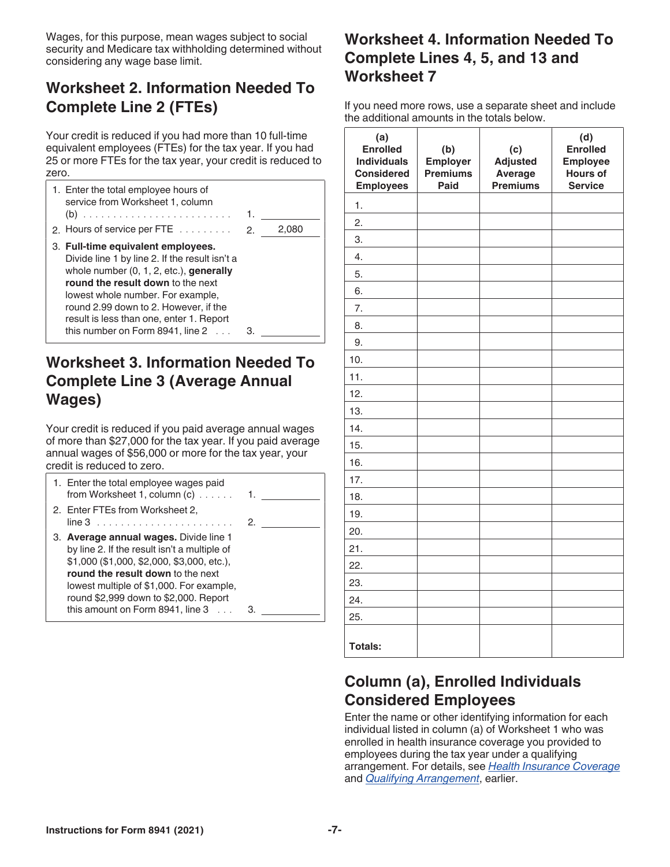Wages, for this purpose, mean wages subject to social security and Medicare tax withholding determined without considering any wage base limit.

# **Worksheet 2. Information Needed To Complete Line 2 (FTEs)**

Your credit is reduced if you had more than 10 full-time equivalent employees (FTEs) for the tax year. If you had 25 or more FTEs for the tax year, your credit is reduced to zero.

| 1. Enter the total employee hours of<br>service from Worksheet 1, column<br>2. Hours of service per FTE $\ldots$                                                                                                                                                                                                                               | 1.<br>-2. | 2,080 |
|------------------------------------------------------------------------------------------------------------------------------------------------------------------------------------------------------------------------------------------------------------------------------------------------------------------------------------------------|-----------|-------|
| 3. Full-time equivalent employees.<br>Divide line 1 by line 2. If the result isn't a<br>whole number (0, 1, 2, etc.), generally<br>round the result down to the next<br>lowest whole number. For example,<br>round 2.99 down to 2. However, if the<br>result is less than one, enter 1. Report<br>this number on Form $8941$ , line $2 \ldots$ | з         |       |

# **Worksheet 3. Information Needed To Complete Line 3 (Average Annual Wages)**

Your credit is reduced if you paid average annual wages of more than \$27,000 for the tax year. If you paid average annual wages of \$56,000 or more for the tax year, your credit is reduced to zero.

| 1. Enter the total employee wages paid<br>from Worksheet 1, column (c)                                                                                                                                                                                                                                      | 1. |
|-------------------------------------------------------------------------------------------------------------------------------------------------------------------------------------------------------------------------------------------------------------------------------------------------------------|----|
| 2. Enter FTEs from Worksheet 2,                                                                                                                                                                                                                                                                             | 2. |
| 3. Average annual wages. Divide line 1<br>by line 2. If the result isn't a multiple of<br>\$1,000 (\$1,000, \$2,000, \$3,000, etc.),<br>round the result down to the next<br>lowest multiple of \$1,000. For example,<br>round \$2,999 down to \$2,000. Report<br>this amount on Form 8941, line $3 \ldots$ |    |

# **Worksheet 4. Information Needed To Complete Lines 4, 5, and 13 and Worksheet 7**

If you need more rows, use a separate sheet and include the additional amounts in the totals below.

| (a)<br><b>Enrolled</b><br><b>Individuals</b><br><b>Considered</b><br><b>Employees</b> | (b)<br>Employer<br><b>Premiums</b><br>Paid | (c)<br><b>Adjusted</b><br>Average<br><b>Premiums</b> | (d)<br><b>Enrolled</b><br><b>Employee</b><br><b>Hours of</b><br><b>Service</b> |
|---------------------------------------------------------------------------------------|--------------------------------------------|------------------------------------------------------|--------------------------------------------------------------------------------|
| 1.                                                                                    |                                            |                                                      |                                                                                |
| 2.                                                                                    |                                            |                                                      |                                                                                |
| 3.                                                                                    |                                            |                                                      |                                                                                |
| 4.                                                                                    |                                            |                                                      |                                                                                |
| 5.                                                                                    |                                            |                                                      |                                                                                |
| 6.                                                                                    |                                            |                                                      |                                                                                |
| 7.                                                                                    |                                            |                                                      |                                                                                |
| 8.                                                                                    |                                            |                                                      |                                                                                |
| 9.                                                                                    |                                            |                                                      |                                                                                |
| 10.                                                                                   |                                            |                                                      |                                                                                |
| 11.                                                                                   |                                            |                                                      |                                                                                |
| 12.                                                                                   |                                            |                                                      |                                                                                |
| 13.                                                                                   |                                            |                                                      |                                                                                |
| 14.                                                                                   |                                            |                                                      |                                                                                |
| 15.                                                                                   |                                            |                                                      |                                                                                |
| 16.                                                                                   |                                            |                                                      |                                                                                |
| 17.                                                                                   |                                            |                                                      |                                                                                |
| 18.                                                                                   |                                            |                                                      |                                                                                |
| 19.                                                                                   |                                            |                                                      |                                                                                |
| 20.                                                                                   |                                            |                                                      |                                                                                |
| 21.                                                                                   |                                            |                                                      |                                                                                |
| 22.                                                                                   |                                            |                                                      |                                                                                |
| 23.                                                                                   |                                            |                                                      |                                                                                |
| 24.                                                                                   |                                            |                                                      |                                                                                |
| 25.                                                                                   |                                            |                                                      |                                                                                |
| <b>Totals:</b>                                                                        |                                            |                                                      |                                                                                |

# **Column (a), Enrolled Individuals Considered Employees**

Enter the name or other identifying information for each individual listed in column (a) of Worksheet 1 who was enrolled in health insurance coverage you provided to employees during the tax year under a qualifying arrangement. For details, see *Health Insurance Coverage*  and *Qualifying Arrangement*, earlier.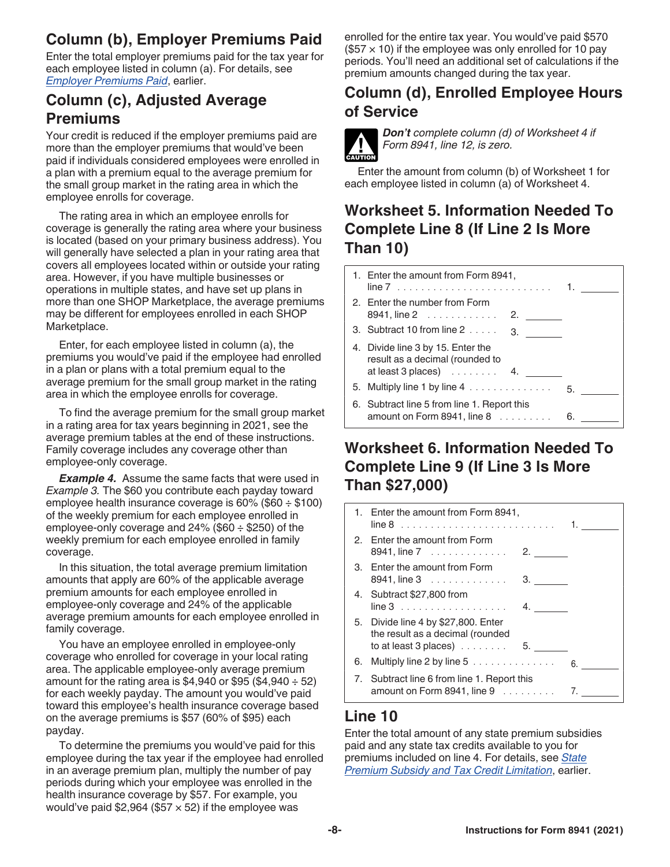# **Column (b), Employer Premiums Paid**

Enter the total employer premiums paid for the tax year for each employee listed in column (a). For details, see *Employer Premiums Paid*, earlier.

### **Column (c), Adjusted Average Premiums**

Your credit is reduced if the employer premiums paid are more than the employer premiums that would've been paid if individuals considered employees were enrolled in a plan with a premium equal to the average premium for the small group market in the rating area in which the employee enrolls for coverage.

The rating area in which an employee enrolls for coverage is generally the rating area where your business is located (based on your primary business address). You will generally have selected a plan in your rating area that covers all employees located within or outside your rating area. However, if you have multiple businesses or operations in multiple states, and have set up plans in more than one SHOP Marketplace, the average premiums may be different for employees enrolled in each SHOP Marketplace.

Enter, for each employee listed in column (a), the premiums you would've paid if the employee had enrolled in a plan or plans with a total premium equal to the average premium for the small group market in the rating area in which the employee enrolls for coverage.

To find the average premium for the small group market in a rating area for tax years beginning in 2021, see the average premium tables at the end of these instructions. Family coverage includes any coverage other than employee-only coverage.

**Example 4.** Assume the same facts that were used in *Example 3.* The \$60 you contribute each payday toward employee health insurance coverage is  $60\%$  (\$60  $\div$  \$100) of the weekly premium for each employee enrolled in employee-only coverage and  $24\%$  (\$60  $\div$  \$250) of the weekly premium for each employee enrolled in family coverage.

In this situation, the total average premium limitation amounts that apply are 60% of the applicable average premium amounts for each employee enrolled in employee-only coverage and 24% of the applicable average premium amounts for each employee enrolled in family coverage.

You have an employee enrolled in employee-only coverage who enrolled for coverage in your local rating area. The applicable employee-only average premium amount for the rating area is \$4,940 or \$95 (\$4,940  $\div$  52) for each weekly payday. The amount you would've paid toward this employee's health insurance coverage based on the average premiums is \$57 (60% of \$95) each payday.

To determine the premiums you would've paid for this employee during the tax year if the employee had enrolled in an average premium plan, multiply the number of pay periods during which your employee was enrolled in the health insurance coverage by \$57. For example, you would've paid  $$2,964$  (\$57  $\times$  52) if the employee was

enrolled for the entire tax year. You would've paid \$570  $($57 \times 10)$  if the employee was only enrolled for 10 pay periods. You'll need an additional set of calculations if the premium amounts changed during the tax year.

# **Column (d), Enrolled Employee Hours of Service**



*Don't complete column (d) of Worksheet 4 if Form 8941, line 12, is zero.*

Enter the amount from column (b) of Worksheet 1 for each employee listed in column (a) of Worksheet 4.

### **Worksheet 5. Information Needed To Complete Line 8 (If Line 2 Is More Than 10)**

| 1. Enter the amount from Form 8941,                                                                           |    |
|---------------------------------------------------------------------------------------------------------------|----|
| 2. Enter the number from Form<br>8941, line 2<br>2. $\qquad \qquad$                                           |    |
| 3. Subtract 10 from line 2<br>3.                                                                              |    |
| 4. Divide line 3 by 15. Enter the<br>result as a decimal (rounded to<br>at least 3 places) $\ldots \ldots$ 4. |    |
|                                                                                                               | 5. |
| 6. Subtract line 5 from line 1. Report this<br>amount on Form 8941, line $8 \ldots \ldots$                    | 6. |

# **Worksheet 6. Information Needed To Complete Line 9 (If Line 3 Is More Than \$27,000)**

| 1. Enter the amount from Form 8941,                                                                                        |
|----------------------------------------------------------------------------------------------------------------------------|
| 2. Enter the amount from Form<br>8941, line 7 2.                                                                           |
| 3. Enter the amount from Form<br>8941, line 3<br>3.                                                                        |
| 4. Subtract \$27,800 from<br>$line 3$                                                                                      |
| 5. Divide line 4 by \$27,800. Enter<br>the result as a decimal (rounded<br>to at least 3 places) $\ldots \ldots \ldots$ 5. |
| 6. Multiply line 2 by line $5$<br>6.                                                                                       |
| 7. Subtract line 6 from line 1. Report this<br>amount on Form 8941, line $9 \ldots \ldots$<br>7.                           |

# **Line 10**

Enter the total amount of any state premium subsidies paid and any state tax credits available to you for premiums included on line 4. For details, see *State Premium Subsidy and Tax Credit Limitation*, earlier.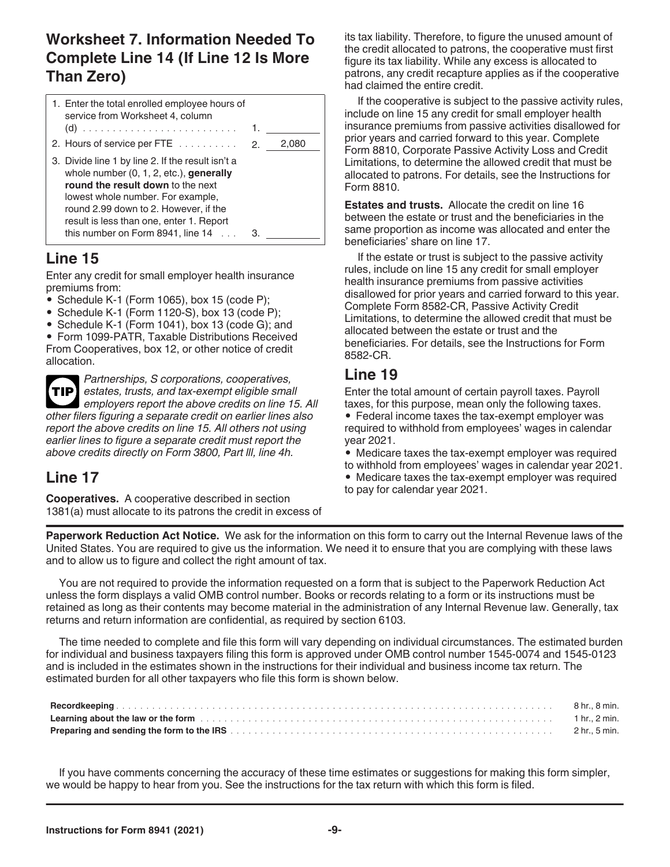# **Worksheet 7. Information Needed To Complete Line 14 (If Line 12 Is More Than Zero)**

| 1. Enter the total enrolled employee hours of<br>service from Worksheet 4, column                                                                                                                                                                              |       |
|----------------------------------------------------------------------------------------------------------------------------------------------------------------------------------------------------------------------------------------------------------------|-------|
| 2. Hours of service per FTE 2.                                                                                                                                                                                                                                 | 2.080 |
| 3. Divide line 1 by line 2. If the result isn't a<br>whole number $(0, 1, 2, etc.)$ , generally<br>round the result down to the next<br>lowest whole number. For example,<br>round 2.99 down to 2. However, if the<br>result is less than one, enter 1. Report |       |
| this number on Form $8941$ , line $14$                                                                                                                                                                                                                         |       |

### **Line 15**

Enter any credit for small employer health insurance premiums from:

- Schedule K-1 (Form 1065), box 15 (code P);
- Schedule K-1 (Form 1120-S), box 13 (code P);
- Schedule K-1 (Form 1041), box 13 (code G); and

• Form 1099-PATR, Taxable Distributions Received From Cooperatives, box 12, or other notice of credit allocation.

*Partnerships, S corporations, cooperatives, estates, trusts, and tax-exempt eligible small employers report the above credits on line 15. All other filers figuring a separate credit on earlier lines also report the above credits on line 15. All others not using earlier lines to figure a separate credit must report the above credits directly on Form 3800, Part lll, line 4h.* **TIP**

### **Line 17**

**Cooperatives.** A cooperative described in section 1381(a) must allocate to its patrons the credit in excess of its tax liability. Therefore, to figure the unused amount of the credit allocated to patrons, the cooperative must first figure its tax liability. While any excess is allocated to patrons, any credit recapture applies as if the cooperative had claimed the entire credit.

If the cooperative is subject to the passive activity rules, include on line 15 any credit for small employer health insurance premiums from passive activities disallowed for prior years and carried forward to this year. Complete Form 8810, Corporate Passive Activity Loss and Credit Limitations, to determine the allowed credit that must be allocated to patrons. For details, see the Instructions for Form 8810.

**Estates and trusts.** Allocate the credit on line 16 between the estate or trust and the beneficiaries in the same proportion as income was allocated and enter the beneficiaries' share on line 17.

If the estate or trust is subject to the passive activity rules, include on line 15 any credit for small employer health insurance premiums from passive activities disallowed for prior years and carried forward to this year. Complete Form 8582-CR, Passive Activity Credit Limitations, to determine the allowed credit that must be allocated between the estate or trust and the beneficiaries. For details, see the Instructions for Form 8582-CR.

# **Line 19**

Enter the total amount of certain payroll taxes. Payroll taxes, for this purpose, mean only the following taxes. • Federal income taxes the tax-exempt employer was required to withhold from employees' wages in calendar year 2021.

• Medicare taxes the tax-exempt employer was required to withhold from employees' wages in calendar year 2021.

• Medicare taxes the tax-exempt employer was required

to pay for calendar year 2021.

**Paperwork Reduction Act Notice.** We ask for the information on this form to carry out the Internal Revenue laws of the United States. You are required to give us the information. We need it to ensure that you are complying with these laws and to allow us to figure and collect the right amount of tax.

You are not required to provide the information requested on a form that is subject to the Paperwork Reduction Act unless the form displays a valid OMB control number. Books or records relating to a form or its instructions must be retained as long as their contents may become material in the administration of any Internal Revenue law. Generally, tax returns and return information are confidential, as required by section 6103.

The time needed to complete and file this form will vary depending on individual circumstances. The estimated burden for individual and business taxpayers filing this form is approved under OMB control number 1545-0074 and 1545-0123 and is included in the estimates shown in the instructions for their individual and business income tax return. The estimated burden for all other taxpayers who file this form is shown below.

If you have comments concerning the accuracy of these time estimates or suggestions for making this form simpler, we would be happy to hear from you. See the instructions for the tax return with which this form is filed.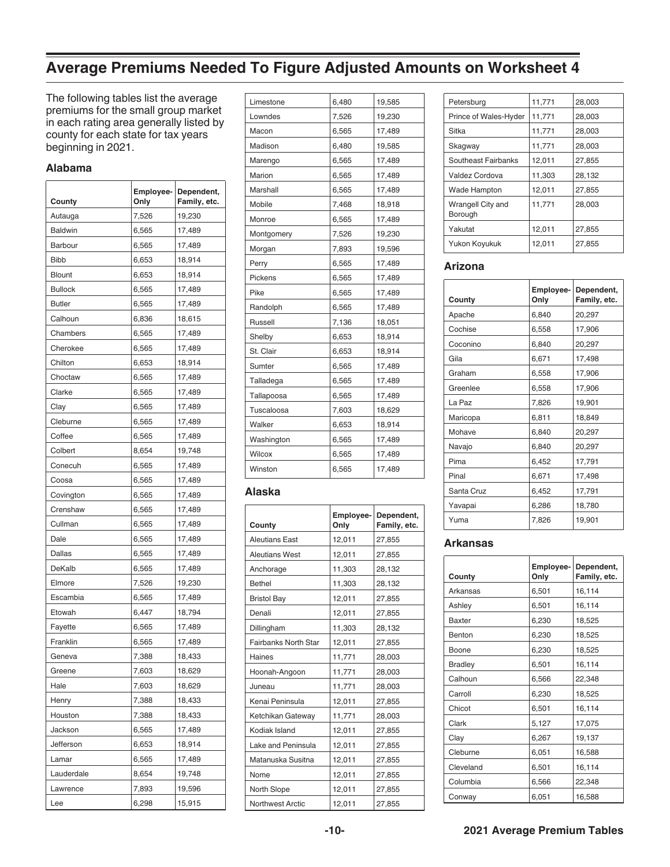# **Average Premiums Needed To Figure Adjusted Amounts on Worksheet 4**

The following tables list the average premiums for the small group market in each rating area generally listed by county for each state for tax years beginning in 2021.

#### **Alabama**

| County         | Employee-<br>Only | Dependent,<br>Family, etc. |
|----------------|-------------------|----------------------------|
| Autauga        | 7,526             | 19,230                     |
| <b>Baldwin</b> | 6,565             | 17,489                     |
| <b>Barbour</b> | 6,565             | 17,489                     |
| <b>Bibb</b>    | 6,653             | 18,914                     |
| <b>Blount</b>  | 6,653             | 18,914                     |
| <b>Bullock</b> | 6,565             | 17,489                     |
| <b>Butler</b>  | 6,565             | 17,489                     |
| Calhoun        | 6,836             | 18,615                     |
| Chambers       | 6,565             | 17,489                     |
| Cherokee       | 6,565             | 17,489                     |
| Chilton        | 6,653             | 18,914                     |
| Choctaw        | 6,565             | 17,489                     |
| Clarke         | 6,565             | 17,489                     |
| Clay           | 6,565             | 17,489                     |
| Cleburne       | 6,565             | 17,489                     |
| Coffee         | 6,565             | 17,489                     |
| Colbert        | 8,654             | 19,748                     |
| Conecuh        | 6,565             | 17,489                     |
| Coosa          | 6,565             | 17,489                     |
| Covington      | 6,565             | 17,489                     |
| Crenshaw       | 6,565             | 17,489                     |
| Cullman        | 6,565             | 17,489                     |
| Dale           | 6,565             | 17,489                     |
| Dallas         | 6,565             | 17,489                     |
| DeKalb         | 6,565             | 17,489                     |
| Elmore         | 7,526             | 19,230                     |
| Escambia       | 6,565             | 17,489                     |
| Etowah         | 6,447             | 18,794                     |
| Fayette        | 6,565             | 17,489                     |
| Franklin       | 6,565             | 17,489                     |
| Geneva         | 7,388             | 18,433                     |
| Greene         | 7,603             | 18,629                     |
| Hale           | 7,603             | 18,629                     |
| Henry          | 7,388             | 18,433                     |
| Houston        | 7,388             | 18,433                     |
| Jackson        | 6,565             | 17,489                     |
| Jefferson      | 6,653             | 18,914                     |
| Lamar          | 6,565             | 17,489                     |
| Lauderdale     | 8,654             | 19,748                     |
| Lawrence       | 7,893             | 19,596                     |
| Lee            | 6,298             | 15,915                     |

| Limestone      | 6,480 | 19,585 |
|----------------|-------|--------|
| Lowndes        | 7,526 | 19,230 |
| Macon          | 6,565 | 17,489 |
| Madison        | 6,480 | 19,585 |
| Marengo        | 6,565 | 17,489 |
| Marion         | 6,565 | 17,489 |
| Marshall       | 6,565 | 17,489 |
| Mobile         | 7,468 | 18,918 |
| Monroe         | 6,565 | 17,489 |
| Montgomery     | 7,526 | 19,230 |
| Morgan         | 7,893 | 19,596 |
| Perry          | 6,565 | 17,489 |
| Pickens        | 6,565 | 17,489 |
| Pike           | 6,565 | 17,489 |
| Randolph       | 6,565 | 17,489 |
| <b>Russell</b> | 7,136 | 18,051 |
|                |       |        |
| Shelby         | 6,653 | 18,914 |
| St. Clair      | 6,653 | 18,914 |
| Sumter         | 6,565 | 17,489 |
| Talladega      | 6,565 | 17,489 |
| Tallapoosa     | 6,565 | 17,489 |
| Tuscaloosa     | 7,603 | 18,629 |
| Walker         | 6,653 | 18,914 |
| Washington     | 6,565 | 17,489 |
| Wilcox         | 6,565 | 17,489 |

#### **Alaska**

| County                      | Employee-<br>Only | Dependent,<br>Family, etc. |
|-----------------------------|-------------------|----------------------------|
| <b>Aleutians East</b>       | 12,011            | 27,855                     |
| <b>Aleutians West</b>       | 12.011            | 27.855                     |
| Anchorage                   | 11,303            | 28,132                     |
| <b>Bethel</b>               | 11,303            | 28,132                     |
| <b>Bristol Bay</b>          | 12,011            | 27,855                     |
| Denali                      | 12,011            | 27,855                     |
| Dillingham                  | 11,303            | 28,132                     |
| <b>Fairbanks North Star</b> | 12,011            | 27,855                     |
| Haines                      | 11,771            | 28,003                     |
| Hoonah-Angoon               | 11,771            | 28,003                     |
| Juneau                      | 11,771            | 28,003                     |
| Kenai Peninsula             | 12,011            | 27,855                     |
| Ketchikan Gateway           | 11,771            | 28,003                     |
| Kodiak Island               | 12,011            | 27,855                     |
| Lake and Peninsula          | 12,011            | 27,855                     |
| Matanuska Susitna           | 12,011            | 27,855                     |
| Nome                        | 12,011            | 27,855                     |
| North Slope                 | 12,011            | 27,855                     |
| <b>Northwest Arctic</b>     | 12,011            | 27,855                     |

| Petersburg                   | 11,771 | 28,003 |
|------------------------------|--------|--------|
| Prince of Wales-Hyder        | 11,771 | 28,003 |
| Sitka                        | 11,771 | 28,003 |
| Skagway                      | 11,771 | 28,003 |
| Southeast Fairbanks          | 12,011 | 27,855 |
| Valdez Cordova               | 11,303 | 28,132 |
| Wade Hampton                 | 12,011 | 27.855 |
| Wrangell City and<br>Borough | 11,771 | 28,003 |
| Yakutat                      | 12,011 | 27,855 |
| Yukon Koyukuk                | 12,011 | 27,855 |

#### **Arizona**

|            | Employee- | Dependent,   |
|------------|-----------|--------------|
| County     | Only      | Family, etc. |
| Apache     | 6,840     | 20,297       |
| Cochise    | 6.558     | 17,906       |
| Coconino   | 6.840     | 20,297       |
| Gila       | 6,671     | 17,498       |
| Graham     | 6,558     | 17,906       |
| Greenlee   | 6,558     | 17,906       |
| La Paz     | 7,826     | 19,901       |
| Maricopa   | 6,811     | 18,849       |
| Mohave     | 6,840     | 20,297       |
| Navajo     | 6,840     | 20,297       |
| Pima       | 6,452     | 17,791       |
| Pinal      | 6,671     | 17,498       |
| Santa Cruz | 6,452     | 17,791       |
| Yavapai    | 6,286     | 18,780       |
| Yuma       | 7,826     | 19,901       |

#### **Arkansas**

| County         | Employee-<br>Only | Dependent,<br>Family, etc. |
|----------------|-------------------|----------------------------|
| Arkansas       | 6,501             | 16,114                     |
| Ashley         | 6,501             | 16,114                     |
| <b>Baxter</b>  | 6,230             | 18,525                     |
| Benton         | 6,230             | 18,525                     |
| Boone          | 6,230             | 18,525                     |
| <b>Bradley</b> | 6,501             | 16,114                     |
| Calhoun        | 6,566             | 22,348                     |
| Carroll        | 6,230             | 18,525                     |
| Chicot         | 6,501             | 16,114                     |
| Clark          | 5,127             | 17,075                     |
| Clay           | 6,267             | 19,137                     |
| Cleburne       | 6,051             | 16,588                     |
| Cleveland      | 6,501             | 16,114                     |
| Columbia       | 6,566             | 22,348                     |
| Conway         | 6,051             | 16,588                     |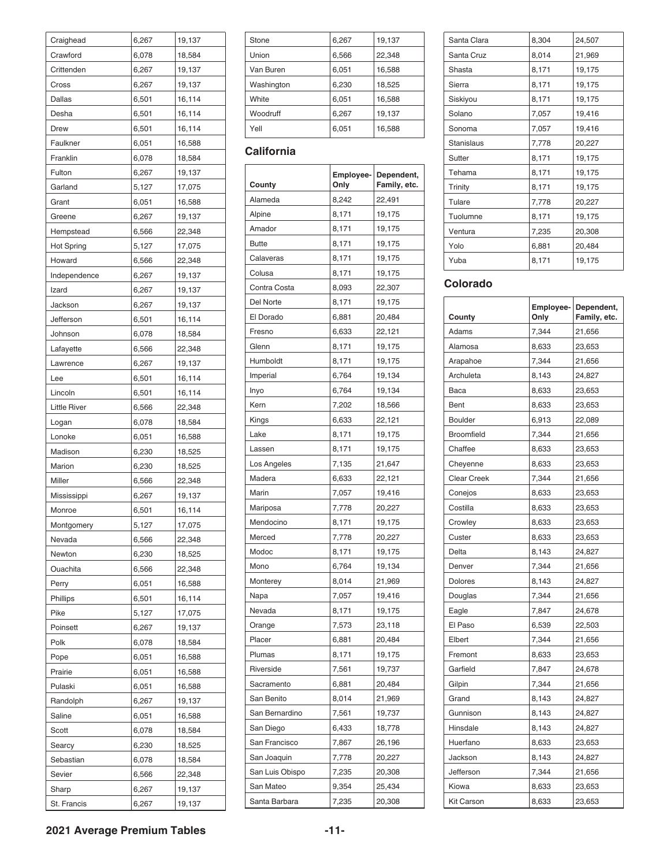| Craighead           | 6,267          | 19,137           |
|---------------------|----------------|------------------|
| Crawford            | 6,078          | 18,584           |
| Crittenden          | 6,267          | 19,137           |
| Cross               | 6,267          | 19,137           |
| Dallas              | 6,501          | 16,114           |
| Desha               | 6,501          | 16,114           |
| Drew                | 6,501          | 16,114           |
| Faulkner            | 6,051          | 16,588           |
| Franklin            | 6,078          | 18,584           |
| Fulton              | 6,267          | 19,137           |
| Garland             | 5,127          | 17,075           |
| Grant               | 6,051          | 16,588           |
| Greene              | 6,267          | 19,137           |
| Hempstead           | 6,566          | 22,348           |
| <b>Hot Spring</b>   | 5,127          | 17,075           |
| Howard              | 6,566          | 22,348           |
| Independence        | 6,267          | 19,137           |
| Izard               | 6,267          | 19,137           |
| Jackson             | 6,267          | 19,137           |
| Jefferson           | 6,501          | 16,114           |
| Johnson             | 6,078          | 18,584           |
| Lafayette           | 6,566          | 22,348           |
| Lawrence            | 6,267          | 19,137           |
| Lee                 | 6,501          | 16,114           |
| Lincoln             | 6,501          | 16,114           |
| <b>Little River</b> | 6,566          | 22,348           |
| Logan               | 6,078          | 18,584           |
| Lonoke              | 6,051          | 16,588           |
| Madison             | 6,230          | 18,525           |
| Marion              | 6,230          | 18,525           |
| Miller              | 6,566          | 22,348           |
| Mississippi         | 6,267          | 19,137           |
| Monroe              | 6,501          | 16,114           |
| Montgomery          | 5,127          | 17,075           |
| Nevada              | 6,566          | 22,348           |
| Newton              | 6,230          | 18,525           |
| Ouachita            | 6,566          | 22,348           |
| Perry               | 6,051          | 16,588           |
| Phillips            | 6,501          | 16,114           |
| Pike                | 5,127          | 17,075           |
| Poinsett            | 6,267          | 19,137           |
| Polk                | 6,078          | 18,584           |
| Pope                | 6,051          | 16,588           |
| Prairie             | 6,051          | 16,588           |
| Pulaski             | 6,051          | 16,588           |
| Randolph            | 6,267          | 19,137           |
| Saline              | 6,051          | 16,588           |
| Scott               | 6,078          | 18,584           |
|                     |                |                  |
| Searcy              | 6,230          | 18,525           |
| Sebastian           | 6,078          | 18,584           |
| Sevier              | 6,566          | 22,348           |
| Sharp               | 6,267<br>6,267 | 19,137<br>19,137 |
| St. Francis         |                |                  |

| Stone      | 6,267 | 19,137 |
|------------|-------|--------|
| Union      | 6,566 | 22,348 |
| Van Buren  | 6,051 | 16,588 |
| Washington | 6,230 | 18,525 |
| White      | 6,051 | 16,588 |
| Woodruff   | 6,267 | 19,137 |
| Yell       | 6,051 | 16,588 |

#### **California**

| County          | Employee-<br>Only | Dependent,<br>Family, etc. |
|-----------------|-------------------|----------------------------|
| Alameda         | 8,242             | 22,491                     |
| Alpine          | 8,171             | 19,175                     |
| Amador          | 8,171             | 19,175                     |
| <b>Butte</b>    | 8,171             | 19,175                     |
| Calaveras       | 8,171             | 19,175                     |
| Colusa          | 8,171             | 19,175                     |
| Contra Costa    | 8,093             | 22,307                     |
| Del Norte       | 8,171             | 19,175                     |
| El Dorado       | 6,881             | 20,484                     |
| Fresno          | 6,633             | 22,121                     |
| Glenn           | 8,171             | 19,175                     |
| Humboldt        | 8,171             | 19,175                     |
| Imperial        | 6,764             | 19,134                     |
| Inyo            | 6,764             | 19,134                     |
| Kern            | 7,202             | 18,566                     |
| Kings           | 6,633             | 22,121                     |
| Lake            | 8,171             | 19,175                     |
| Lassen          | 8,171             | 19,175                     |
| Los Angeles     | 7,135             | 21,647                     |
| Madera          | 6,633             | 22,121                     |
| Marin           | 7,057             | 19,416                     |
| Mariposa        | 7,778             | 20,227                     |
| Mendocino       | 8,171             | 19,175                     |
| Merced          | 7,778             | 20,227                     |
| Modoc           | 8,171             | 19,175                     |
| Mono            | 6,764             | 19,134                     |
| Monterey        | 8,014             | 21,969                     |
| Napa            | 7,057             | 19,416                     |
| Nevada          | 8,171             | 19,175                     |
| Orange          | 7,573             | 23,118                     |
| Placer          | 6,881             | 20,484                     |
| Plumas          | 8,171             | 19,175                     |
| Riverside       | 7,561             | 19,737                     |
| Sacramento      | 6,881             | 20,484                     |
| San Benito      | 8,014             | 21,969                     |
| San Bernardino  | 7,561             | 19,737                     |
| San Diego       | 6,433             | 18,778                     |
| San Francisco   | 7,867             | 26,196                     |
| San Joaquin     | 7,778             | 20,227                     |
| San Luis Obispo | 7,235             | 20,308                     |
| San Mateo       | 9,354             | 25,434                     |
| Santa Barbara   | 7,235             | 20,308                     |

| Santa Clara | 8,304 | 24,507 |
|-------------|-------|--------|
| Santa Cruz  | 8,014 | 21,969 |
| Shasta      | 8,171 | 19,175 |
| Sierra      | 8,171 | 19,175 |
| Siskiyou    | 8,171 | 19,175 |
| Solano      | 7,057 | 19,416 |
| Sonoma      | 7,057 | 19,416 |
| Stanislaus  | 7,778 | 20,227 |
| Sutter      | 8,171 | 19,175 |
| Tehama      | 8,171 | 19,175 |
| Trinity     | 8,171 | 19,175 |
| Tulare      | 7,778 | 20,227 |
| Tuolumne    | 8,171 | 19,175 |
| Ventura     | 7,235 | 20,308 |
| Yolo        | 6,881 | 20,484 |
| Yuba        | 8,171 | 19,175 |
|             |       |        |

#### **Colorado**

| County             | Employee-<br>Only | Dependent,<br>Family, etc. |
|--------------------|-------------------|----------------------------|
| Adams              | 7,344             | 21,656                     |
| Alamosa            | 8,633             | 23,653                     |
| Arapahoe           | 7,344             | 21,656                     |
| Archuleta          | 8,143             | 24,827                     |
| Baca               | 8,633             | 23,653                     |
| Bent               | 8,633             | 23,653                     |
| <b>Boulder</b>     | 6,913             | 22,089                     |
| <b>Broomfield</b>  | 7,344             | 21,656                     |
| Chaffee            | 8,633             | 23,653                     |
| Cheyenne           | 8,633             | 23,653                     |
| <b>Clear Creek</b> | 7,344             | 21,656                     |
| Conejos            | 8,633             | 23,653                     |
| Costilla           | 8,633             | 23,653                     |
| Crowley            | 8,633             | 23,653                     |
| Custer             | 8,633             | 23,653                     |
| Delta              | 8,143             | 24,827                     |
| Denver             | 7,344             | 21,656                     |
| <b>Dolores</b>     | 8,143             | 24,827                     |
| Douglas            | 7,344             | 21,656                     |
| Eagle              | 7,847             | 24,678                     |
| El Paso            | 6,539             | 22,503                     |
| Elbert             | 7,344             | 21,656                     |
| Fremont            | 8,633             | 23,653                     |
| Garfield           | 7,847             | 24,678                     |
| Gilpin             | 7,344             | 21,656                     |
| Grand              | 8,143             | 24,827                     |
| Gunnison           | 8,143             | 24,827                     |
| Hinsdale           | 8,143             | 24,827                     |
| Huerfano           | 8,633             | 23,653                     |
| Jackson            | 8,143             | 24,827                     |
| Jefferson          | 7,344             | 21,656                     |
| Kiowa              | 8,633             | 23,653                     |
| <b>Kit Carson</b>  | 8,633             | 23,653                     |

**2021 Average Premium Tables -11-**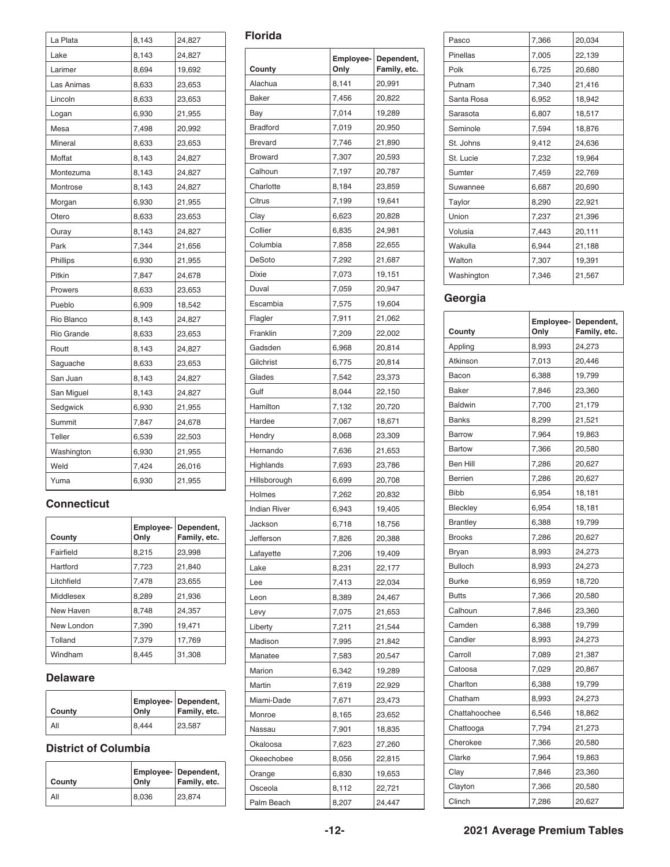| La Plata   | 8,143 | 24,827 |
|------------|-------|--------|
| Lake       | 8,143 | 24,827 |
| Larimer    | 8,694 | 19,692 |
| Las Animas | 8,633 | 23,653 |
| Lincoln    | 8,633 | 23,653 |
| Logan      | 6,930 | 21,955 |
| Mesa       | 7,498 | 20,992 |
| Mineral    | 8,633 | 23,653 |
| Moffat     | 8,143 | 24,827 |
| Montezuma  | 8,143 | 24,827 |
| Montrose   | 8,143 | 24,827 |
| Morgan     | 6,930 | 21,955 |
| Otero      | 8,633 | 23,653 |
| Ouray      | 8,143 | 24,827 |
| Park       | 7,344 | 21,656 |
| Phillips   | 6,930 | 21,955 |
| Pitkin     | 7,847 | 24,678 |
| Prowers    | 8,633 | 23,653 |
| Pueblo     | 6,909 | 18,542 |
| Rio Blanco | 8,143 | 24,827 |
| Rio Grande | 8,633 | 23,653 |
| Routt      | 8,143 | 24,827 |
| Saguache   | 8,633 | 23,653 |
| San Juan   | 8,143 | 24,827 |
| San Miguel | 8,143 | 24,827 |
| Sedgwick   | 6,930 | 21,955 |
| Summit     | 7,847 | 24,678 |
| Teller     | 6,539 | 22,503 |
| Washington | 6,930 | 21,955 |
| Weld       | 7,424 | 26,016 |
| Yuma       | 6,930 | 21,955 |

#### **Connecticut**

| County     | Only  | Employee- Dependent,<br>Family, etc. |
|------------|-------|--------------------------------------|
| Fairfield  | 8,215 | 23,998                               |
| Hartford   | 7,723 | 21,840                               |
| Litchfield | 7,478 | 23,655                               |
| Middlesex  | 8,289 | 21,936                               |
| New Haven  | 8,748 | 24,357                               |
| New London | 7,390 | 19.471                               |
| Tolland    | 7,379 | 17,769                               |
| Windham    | 8.445 | 31,308                               |

#### **Delaware**

| County | Only  | <b>Employee-</b> Dependent,<br>Family, etc. |
|--------|-------|---------------------------------------------|
| All    | 8,444 | 23,587                                      |

#### **District of Columbia**

| <b>County</b> | Only  | <b>Employee- Dependent,</b><br>Family, etc. |
|---------------|-------|---------------------------------------------|
| All           | 8,036 | 23.874                                      |

#### **Florida**

| County              | Employee-<br>Only | Dependent,<br>Family, etc. |
|---------------------|-------------------|----------------------------|
| Alachua             | 8,141             | 20,991                     |
| Baker               | 7,456             | 20,822                     |
| Bay                 | 7,014             | 19,289                     |
| <b>Bradford</b>     | 7,019             | 20,950                     |
| <b>Brevard</b>      | 7,746             | 21,890                     |
| <b>Broward</b>      | 7,307             | 20,593                     |
| Calhoun             | 7,197             | 20,787                     |
| Charlotte           | 8,184             | 23,859                     |
| Citrus              | 7,199             | 19,641                     |
| Clay                | 6,623             | 20,828                     |
| Collier             | 6,835             | 24,981                     |
| Columbia            | 7,858             | 22,655                     |
| DeSoto              | 7,292             | 21,687                     |
| <b>Dixie</b>        | 7,073             | 19,151                     |
| Duval               | 7,059             | 20,947                     |
| Escambia            | 7,575             | 19,604                     |
|                     | 7,911             |                            |
| Flagler<br>Franklin | 7,209             | 21,062<br>22,002           |
| Gadsden             | 6,968             | 20,814                     |
|                     |                   |                            |
| Gilchrist           | 6,775             | 20,814                     |
| Glades<br>Gulf      | 7,542             | 23,373                     |
|                     | 8,044             | 22,150                     |
| Hamilton            | 7,132             | 20,720                     |
| Hardee              | 7,067             | 18,671                     |
| Hendry              | 8,068             | 23,309                     |
| Hernando            | 7,636             | 21,653                     |
| Highlands           | 7,693             | 23,786                     |
| Hillsborough        | 6,699             | 20,708                     |
| Holmes              | 7,262             | 20,832                     |
| <b>Indian River</b> | 6,943             | 19,405                     |
| Jackson             | 6,718             | 18,756                     |
| Jefferson           | 7,826             | 20,388                     |
| Lafayette           | 7,206             | 19,409                     |
| Lake                | 8,231             | 22,177                     |
| Lee                 | 7,413             | 22,034                     |
| Leon                | 8,389             | 24,467                     |
| Levy                | 7,075             | 21,653                     |
| Liberty             | 7,211             | 21,544                     |
| Madison             | 7,995             | 21,842                     |
| Manatee             | 7,583             | 20,547                     |
| Marion              | 6,342             | 19,289                     |
| Martin              | 7,619             | 22,929                     |
| Miami-Dade          | 7,671             | 23,473                     |
| Monroe              | 8,165             | 23,652                     |
| Nassau              | 7,901             | 18,835                     |
| Okaloosa            | 7,623             | 27,260                     |
| Okeechobee          | 8,056             | 22,815                     |
| Orange              | 6,830             | 19,653                     |
| Osceola             | 8,112             | 22,721                     |
| Palm Beach          | 8,207             | 24,447                     |

| Pasco      | 7,366 | 20,034 |
|------------|-------|--------|
| Pinellas   | 7,005 | 22,139 |
| Polk       | 6,725 | 20,680 |
| Putnam     | 7.340 | 21,416 |
| Santa Rosa | 6.952 | 18,942 |
| Sarasota   | 6,807 | 18,517 |
| Seminole   | 7,594 | 18,876 |
| St. Johns  | 9,412 | 24,636 |
| St. Lucie  | 7,232 | 19,964 |
| Sumter     | 7,459 | 22,769 |
| Suwannee   | 6,687 | 20,690 |
| Taylor     | 8,290 | 22,921 |
| Union      | 7,237 | 21,396 |
| Volusia    | 7,443 | 20,111 |
| Wakulla    | 6,944 | 21,188 |
| Walton     | 7,307 | 19,391 |
| Washington | 7,346 | 21,567 |
|            |       |        |

### **Georgia**

| County          | Employee-<br>Only | Dependent,<br>Family, etc. |
|-----------------|-------------------|----------------------------|
| Appling         | 8,993             | 24,273                     |
| Atkinson        | 7,013             | 20,446                     |
| Bacon           | 6,388             | 19,799                     |
| Baker           | 7,846             | 23,360                     |
| <b>Baldwin</b>  | 7,700             | 21,179                     |
| <b>Banks</b>    | 8,299             | 21,521                     |
| <b>Barrow</b>   | 7,964             | 19,863                     |
| <b>Bartow</b>   | 7,366             | 20,580                     |
| Ben Hill        | 7,286             | 20,627                     |
| <b>Berrien</b>  | 7,286             | 20,627                     |
| <b>Bibb</b>     | 6,954             | 18,181                     |
| Bleckley        | 6,954             | 18,181                     |
| <b>Brantley</b> | 6,388             | 19,799                     |
| <b>Brooks</b>   | 7,286             | 20,627                     |
| Bryan           | 8,993             | 24,273                     |
| <b>Bulloch</b>  | 8,993             | 24,273                     |
| <b>Burke</b>    | 6,959             | 18,720                     |
| <b>Butts</b>    | 7,366             | 20,580                     |
| Calhoun         | 7,846             | 23,360                     |
| Camden          | 6,388             | 19,799                     |
| Candler         | 8,993             | 24,273                     |
| Carroll         | 7,089             | 21,387                     |
| Catoosa         | 7,029             | 20,867                     |
| Charlton        | 6,388             | 19,799                     |
| Chatham         | 8,993             | 24,273                     |
| Chattahoochee   | 6,546             | 18,862                     |
| Chattooga       | 7,794             | 21,273                     |
| Cherokee        | 7,366             | 20,580                     |
| Clarke          | 7,964             | 19,863                     |
| Clay            | 7,846             | 23,360                     |
| Clayton         | 7,366             | 20,580                     |
| Clinch          | 7,286             | 20,627                     |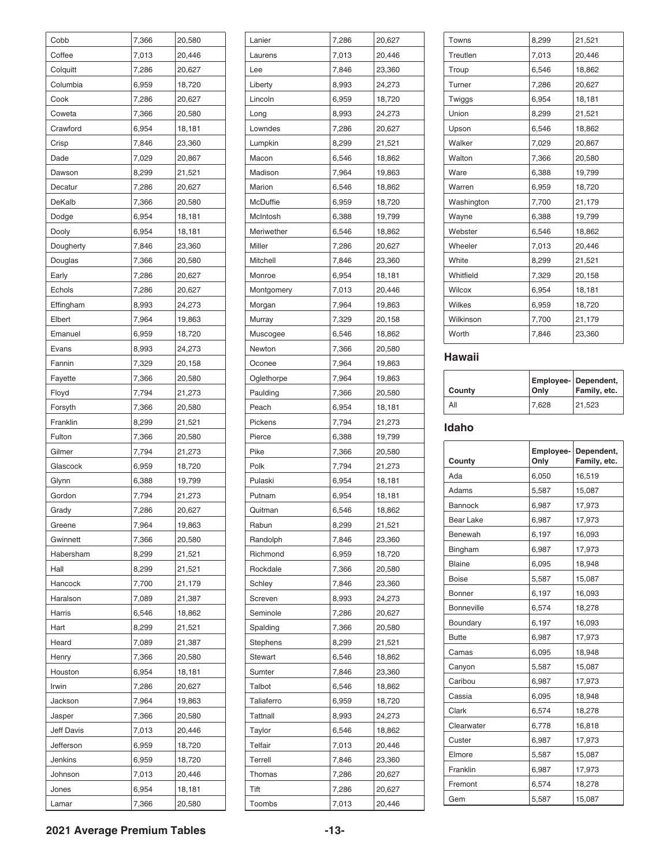| Cobb              | 7,366 | 20,580 |
|-------------------|-------|--------|
| Coffee            | 7,013 | 20,446 |
| Colquitt          | 7,286 | 20,627 |
| Columbia          | 6,959 | 18,720 |
| Cook              | 7,286 | 20,627 |
| Coweta            | 7,366 | 20,580 |
| Crawford          | 6,954 | 18,181 |
| Crisp             | 7,846 | 23,360 |
| Dade              | 7,029 | 20,867 |
| Dawson            | 8,299 | 21,521 |
| Decatur           | 7,286 | 20,627 |
| DeKalb            | 7,366 | 20,580 |
| Dodge             | 6,954 | 18,181 |
| Dooly             | 6,954 | 18,181 |
| Dougherty         | 7,846 | 23,360 |
| Douglas           | 7,366 | 20,580 |
| Early             | 7,286 | 20,627 |
| Echols            | 7,286 | 20,627 |
| Effingham         | 8,993 | 24,273 |
| Elbert            | 7,964 | 19,863 |
| Emanuel           | 6,959 | 18,720 |
| Evans             | 8,993 | 24,273 |
| Fannin            | 7,329 | 20,158 |
| Fayette           | 7,366 | 20,580 |
| Floyd             |       |        |
|                   | 7,794 | 21,273 |
| Forsyth           | 7,366 | 20,580 |
| Franklin          | 8,299 | 21,521 |
| Fulton            | 7,366 | 20,580 |
| Gilmer            | 7,794 | 21,273 |
| Glascock          | 6,959 | 18,720 |
| Glynn             | 6,388 | 19,799 |
| Gordon            | 7,794 | 21,273 |
| Grady             | 7,286 | 20,627 |
| Greene            | 7,964 | 19,863 |
| Gwinnett          | 7,366 | 20,580 |
| Habersham         | 8,299 | 21,521 |
| Hall              | 8,299 | 21,521 |
| Hancock           | 7,700 | 21,179 |
| Haralson          | 7,089 | 21,387 |
| Harris            | 6,546 | 18,862 |
| Hart              | 8,299 | 21,521 |
| Heard             | 7,089 | 21,387 |
| Henry             | 7,366 | 20,580 |
| Houston           | 6,954 | 18,181 |
| Irwin             | 7,286 | 20,627 |
| Jackson           | 7,964 | 19,863 |
| Jasper            | 7,366 | 20,580 |
| <b>Jeff Davis</b> | 7,013 | 20,446 |
| Jefferson         | 6,959 | 18,720 |
| Jenkins           | 6,959 | 18,720 |
| Johnson           | 7,013 | 20,446 |
| Jones             | 6,954 | 18,181 |
| Lamar             | 7,366 | 20,580 |

| Lanier          | 7,286 | 20,627 |
|-----------------|-------|--------|
| Laurens         | 7,013 | 20,446 |
| Lee             | 7,846 | 23,360 |
| Liberty         | 8,993 | 24,273 |
| Lincoln         | 6,959 | 18,720 |
| Long            | 8,993 | 24,273 |
| Lowndes         | 7,286 | 20,627 |
| Lumpkin         | 8,299 | 21,521 |
| Macon           | 6,546 | 18,862 |
| Madison         | 7,964 | 19,863 |
| Marion          | 6,546 | 18,862 |
| McDuffie        | 6,959 | 18,720 |
| McIntosh        | 6,388 | 19,799 |
| Meriwether      | 6,546 | 18,862 |
| Miller          | 7,286 | 20,627 |
| <b>Mitchell</b> | 7,846 | 23,360 |
| Monroe          | 6,954 | 18,181 |
| Montgomery      | 7,013 | 20,446 |
| Morgan          | 7,964 | 19,863 |
| Murray          | 7,329 | 20,158 |
| Muscogee        | 6,546 | 18,862 |
| Newton          | 7,366 | 20,580 |
| Oconee          | 7,964 | 19,863 |
| Oglethorpe      | 7,964 | 19,863 |
| Paulding        | 7,366 | 20,580 |
| Peach           | 6,954 | 18,181 |
| Pickens         | 7,794 | 21,273 |
| Pierce          | 6,388 | 19,799 |
| Pike            | 7,366 | 20,580 |
| Polk            | 7,794 | 21,273 |
| Pulaski         | 6,954 | 18,181 |
| Putnam          | 6,954 | 18,181 |
| Quitman         | 6,546 | 18,862 |
| Rabun           | 8,299 | 21,521 |
| Randolph        | 7,846 | 23,360 |
| Richmond        | 6,959 | 18,720 |
| Rockdale        | 7,366 | 20,580 |
| Schley          | 7,846 | 23,360 |
| Screven         | 8,993 | 24,273 |
| Seminole        | 7,286 | 20,627 |
| Spalding        | 7,366 | 20,580 |
| Stephens        | 8,299 | 21,521 |
| <b>Stewart</b>  | 6,546 | 18,862 |
| Sumter          | 7,846 | 23,360 |
| Talbot          | 6,546 | 18,862 |
| Taliaferro      | 6,959 | 18,720 |
| <b>Tattnall</b> | 8,993 | 24,273 |
| Taylor          | 6,546 | 18,862 |
| Telfair         | 7,013 | 20,446 |
| Terrell         | 7,846 | 23,360 |
| Thomas          | 7,286 | 20,627 |
| Tift            | 7,286 | 20,627 |
| Toombs          | 7,013 | 20,446 |

| Towns      | 8,299 | 21,521 |
|------------|-------|--------|
| Treutlen   | 7,013 | 20,446 |
| Troup      | 6,546 | 18,862 |
| Turner     | 7,286 | 20,627 |
| Twiggs     | 6,954 | 18,181 |
| Union      | 8,299 | 21,521 |
| Upson      | 6,546 | 18,862 |
| Walker     | 7,029 | 20,867 |
| Walton     | 7,366 | 20,580 |
| Ware       | 6,388 | 19,799 |
| Warren     | 6,959 | 18,720 |
| Washington | 7,700 | 21,179 |
| Wayne      | 6,388 | 19,799 |
| Webster    | 6,546 | 18,862 |
| Wheeler    | 7,013 | 20,446 |
| White      | 8,299 | 21,521 |
| Whitfield  | 7,329 | 20,158 |
| Wilcox     | 6,954 | 18,181 |
| Wilkes     | 6,959 | 18,720 |
| Wilkinson  | 7,700 | 21,179 |
| Worth      | 7,846 | 23,360 |
|            |       |        |

#### **Hawaii**

| County | Only  | <b>Employee- Dependent,</b><br>Family, etc. |
|--------|-------|---------------------------------------------|
| All    | 7,628 | 21,523                                      |

#### **Idaho**

| County            | Employee-<br>Only | Dependent,<br>Family, etc. |
|-------------------|-------------------|----------------------------|
| Ada               | 6,050             | 16,519                     |
| Adams             | 5,587             | 15,087                     |
| <b>Bannock</b>    | 6,987             | 17,973                     |
| <b>Bear Lake</b>  | 6,987             | 17,973                     |
| Benewah           | 6,197             | 16,093                     |
| Bingham           | 6,987             | 17,973                     |
| <b>Blaine</b>     | 6,095             | 18,948                     |
| <b>Boise</b>      | 5,587             | 15,087                     |
| <b>Bonner</b>     | 6,197             | 16,093                     |
| <b>Bonneville</b> | 6,574             | 18,278                     |
| Boundary          | 6,197             | 16,093                     |
| <b>Butte</b>      | 6,987             | 17,973                     |
| Camas             | 6,095             | 18,948                     |
| Canyon            | 5,587             | 15,087                     |
| Caribou           | 6,987             | 17,973                     |
| Cassia            | 6,095             | 18,948                     |
| Clark             | 6,574             | 18,278                     |
| Clearwater        | 6,778             | 16,818                     |
| Custer            | 6,987             | 17,973                     |
| Elmore            | 5,587             | 15,087                     |
| Franklin          | 6,987             | 17,973                     |
| Fremont           | 6,574             | 18,278                     |
| Gem               | 5,587             | 15,087                     |

#### **2021 Average Premium Tables -13-**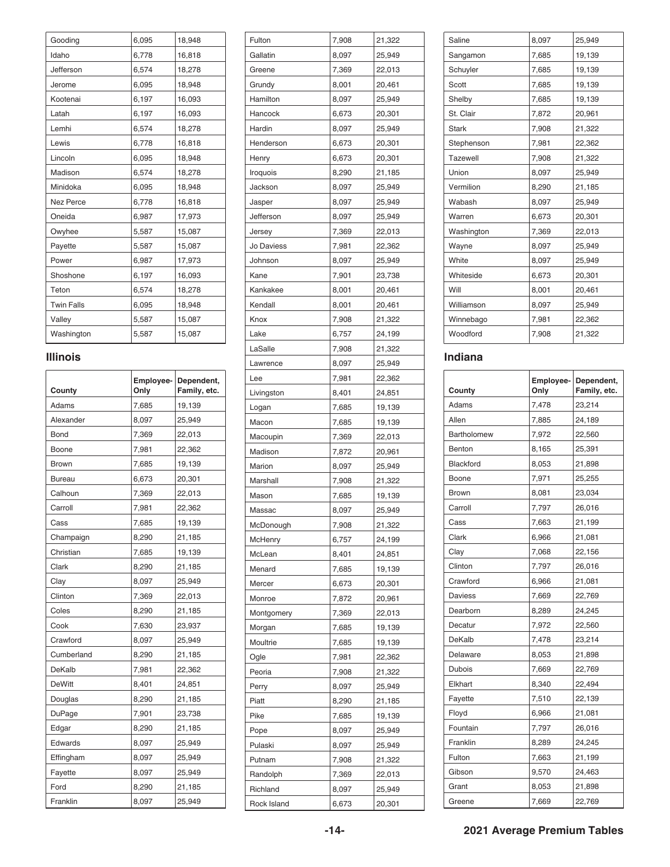| Gooding           | 6,095 | 18,948 |
|-------------------|-------|--------|
| Idaho             | 6,778 | 16,818 |
| Jefferson         | 6,574 | 18,278 |
| Jerome            | 6,095 | 18,948 |
| Kootenai          | 6,197 | 16,093 |
| Latah             | 6,197 | 16,093 |
| Lemhi             | 6,574 | 18,278 |
| Lewis             | 6,778 | 16,818 |
| Lincoln           | 6,095 | 18,948 |
| Madison           | 6,574 | 18,278 |
| Minidoka          | 6,095 | 18,948 |
| <b>Nez Perce</b>  | 6,778 | 16,818 |
| Oneida            | 6,987 | 17,973 |
| Owyhee            | 5,587 | 15,087 |
| Payette           | 5,587 | 15,087 |
| Power             | 6,987 | 17,973 |
| Shoshone          | 6,197 | 16,093 |
| Teton             | 6,574 | 18,278 |
| <b>Twin Falls</b> | 6,095 | 18,948 |
| Valley            | 5,587 | 15,087 |
| Washington        | 5,587 | 15,087 |

#### **Illinois**

| County        | Employee-<br>Only | Dependent,<br>Family, etc. |
|---------------|-------------------|----------------------------|
| Adams         | 7,685             | 19,139                     |
| Alexander     | 8,097             | 25,949                     |
| <b>Bond</b>   | 7,369             | 22,013                     |
| Boone         | 7,981             | 22,362                     |
| <b>Brown</b>  | 7,685             | 19,139                     |
| <b>Bureau</b> | 6,673             | 20,301                     |
| Calhoun       | 7,369             | 22,013                     |
| Carroll       | 7,981             | 22,362                     |
| Cass          | 7,685             | 19,139                     |
| Champaign     | 8,290             | 21,185                     |
| Christian     | 7,685             | 19,139                     |
| Clark         | 8,290             | 21,185                     |
| Clay          | 8,097             | 25,949                     |
| Clinton       | 7,369             | 22,013                     |
| Coles         | 8,290             | 21,185                     |
| Cook          | 7,630             | 23,937                     |
| Crawford      | 8,097             | 25,949                     |
| Cumberland    | 8,290             | 21,185                     |
| DeKalb        | 7,981             | 22,362                     |
| <b>DeWitt</b> | 8,401             | 24,851                     |
| Douglas       | 8,290             | 21,185                     |
| <b>DuPage</b> | 7,901             | 23,738                     |
| Edgar         | 8,290             | 21,185                     |
| Edwards       | 8,097             | 25,949                     |
| Effingham     | 8,097             | 25,949                     |
| Fayette       | 8,097             | 25,949                     |
| Ford          | 8,290             | 21,185                     |
| Franklin      | 8,097             | 25.949                     |

| Fulton     | 7,908 | 21,322 |
|------------|-------|--------|
| Gallatin   | 8,097 | 25,949 |
| Greene     | 7,369 | 22,013 |
| Grundy     | 8,001 | 20,461 |
| Hamilton   | 8,097 | 25,949 |
| Hancock    | 6,673 | 20,301 |
| Hardin     | 8,097 | 25,949 |
| Henderson  | 6,673 | 20,301 |
| Henry      | 6,673 | 20,301 |
| Iroquois   | 8,290 | 21,185 |
| Jackson    | 8,097 | 25,949 |
| Jasper     | 8,097 | 25,949 |
| Jefferson  | 8,097 | 25,949 |
| Jersey     | 7,369 | 22,013 |
| Jo Daviess | 7,981 | 22,362 |
| Johnson    | 8,097 | 25,949 |
| Kane       | 7,901 | 23,738 |
| Kankakee   | 8,001 | 20,461 |
| Kendall    | 8,001 | 20,461 |
| Knox       | 7,908 | 21,322 |
| Lake       | 6,757 | 24,199 |
| LaSalle    |       | 21,322 |
|            | 7,908 |        |
| Lawrence   | 8,097 | 25,949 |
| Lee        | 7,981 | 22,362 |
| Livingston | 8,401 | 24,851 |
| Logan      | 7,685 | 19,139 |
| Macon      | 7,685 | 19,139 |
| Macoupin   | 7,369 | 22,013 |
| Madison    | 7,872 | 20,961 |
| Marion     | 8,097 | 25,949 |
| Marshall   | 7,908 | 21,322 |
| Mason      | 7,685 | 19,139 |
| Massac     | 8,097 | 25,949 |
| McDonough  | 7,908 | 21,322 |
| McHenry    | 6,757 | 24,199 |
| McLean     | 8,401 | 24,851 |
| Menard     | 7,685 | 19,139 |
| Mercer     | 6,673 | 20,301 |
| Monroe     | 7,872 | 20,961 |
| Montgomery | 7,369 | 22,013 |
| Morgan     | 7,685 | 19,139 |
| Moultrie   | 7,685 | 19,139 |
| Ogle       | 7,981 | 22,362 |
| Peoria     | 7,908 | 21,322 |
| Perry      | 8,097 | 25,949 |
| Piatt      | 8,290 | 21,185 |
| Pike       | 7,685 | 19,139 |
| Pope       | 8,097 | 25,949 |
| Pulaski    | 8,097 | 25,949 |
| Putnam     |       | 21,322 |
|            | 7,908 |        |
| Randolph   | 7,369 | 22,013 |
| Richland   | 8,097 | 25,949 |

| Saline          | 8,097 | 25,949 |
|-----------------|-------|--------|
| Sangamon        | 7,685 | 19,139 |
| Schuyler        | 7,685 | 19,139 |
| Scott           | 7,685 | 19,139 |
| Shelby          | 7,685 | 19,139 |
| St. Clair       | 7,872 | 20,961 |
| <b>Stark</b>    | 7,908 | 21,322 |
| Stephenson      | 7,981 | 22,362 |
| <b>Tazewell</b> | 7,908 | 21,322 |
| Union           | 8,097 | 25,949 |
| Vermilion       | 8,290 | 21,185 |
| Wabash          | 8,097 | 25,949 |
| Warren          | 6,673 | 20,301 |
| Washington      | 7,369 | 22,013 |
| Wayne           | 8,097 | 25,949 |
| White           | 8,097 | 25,949 |
| Whiteside       | 6,673 | 20,301 |
| Will            | 8,001 | 20,461 |
| Williamson      | 8,097 | 25,949 |
| Winnebago       | 7,981 | 22,362 |
| Woodford        | 7,908 | 21,322 |
|                 |       |        |

#### **Indiana**

| County           | Employee-<br>Only | Dependent,<br>Family, etc. |
|------------------|-------------------|----------------------------|
| Adams            | 7,478             | 23,214                     |
| Allen            | 7,885             | 24,189                     |
| Bartholomew      | 7,972             | 22,560                     |
| Benton           | 8,165             | 25,391                     |
| <b>Blackford</b> | 8,053             | 21,898                     |
| Boone            | 7,971             | 25,255                     |
| <b>Brown</b>     | 8,081             | 23,034                     |
| Carroll          | 7,797             | 26,016                     |
| Cass             | 7,663             | 21,199                     |
| Clark            | 6,966             | 21,081                     |
| Clay             | 7,068             | 22,156                     |
| Clinton          | 7,797             | 26,016                     |
| Crawford         | 6,966             | 21,081                     |
| <b>Daviess</b>   | 7,669             | 22,769                     |
| Dearborn         | 8,289             | 24,245                     |
| Decatur          | 7,972             | 22,560                     |
| DeKalb           | 7,478             | 23,214                     |
| Delaware         | 8,053             | 21,898                     |
| Dubois           | 7,669             | 22,769                     |
| Elkhart          | 8,340             | 22,494                     |
| Fayette          | 7,510             | 22,139                     |
| Floyd            | 6,966             | 21,081                     |
| Fountain         | 7,797             | 26,016                     |
| Franklin         | 8,289             | 24,245                     |
| Fulton           | 7,663             | 21,199                     |
| Gibson           | 9,570             | 24,463                     |
| Grant            | 8,053             | 21,898                     |
| Greene           | 7,669             | 22,769                     |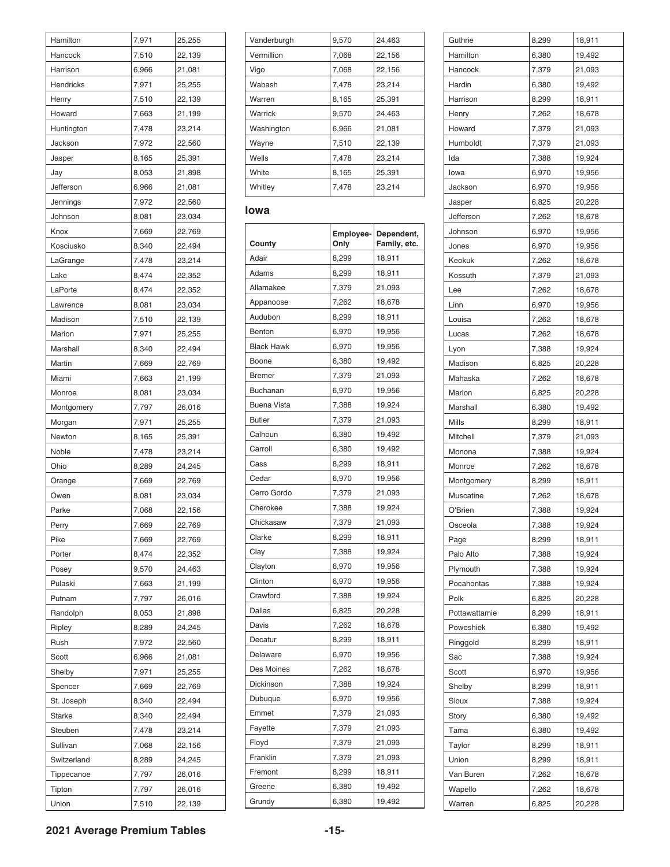| Hamilton    | 7,971 | 25,255 |
|-------------|-------|--------|
| Hancock     | 7,510 | 22,139 |
| Harrison    | 6,966 | 21,081 |
| Hendricks   | 7,971 | 25,255 |
| Henry       | 7,510 | 22,139 |
| Howard      | 7,663 | 21,199 |
| Huntington  | 7,478 | 23,214 |
| Jackson     | 7,972 | 22,560 |
| Jasper      | 8,165 | 25,391 |
| Jay         | 8,053 | 21,898 |
| Jefferson   | 6,966 | 21,081 |
| Jennings    | 7,972 | 22,560 |
| Johnson     | 8,081 | 23,034 |
| Knox        | 7,669 | 22,769 |
| Kosciusko   | 8,340 | 22,494 |
| LaGrange    | 7,478 | 23,214 |
| Lake        | 8,474 | 22,352 |
| LaPorte     | 8,474 | 22,352 |
| Lawrence    | 8,081 | 23,034 |
| Madison     | 7,510 | 22,139 |
| Marion      | 7,971 | 25,255 |
| Marshall    | 8,340 | 22,494 |
| Martin      | 7,669 | 22,769 |
| Miami       | 7,663 | 21,199 |
| Monroe      | 8,081 | 23,034 |
| Montgomery  | 7,797 | 26,016 |
| Morgan      | 7,971 | 25,255 |
| Newton      | 8,165 | 25,391 |
| Noble       | 7,478 | 23,214 |
| Ohio        | 8,289 | 24,245 |
| Orange      | 7,669 | 22,769 |
| Owen        | 8,081 | 23,034 |
| Parke       | 7,068 | 22,156 |
| Perry       | 7,669 | 22,769 |
| Pike        | 7,669 | 22,769 |
| Porter      | 8,474 | 22,352 |
| Posey       | 9,570 | 24,463 |
| Pulaski     | 7,663 | 21,199 |
| Putnam      | 7,797 | 26,016 |
| Randolph    | 8,053 | 21,898 |
|             |       |        |
| Ripley      | 8,289 | 24,245 |
| Rush        | 7,972 | 22,560 |
| Scott       | 6,966 | 21,081 |
| Shelby      | 7,971 | 25,255 |
| Spencer     | 7,669 | 22,769 |
| St. Joseph  | 8,340 | 22,494 |
| Starke      | 8,340 | 22,494 |
| Steuben     | 7,478 | 23,214 |
| Sullivan    | 7,068 | 22,156 |
| Switzerland | 8,289 | 24,245 |
| Tippecanoe  | 7,797 | 26,016 |
| Tipton      | 7,797 | 26,016 |
| Union       | 7,510 | 22,139 |

| Vanderburgh | 9,570 | 24,463 |
|-------------|-------|--------|
| Vermillion  | 7,068 | 22,156 |
| Vigo        | 7,068 | 22,156 |
| Wabash      | 7,478 | 23,214 |
| Warren      | 8,165 | 25,391 |
| Warrick     | 9,570 | 24,463 |
| Washington  | 6,966 | 21,081 |
| Wayne       | 7,510 | 22,139 |
| Wells       | 7,478 | 23,214 |
| White       | 8,165 | 25,391 |
| Whitley     | 7,478 | 23,214 |

#### **Iowa**

| County             | Employee-<br>Only | Dependent,<br>Family, etc. |
|--------------------|-------------------|----------------------------|
| Adair              | 8,299             | 18,911                     |
| Adams              | 8,299             | 18,911                     |
| Allamakee          | 7,379             | 21,093                     |
| Appanoose          | 7,262             | 18,678                     |
| Audubon            | 8,299             | 18,911                     |
| Benton             | 6,970             | 19,956                     |
| <b>Black Hawk</b>  | 6,970             | 19,956                     |
| Boone              | 6,380             | 19,492                     |
| <b>Bremer</b>      | 7,379             | 21,093                     |
| Buchanan           | 6,970             | 19,956                     |
| <b>Buena Vista</b> | 7,388             | 19,924                     |
| <b>Butler</b>      | 7,379             | 21,093                     |
| Calhoun            | 6,380             | 19,492                     |
| Carroll            | 6,380             | 19,492                     |
| Cass               | 8,299             | 18,911                     |
| Cedar              | 6,970             | 19,956                     |
| Cerro Gordo        | 7,379             | 21,093                     |
| Cherokee           | 7,388             | 19,924                     |
| Chickasaw          | 7,379             | 21,093                     |
| Clarke             | 8,299             | 18,911                     |
| Clay               | 7,388             | 19,924                     |
| Clayton            | 6,970             | 19,956                     |
| Clinton            | 6,970             | 19,956                     |
| Crawford           | 7,388             | 19,924                     |
| Dallas             | 6,825             | 20,228                     |
| Davis              | 7,262             | 18,678                     |
| Decatur            | 8,299             | 18,911                     |
| Delaware           | 6,970             | 19,956                     |
| Des Moines         | 7,262             | 18,678                     |
| Dickinson          | 7,388             | 19,924                     |
| Dubuque            | 6,970             | 19,956                     |
| Emmet              | 7,379             | 21,093                     |
| Fayette            | 7,379             | 21,093                     |
| Floyd              | 7,379             | 21,093                     |
| Franklin           | 7,379             | 21,093                     |
| Fremont            | 8,299             | 18,911                     |
| Greene             | 6,380             | 19,492                     |
| Grundy             | 6,380             | 19,492                     |

| Guthrie         | 8,299 | 18,911 |
|-----------------|-------|--------|
| Hamilton        | 6,380 | 19,492 |
| Hancock         | 7,379 | 21,093 |
| Hardin          | 6,380 | 19,492 |
| Harrison        | 8,299 | 18,911 |
| Henry           | 7,262 | 18,678 |
| Howard          | 7,379 | 21,093 |
| Humboldt        | 7,379 | 21,093 |
| Ida             | 7,388 | 19,924 |
| lowa            | 6,970 | 19,956 |
| Jackson         | 6,970 | 19,956 |
| Jasper          | 6,825 | 20,228 |
| Jefferson       | 7,262 | 18,678 |
| Johnson         | 6,970 | 19,956 |
| Jones           | 6,970 | 19,956 |
| Keokuk          | 7,262 | 18,678 |
| Kossuth         | 7,379 | 21,093 |
| Lee             | 7,262 | 18,678 |
| Linn            | 6,970 | 19,956 |
| Louisa          | 7,262 | 18,678 |
| Lucas           | 7,262 | 18,678 |
| Lyon            | 7,388 | 19,924 |
| Madison         | 6,825 | 20,228 |
| Mahaska         | 7,262 | 18,678 |
| Marion          | 6,825 | 20,228 |
| Marshall        | 6,380 | 19,492 |
| Mills           | 8,299 | 18,911 |
| Mitchell        | 7,379 | 21,093 |
| Monona          | 7,388 | 19,924 |
| Monroe          | 7,262 | 18,678 |
| Montgomery      | 8,299 | 18,911 |
| Muscatine       | 7,262 | 18,678 |
| O'Brien         | 7,388 | 19,924 |
| Osceola         | 7,388 | 19,924 |
| Page            | 8,299 | 18,911 |
| Palo Alto       | 7,388 | 19,924 |
| Plymouth        | 7,388 | 19,924 |
| Pocahontas      | 7,388 | 19,924 |
| Polk            | 6,825 | 20,228 |
| Pottawattamie   | 8,299 | 18,911 |
| Poweshiek       | 6,380 | 19,492 |
|                 | 8,299 |        |
| Ringgold<br>Sac |       | 18,911 |
|                 | 7,388 | 19,924 |
| Scott           | 6,970 | 19,956 |
| Shelby          | 8,299 | 18,911 |
| Sioux           | 7,388 | 19,924 |
| Story           | 6,380 | 19,492 |
| Tama            | 6,380 | 19,492 |
| Taylor          | 8,299 | 18,911 |
| Union           | 8,299 | 18,911 |
| Van Buren       | 7,262 | 18,678 |
| Wapello         | 7,262 | 18,678 |
| Warren          | 6,825 | 20,228 |

**2021 Average Premium Tables -15-**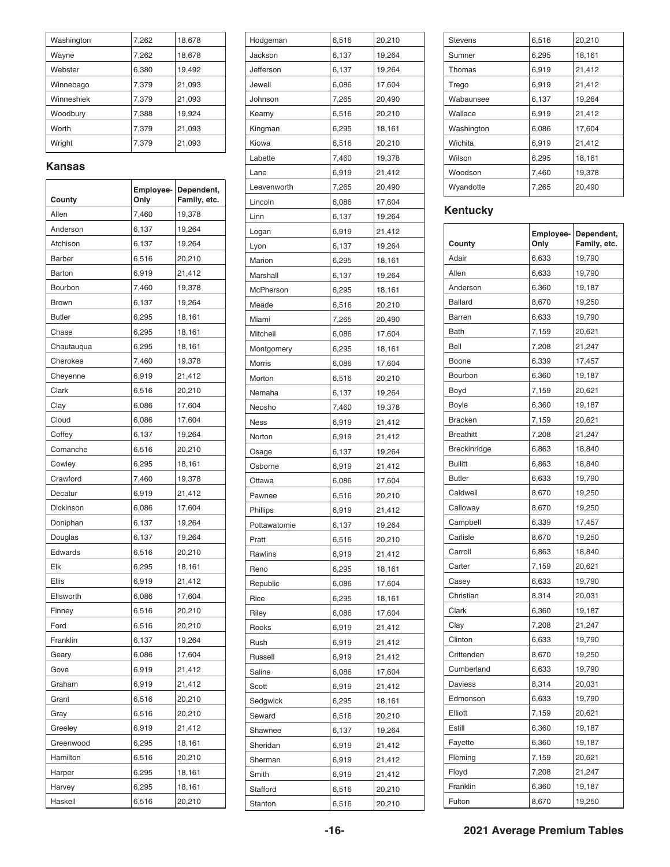| Washington | 7,262 | 18,678 |
|------------|-------|--------|
| Wayne      | 7,262 | 18,678 |
| Webster    | 6,380 | 19,492 |
| Winnebago  | 7,379 | 21,093 |
| Winneshiek | 7,379 | 21,093 |
| Woodbury   | 7,388 | 19,924 |
| Worth      | 7,379 | 21,093 |
| Wright     | 7.379 | 21,093 |

#### **Kansas**

| County        | Employee-<br>Only | Dependent,<br>Family, etc. |
|---------------|-------------------|----------------------------|
| Allen         | 7,460             | 19,378                     |
| Anderson      | 6,137             | 19,264                     |
| Atchison      | 6,137             | 19,264                     |
| <b>Barber</b> | 6,516             | 20,210                     |
| Barton        | 6,919             | 21,412                     |
| Bourbon       | 7,460             | 19,378                     |
| Brown         | 6,137             | 19,264                     |
| <b>Butler</b> | 6,295             | 18,161                     |
| Chase         | 6,295             | 18,161                     |
| Chautauqua    | 6,295             | 18,161                     |
| Cherokee      | 7,460             | 19,378                     |
| Cheyenne      | 6,919             | 21,412                     |
| Clark         | 6,516             | 20,210                     |
| Clay          | 6,086             | 17,604                     |
| Cloud         | 6,086             | 17,604                     |
| Coffey        | 6,137             | 19,264                     |
| Comanche      | 6,516             | 20,210                     |
| Cowley        | 6,295             | 18,161                     |
| Crawford      | 7,460             | 19,378                     |
| Decatur       | 6,919             | 21,412                     |
| Dickinson     | 6,086             | 17,604                     |
| Doniphan      | 6,137             | 19,264                     |
| Douglas       | 6,137             | 19,264                     |
| Edwards       | 6,516             | 20,210                     |
| Elk           | 6,295             | 18,161                     |
| Ellis         | 6,919             | 21,412                     |
| Ellsworth     | 6,086             | 17,604                     |
| Finney        | 6,516             | 20,210                     |
| Ford          | 6,516             | 20,210                     |
| Franklin      | 6,137             | 19,264                     |
| Geary         | 6,086             | 17,604                     |
| Gove          | 6,919             | 21,412                     |
| Graham        | 6,919             | 21,412                     |
| Grant         | 6,516             | 20,210                     |
| Gray          | 6,516             | 20,210                     |
| Greeley       | 6,919             | 21,412                     |
| Greenwood     | 6,295             | 18,161                     |
| Hamilton      | 6,516             | 20,210                     |
| Harper        | 6,295             | 18,161                     |
| Harvey        | 6,295             | 18,161                     |
| Haskell       | 6,516             | 20,210                     |

| Hodgeman     | 6,516 | 20,210 |
|--------------|-------|--------|
| Jackson      | 6,137 | 19,264 |
| Jefferson    | 6,137 | 19,264 |
| Jewell       | 6,086 | 17,604 |
| Johnson      | 7,265 | 20,490 |
| Kearny       | 6,516 | 20,210 |
| Kingman      | 6,295 | 18,161 |
| Kiowa        | 6,516 | 20,210 |
| Labette      | 7,460 | 19,378 |
| Lane         | 6,919 | 21,412 |
| Leavenworth  | 7,265 | 20,490 |
| Lincoln      | 6,086 | 17,604 |
| Linn         | 6,137 | 19,264 |
| Logan        | 6,919 | 21,412 |
| Lyon         | 6,137 | 19,264 |
| Marion       | 6,295 | 18,161 |
| Marshall     | 6,137 | 19,264 |
| McPherson    | 6,295 | 18,161 |
| Meade        | 6,516 | 20,210 |
| Miami        | 7,265 | 20,490 |
| Mitchell     | 6,086 | 17,604 |
| Montgomery   | 6,295 | 18,161 |
| Morris       | 6,086 | 17,604 |
| Morton       | 6,516 | 20,210 |
| Nemaha       | 6,137 | 19,264 |
| Neosho       | 7,460 | 19,378 |
| Ness         | 6,919 | 21,412 |
| Norton       | 6,919 | 21,412 |
| Osage        | 6,137 | 19,264 |
| Osborne      | 6,919 | 21,412 |
| Ottawa       | 6,086 | 17,604 |
| Pawnee       | 6,516 | 20,210 |
| Phillips     | 6,919 | 21,412 |
| Pottawatomie | 6,137 | 19,264 |
| Pratt        | 6,516 | 20,210 |
| Rawlins      | 6,919 | 21,412 |
| Reno         | 6,295 | 18,161 |
| Republic     | 6,086 | 17,604 |
| Rice         | 6,295 | 18,161 |
| Riley        | 6,086 | 17,604 |
| Rooks        | 6,919 | 21,412 |
| Rush         | 6,919 | 21,412 |
| Russell      | 6,919 | 21,412 |
| Saline       | 6,086 | 17,604 |
| Scott        | 6,919 | 21,412 |
| Sedgwick     | 6,295 | 18,161 |
| Seward       | 6,516 | 20,210 |
|              | 6,137 | 19,264 |
| Shawnee      |       |        |
| Sheridan     | 6,919 | 21,412 |
| Sherman      | 6,919 | 21,412 |
| Smith        | 6,919 | 21,412 |
| Stafford     | 6,516 | 20,210 |
| Stanton      | 6,516 | 20,210 |

| <b>Stevens</b> | 6,516 | 20,210 |
|----------------|-------|--------|
| Sumner         | 6,295 | 18,161 |
| Thomas         | 6,919 | 21,412 |
| Trego          | 6,919 | 21,412 |
| Wabaunsee      | 6,137 | 19,264 |
| Wallace        | 6,919 | 21,412 |
| Washington     | 6,086 | 17,604 |
| Wichita        | 6,919 | 21,412 |
| Wilson         | 6,295 | 18,161 |
| Woodson        | 7,460 | 19,378 |
| Wyandotte      | 7,265 | 20,490 |
|                |       |        |

#### **Kentucky**

| Employee-<br>Family, etc.<br>County<br>Only<br>Adair<br>6,633<br>19,790<br>Allen<br>6,633<br>19,790<br>6,360<br>19,187<br>Anderson<br>8,670<br>19,250<br><b>Ballard</b><br>6,633<br>Barren<br>19,790<br><b>Bath</b><br>7,159<br>20,621<br>Bell<br>21,247<br>7,208<br>Boone<br>6,339<br>17,457<br>Bourbon<br>6,360<br>19,187<br>Boyd<br>7,159<br>20,621<br>6,360<br>19,187<br>Boyle<br><b>Bracken</b><br>7,159<br>20,621<br><b>Breathitt</b><br>7,208<br>21,247<br>Breckinridge<br>6,863<br>18,840<br><b>Bullitt</b><br>6,863<br>18,840<br><b>Butler</b><br>19,790<br>6,633<br>Caldwell<br>8,670<br>19,250<br>Calloway<br>8,670<br>19,250<br>Campbell<br>6,339<br>17,457<br>Carlisle<br>8,670<br>19,250<br>Carroll<br>6,863<br>18,840<br>Carter<br>7,159<br>20,621<br>19,790<br>Casey<br>6,633<br>Christian<br>8,314<br>20,031<br>Clark<br>19,187<br>6,360<br>21,247<br>Clay<br>7,208<br>Clinton<br>6,633<br>19,790<br>Crittenden<br>8,670<br>19,250 |
|-----------------------------------------------------------------------------------------------------------------------------------------------------------------------------------------------------------------------------------------------------------------------------------------------------------------------------------------------------------------------------------------------------------------------------------------------------------------------------------------------------------------------------------------------------------------------------------------------------------------------------------------------------------------------------------------------------------------------------------------------------------------------------------------------------------------------------------------------------------------------------------------------------------------------------------------------------|
|                                                                                                                                                                                                                                                                                                                                                                                                                                                                                                                                                                                                                                                                                                                                                                                                                                                                                                                                                     |
|                                                                                                                                                                                                                                                                                                                                                                                                                                                                                                                                                                                                                                                                                                                                                                                                                                                                                                                                                     |
|                                                                                                                                                                                                                                                                                                                                                                                                                                                                                                                                                                                                                                                                                                                                                                                                                                                                                                                                                     |
|                                                                                                                                                                                                                                                                                                                                                                                                                                                                                                                                                                                                                                                                                                                                                                                                                                                                                                                                                     |
|                                                                                                                                                                                                                                                                                                                                                                                                                                                                                                                                                                                                                                                                                                                                                                                                                                                                                                                                                     |
|                                                                                                                                                                                                                                                                                                                                                                                                                                                                                                                                                                                                                                                                                                                                                                                                                                                                                                                                                     |
|                                                                                                                                                                                                                                                                                                                                                                                                                                                                                                                                                                                                                                                                                                                                                                                                                                                                                                                                                     |
|                                                                                                                                                                                                                                                                                                                                                                                                                                                                                                                                                                                                                                                                                                                                                                                                                                                                                                                                                     |
|                                                                                                                                                                                                                                                                                                                                                                                                                                                                                                                                                                                                                                                                                                                                                                                                                                                                                                                                                     |
|                                                                                                                                                                                                                                                                                                                                                                                                                                                                                                                                                                                                                                                                                                                                                                                                                                                                                                                                                     |
|                                                                                                                                                                                                                                                                                                                                                                                                                                                                                                                                                                                                                                                                                                                                                                                                                                                                                                                                                     |
|                                                                                                                                                                                                                                                                                                                                                                                                                                                                                                                                                                                                                                                                                                                                                                                                                                                                                                                                                     |
|                                                                                                                                                                                                                                                                                                                                                                                                                                                                                                                                                                                                                                                                                                                                                                                                                                                                                                                                                     |
|                                                                                                                                                                                                                                                                                                                                                                                                                                                                                                                                                                                                                                                                                                                                                                                                                                                                                                                                                     |
|                                                                                                                                                                                                                                                                                                                                                                                                                                                                                                                                                                                                                                                                                                                                                                                                                                                                                                                                                     |
|                                                                                                                                                                                                                                                                                                                                                                                                                                                                                                                                                                                                                                                                                                                                                                                                                                                                                                                                                     |
|                                                                                                                                                                                                                                                                                                                                                                                                                                                                                                                                                                                                                                                                                                                                                                                                                                                                                                                                                     |
|                                                                                                                                                                                                                                                                                                                                                                                                                                                                                                                                                                                                                                                                                                                                                                                                                                                                                                                                                     |
|                                                                                                                                                                                                                                                                                                                                                                                                                                                                                                                                                                                                                                                                                                                                                                                                                                                                                                                                                     |
|                                                                                                                                                                                                                                                                                                                                                                                                                                                                                                                                                                                                                                                                                                                                                                                                                                                                                                                                                     |
|                                                                                                                                                                                                                                                                                                                                                                                                                                                                                                                                                                                                                                                                                                                                                                                                                                                                                                                                                     |
|                                                                                                                                                                                                                                                                                                                                                                                                                                                                                                                                                                                                                                                                                                                                                                                                                                                                                                                                                     |
|                                                                                                                                                                                                                                                                                                                                                                                                                                                                                                                                                                                                                                                                                                                                                                                                                                                                                                                                                     |
|                                                                                                                                                                                                                                                                                                                                                                                                                                                                                                                                                                                                                                                                                                                                                                                                                                                                                                                                                     |
|                                                                                                                                                                                                                                                                                                                                                                                                                                                                                                                                                                                                                                                                                                                                                                                                                                                                                                                                                     |
|                                                                                                                                                                                                                                                                                                                                                                                                                                                                                                                                                                                                                                                                                                                                                                                                                                                                                                                                                     |
|                                                                                                                                                                                                                                                                                                                                                                                                                                                                                                                                                                                                                                                                                                                                                                                                                                                                                                                                                     |
|                                                                                                                                                                                                                                                                                                                                                                                                                                                                                                                                                                                                                                                                                                                                                                                                                                                                                                                                                     |
|                                                                                                                                                                                                                                                                                                                                                                                                                                                                                                                                                                                                                                                                                                                                                                                                                                                                                                                                                     |
| Cumberland<br>19,790<br>6,633                                                                                                                                                                                                                                                                                                                                                                                                                                                                                                                                                                                                                                                                                                                                                                                                                                                                                                                       |
| <b>Daviess</b><br>8,314<br>20,031                                                                                                                                                                                                                                                                                                                                                                                                                                                                                                                                                                                                                                                                                                                                                                                                                                                                                                                   |
| 6,633<br>19,790<br>Edmonson                                                                                                                                                                                                                                                                                                                                                                                                                                                                                                                                                                                                                                                                                                                                                                                                                                                                                                                         |
| Elliott<br>20,621<br>7,159                                                                                                                                                                                                                                                                                                                                                                                                                                                                                                                                                                                                                                                                                                                                                                                                                                                                                                                          |
| Estill<br>6,360<br>19,187                                                                                                                                                                                                                                                                                                                                                                                                                                                                                                                                                                                                                                                                                                                                                                                                                                                                                                                           |
| Fayette<br>6,360<br>19,187                                                                                                                                                                                                                                                                                                                                                                                                                                                                                                                                                                                                                                                                                                                                                                                                                                                                                                                          |
| Fleming<br>7,159<br>20,621                                                                                                                                                                                                                                                                                                                                                                                                                                                                                                                                                                                                                                                                                                                                                                                                                                                                                                                          |
| Floyd<br>7,208<br>21,247                                                                                                                                                                                                                                                                                                                                                                                                                                                                                                                                                                                                                                                                                                                                                                                                                                                                                                                            |
| Franklin<br>6,360<br>19,187                                                                                                                                                                                                                                                                                                                                                                                                                                                                                                                                                                                                                                                                                                                                                                                                                                                                                                                         |
| 19,250<br>Fulton<br>8,670                                                                                                                                                                                                                                                                                                                                                                                                                                                                                                                                                                                                                                                                                                                                                                                                                                                                                                                           |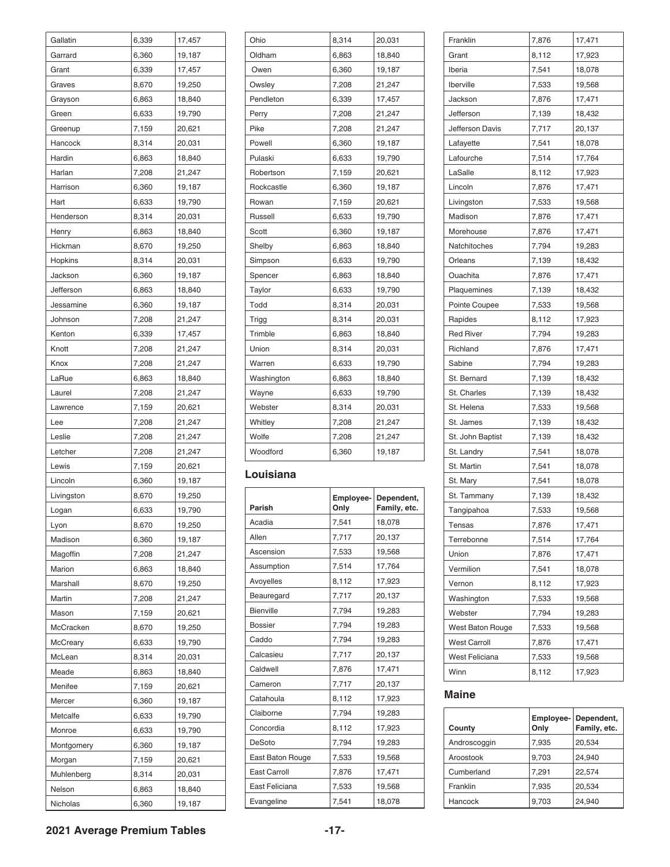| Gallatin           | 6,339          | 17,457 |
|--------------------|----------------|--------|
| Garrard            | 6,360          | 19,187 |
| Grant              | 6,339          | 17,457 |
| Graves             | 8,670          | 19,250 |
| Grayson            | 6,863          | 18,840 |
| Green              | 6,633          | 19,790 |
| Greenup            | 7,159          | 20,621 |
| Hancock            | 8,314          | 20,031 |
| Hardin             | 6,863          | 18,840 |
| Harlan             | 7,208          | 21,247 |
| Harrison           | 6,360          | 19,187 |
| Hart               | 6,633          | 19,790 |
| Henderson          | 8,314          | 20,031 |
| Henry              | 6,863          | 18,840 |
| Hickman            | 8,670          | 19,250 |
| Hopkins            | 8,314          | 20,031 |
| Jackson            | 6,360          | 19,187 |
| Jefferson          | 6,863          | 18,840 |
| Jessamine          | 6,360          | 19,187 |
| Johnson            | 7,208          | 21,247 |
| Kenton             | 6,339          | 17,457 |
| Knott              | 7,208          | 21,247 |
| Knox               | 7,208          | 21,247 |
| LaRue              | 6,863          | 18,840 |
| Laurel             | 7,208          | 21,247 |
| Lawrence           | 7,159          | 20,621 |
| Lee                | 7,208          | 21,247 |
| Leslie             | 7,208          | 21,247 |
| Letcher            | 7,208          | 21,247 |
| Lewis              | 7,159          | 20,621 |
| Lincoln            | 6,360          | 19,187 |
| Livingston         | 8,670          | 19,250 |
| Logan              | 6,633          | 19,790 |
|                    | 8,670          | 19,250 |
| Lyon<br>Madison    | 6,360          | 19,187 |
|                    |                |        |
| Magoffin           | 7,208          | 21,247 |
| Marion             | 6,863          | 18,840 |
| Marshall<br>Martin | 8,670<br>7,208 | 19,250 |
|                    |                | 21,247 |
| Mason              | 7,159          | 20,621 |
| McCracken          | 8,670          | 19,250 |
| McCreary           | 6,633          | 19,790 |
| McLean             | 8,314          | 20,031 |
| Meade              | 6,863          | 18,840 |
| Menifee            | 7,159          | 20,621 |
| Mercer             | 6,360          | 19,187 |
| Metcalfe           | 6,633          | 19,790 |
| Monroe             | 6,633          | 19,790 |
| Montgomery         | 6,360          | 19,187 |
| Morgan             | 7,159          | 20,621 |
| Muhlenberg         | 8,314          | 20,031 |
| Nelson             | 6,863          | 18,840 |
| Nicholas           | 6,360          | 19,187 |

| Ohio       | 8,314 | 20,031 |
|------------|-------|--------|
| Oldham     | 6,863 | 18,840 |
| Owen       | 6,360 | 19,187 |
| Owsley     | 7,208 | 21,247 |
| Pendleton  | 6,339 | 17,457 |
| Perry      | 7,208 | 21,247 |
| Pike       | 7,208 | 21,247 |
| Powell     | 6,360 | 19,187 |
| Pulaski    | 6,633 | 19,790 |
| Robertson  | 7,159 | 20,621 |
| Rockcastle | 6,360 | 19,187 |
| Rowan      | 7,159 | 20,621 |
| Russell    | 6,633 | 19,790 |
| Scott      | 6,360 | 19,187 |
| Shelby     | 6,863 | 18,840 |
| Simpson    | 6,633 | 19,790 |
| Spencer    | 6,863 | 18,840 |
| Taylor     | 6,633 | 19,790 |
| Todd       | 8,314 | 20,031 |
| Trigg      | 8,314 | 20,031 |
| Trimble    | 6,863 | 18,840 |
| Union      | 8,314 | 20,031 |
| Warren     | 6,633 | 19,790 |
| Washington | 6,863 | 18,840 |
| Wayne      | 6,633 | 19,790 |
| Webster    | 8,314 | 20,031 |
| Whitley    | 7,208 | 21,247 |
| Wolfe      | 7,208 | 21,247 |
| Woodford   | 6,360 | 19,187 |
|            |       |        |

#### **Louisiana**

| Parish              | Employee-<br>Only | Dependent,<br>Family, etc. |
|---------------------|-------------------|----------------------------|
| Acadia              | 7,541             | 18,078                     |
| Allen               | 7,717             | 20,137                     |
| Ascension           | 7,533             | 19,568                     |
| Assumption          | 7,514             | 17,764                     |
| Avoyelles           | 8,112             | 17,923                     |
| Beauregard          | 7,717             | 20,137                     |
| Bienville           | 7,794             | 19,283                     |
| <b>Bossier</b>      | 7,794             | 19,283                     |
| Caddo               | 7,794             | 19,283                     |
| Calcasieu           | 7,717             | 20,137                     |
| Caldwell            | 7,876             | 17,471                     |
| Cameron             | 7,717             | 20,137                     |
| Catahoula           | 8,112             | 17,923                     |
| Claiborne           | 7,794             | 19,283                     |
| Concordia           | 8,112             | 17,923                     |
| <b>DeSoto</b>       | 7,794             | 19,283                     |
| East Baton Rouge    | 7,533             | 19,568                     |
| <b>East Carroll</b> | 7,876             | 17,471                     |
| East Feliciana      | 7,533             | 19,568                     |
| Evangeline          | 7,541             | 18,078                     |

| Franklin            | 7,876 | 17,471 |
|---------------------|-------|--------|
| Grant               | 8,112 | 17,923 |
| Iberia              | 7,541 | 18,078 |
| Iberville           | 7,533 | 19,568 |
| Jackson             | 7,876 | 17,471 |
| Jefferson           | 7,139 | 18,432 |
| Jefferson Davis     | 7,717 | 20,137 |
| Lafayette           | 7,541 | 18,078 |
| Lafourche           | 7,514 | 17,764 |
| LaSalle             | 8,112 | 17,923 |
| Lincoln             | 7,876 | 17,471 |
| Livingston          | 7,533 | 19,568 |
| Madison             | 7,876 | 17,471 |
| Morehouse           | 7,876 | 17,471 |
| Natchitoches        | 7,794 | 19,283 |
| Orleans             | 7,139 | 18,432 |
| Ouachita            | 7,876 | 17,471 |
| Plaquemines         | 7,139 | 18,432 |
| Pointe Coupee       | 7,533 | 19,568 |
| Rapides             | 8,112 | 17,923 |
| <b>Red River</b>    | 7,794 | 19,283 |
| Richland            | 7,876 | 17,471 |
| Sabine              | 7,794 | 19,283 |
| St. Bernard         | 7,139 | 18,432 |
| St. Charles         | 7,139 | 18,432 |
| St. Helena          | 7,533 | 19,568 |
| St. James           | 7,139 | 18,432 |
| St. John Baptist    | 7,139 | 18,432 |
| St. Landry          | 7,541 | 18,078 |
| St. Martin          | 7,541 | 18,078 |
| St. Mary            | 7,541 | 18,078 |
| St. Tammany         | 7,139 | 18,432 |
| Tangipahoa          | 7,533 | 19,568 |
| Tensas              | 7,876 | 17,471 |
| Terrebonne          | 7,514 | 17,764 |
| Union               | 7,876 | 17,471 |
| Vermilion           | 7,541 | 18,078 |
| Vernon              | 8,112 | 17,923 |
| Washington          | 7,533 | 19,568 |
| Webster             | 7,794 | 19,283 |
| West Baton Rouge    | 7,533 | 19,568 |
| <b>West Carroll</b> | 7,876 | 17,471 |
| West Feliciana      | 7,533 | 19,568 |
| Winn                | 8,112 | 17,923 |
|                     |       |        |

#### **Maine**

| County       | Employee-<br>Only | Dependent,<br>Family, etc. |
|--------------|-------------------|----------------------------|
| Androscoggin | 7,935             | 20,534                     |
| Aroostook    | 9,703             | 24.940                     |
| Cumberland   | 7,291             | 22.574                     |
| Franklin     | 7,935             | 20,534                     |
| Hancock      | 9,703             | 24.940                     |

#### **2021 Average Premium Tables -17-**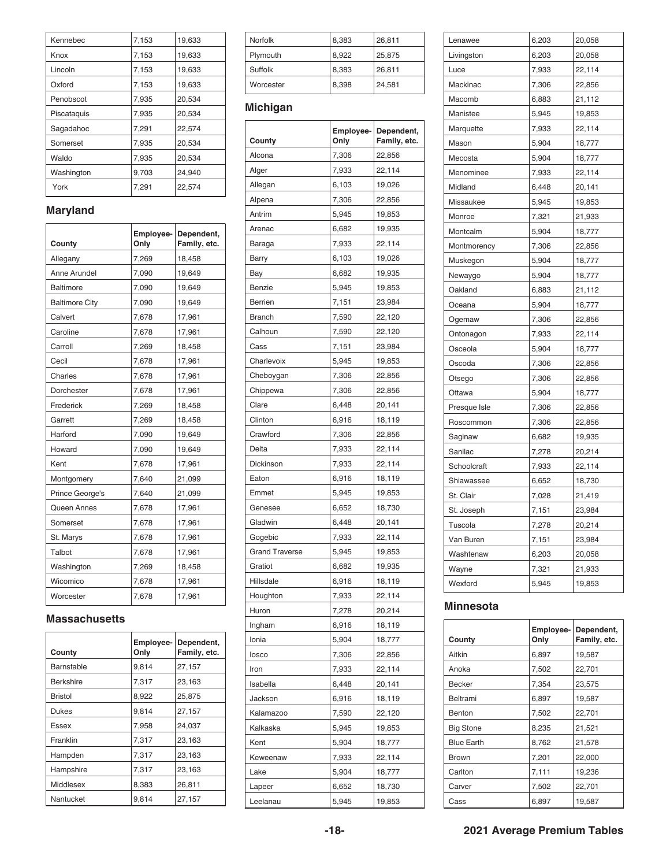| Kennebec    | 7,153 | 19,633 |
|-------------|-------|--------|
| Knox        | 7,153 | 19,633 |
| Lincoln     | 7,153 | 19,633 |
| Oxford      | 7,153 | 19,633 |
| Penobscot   | 7,935 | 20,534 |
| Piscataguis | 7,935 | 20.534 |
| Sagadahoc   | 7,291 | 22,574 |
| Somerset    | 7,935 | 20,534 |
| Waldo       | 7,935 | 20,534 |
| Washington  | 9,703 | 24,940 |
| York        | 7,291 | 22,574 |

### **Maryland**

| County                | Employee-<br>Only | Dependent,<br>Family, etc. |
|-----------------------|-------------------|----------------------------|
| Allegany              | 7,269             | 18,458                     |
| Anne Arundel          | 7,090             | 19,649                     |
| <b>Baltimore</b>      | 7,090             | 19,649                     |
| <b>Baltimore City</b> | 7,090             | 19,649                     |
| Calvert               | 7,678             | 17,961                     |
| Caroline              | 7,678             | 17,961                     |
| Carroll               | 7,269             | 18,458                     |
| Cecil                 | 7,678             | 17,961                     |
| Charles               | 7,678             | 17,961                     |
| Dorchester            | 7,678             | 17,961                     |
| Frederick             | 7,269             | 18,458                     |
| Garrett               | 7,269             | 18,458                     |
| Harford               | 7,090             | 19,649                     |
| Howard                | 7,090             | 19,649                     |
| Kent                  | 7,678             | 17,961                     |
| Montgomery            | 7,640             | 21,099                     |
| Prince George's       | 7,640             | 21,099                     |
| Queen Annes           | 7,678             | 17,961                     |
| Somerset              | 7,678             | 17,961                     |
| St. Marys             | 7,678             | 17,961                     |
| Talbot                | 7,678             | 17,961                     |
| Washington            | 7,269             | 18,458                     |
| Wicomico              | 7,678             | 17,961                     |
| Worcester             | 7,678             | 17,961                     |

#### **Massachusetts**

| County           | Employee-<br>Only | Dependent,<br>Family, etc. |
|------------------|-------------------|----------------------------|
| Barnstable       | 9.814             | 27.157                     |
| <b>Berkshire</b> | 7,317             | 23,163                     |
| <b>Bristol</b>   | 8,922             | 25,875                     |
| <b>Dukes</b>     | 9,814             | 27,157                     |
| Essex            | 7,958             | 24,037                     |
| Franklin         | 7,317             | 23,163                     |
| Hampden          | 7,317             | 23,163                     |
| Hampshire        | 7,317             | 23,163                     |
| Middlesex        | 8,383             | 26,811                     |
| Nantucket        | 9.814             | 27,157                     |

| Norfolk   | 8,383 | 26,811 |
|-----------|-------|--------|
| Plymouth  | 8,922 | 25,875 |
| Suffolk   | 8,383 | 26,811 |
| Worcester | 8,398 | 24,581 |

### **Michigan**

| County                | Employee-<br>Only | Dependent,<br>Family, etc. |
|-----------------------|-------------------|----------------------------|
| Alcona                | 7,306             | 22,856                     |
| Alger                 | 7,933             | 22,114                     |
| Allegan               | 6,103             | 19,026                     |
| Alpena                | 7,306             | 22,856                     |
| Antrim                | 5,945             | 19,853                     |
| Arenac                | 6,682             | 19,935                     |
| Baraga                | 7,933             | 22,114                     |
| Barry                 | 6,103             | 19,026                     |
| Bay                   | 6,682             | 19,935                     |
| Benzie                | 5,945             | 19,853                     |
| <b>Berrien</b>        | 7,151             | 23,984                     |
| <b>Branch</b>         | 7,590             | 22,120                     |
| Calhoun               | 7,590             | 22,120                     |
| Cass                  | 7,151             | 23,984                     |
| Charlevoix            | 5,945             | 19,853                     |
| Cheboygan             | 7,306             | 22,856                     |
| Chippewa              | 7,306             | 22,856                     |
| Clare                 | 6,448             | 20,141                     |
| Clinton               | 6,916             | 18,119                     |
| Crawford              | 7,306             | 22,856                     |
| Delta                 | 7,933             | 22,114                     |
| Dickinson             | 7,933             | 22,114                     |
| Eaton                 | 6,916             | 18,119                     |
| Emmet                 | 5,945             | 19,853                     |
| Genesee               | 6,652             | 18,730                     |
| Gladwin               | 6,448             | 20,141                     |
| Gogebic               | 7,933             | 22,114                     |
| <b>Grand Traverse</b> | 5,945             | 19,853                     |
| Gratiot               | 6,682             | 19,935                     |
| Hillsdale             | 6,916             | 18,119                     |
| Houghton              | 7,933             | 22,114                     |
| Huron                 | 7,278             | 20,214                     |
| Ingham                | 6,916             | 18,119                     |
| Ionia                 | 5,904             | 18,777                     |
| losco                 | 7,306             | 22,856                     |
| Iron                  | 7,933             | 22,114                     |
| Isabella              | 6,448             | 20,141                     |
| Jackson               | 6,916             | 18,119                     |
| Kalamazoo             | 7,590             | 22,120                     |
| Kalkaska              | 5,945             | 19,853                     |
| Kent                  | 5,904             | 18,777                     |
| Keweenaw              | 7,933             | 22,114                     |
| Lake                  | 5,904             | 18,777                     |
| Lapeer                | 6,652             | 18,730                     |
| Leelanau              | 5,945             | 19,853                     |

| Lenawee      | 6,203 | 20,058 |
|--------------|-------|--------|
| Livingston   | 6,203 | 20,058 |
| Luce         | 7,933 | 22,114 |
| Mackinac     | 7,306 | 22,856 |
| Macomb       | 6,883 | 21,112 |
| Manistee     | 5,945 | 19,853 |
| Marquette    | 7,933 | 22,114 |
| Mason        | 5,904 | 18,777 |
| Mecosta      | 5,904 | 18,777 |
| Menominee    | 7,933 | 22,114 |
| Midland      | 6,448 | 20,141 |
| Missaukee    | 5,945 | 19,853 |
| Monroe       | 7,321 | 21,933 |
| Montcalm     | 5,904 | 18,777 |
| Montmorency  | 7,306 | 22,856 |
| Muskegon     | 5,904 | 18,777 |
| Newaygo      | 5,904 | 18,777 |
| Oakland      | 6,883 | 21,112 |
| Oceana       | 5,904 | 18,777 |
| Ogemaw       | 7,306 | 22,856 |
| Ontonagon    | 7,933 | 22,114 |
| Osceola      | 5,904 | 18,777 |
| Oscoda       | 7,306 | 22,856 |
| Otsego       | 7,306 | 22,856 |
| Ottawa       | 5,904 | 18,777 |
| Presque Isle | 7,306 | 22,856 |
| Roscommon    | 7,306 | 22,856 |
| Saginaw      | 6,682 | 19,935 |
| Sanilac      | 7,278 | 20,214 |
| Schoolcraft  | 7,933 | 22,114 |
| Shiawassee   | 6,652 | 18,730 |
| St. Clair    | 7,028 | 21,419 |
| St. Joseph   | 7,151 | 23,984 |
| Tuscola      | 7,278 | 20,214 |
| Van Buren    | 7,151 | 23,984 |
| Washtenaw    | 6,203 | 20,058 |
| Wayne        | 7,321 | 21,933 |
| Wexford      | 5,945 | 19,853 |

#### **Minnesota**

| County            | Only  | Employee-   Dependent,<br>Family, etc. |
|-------------------|-------|----------------------------------------|
| Aitkin            | 6,897 | 19,587                                 |
| Anoka             | 7,502 | 22,701                                 |
| <b>Becker</b>     | 7,354 | 23,575                                 |
| Beltrami          | 6,897 | 19,587                                 |
| Benton            | 7,502 | 22,701                                 |
| <b>Big Stone</b>  | 8,235 | 21,521                                 |
| <b>Blue Earth</b> | 8,762 | 21.578                                 |
| <b>Brown</b>      | 7,201 | 22,000                                 |
| Carlton           | 7,111 | 19,236                                 |
| Carver            | 7,502 | 22,701                                 |
| Cass              | 6,897 | 19,587                                 |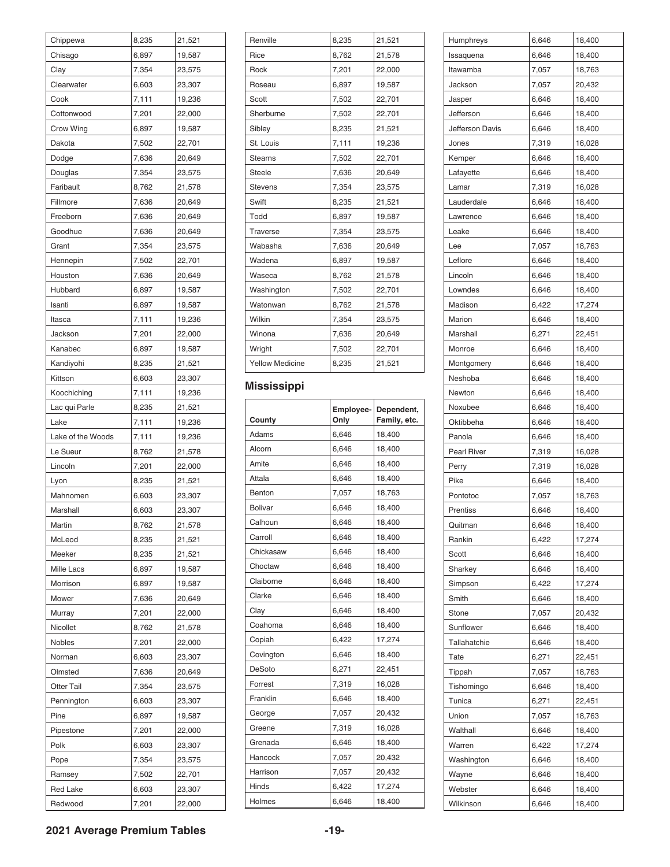| Chippewa          | 8,235          | 21,521 |
|-------------------|----------------|--------|
| Chisago           | 6,897          | 19,587 |
| Clay              | 7,354          | 23,575 |
| Clearwater        | 6,603          | 23,307 |
| Cook              | 7,111          | 19,236 |
| Cottonwood        | 7,201          | 22,000 |
| Crow Wing         | 6,897          | 19,587 |
| Dakota            | 7,502          | 22,701 |
| Dodge             | 7,636          | 20,649 |
| Douglas           | 7,354          | 23,575 |
| Faribault         | 8,762          | 21,578 |
| Fillmore          | 7,636          | 20,649 |
| Freeborn          | 7,636          | 20,649 |
| Goodhue           | 7,636          | 20,649 |
| Grant             | 7,354          | 23,575 |
| Hennepin          | 7,502          | 22,701 |
| Houston           | 7,636          | 20,649 |
| Hubbard           | 6,897          | 19,587 |
| Isanti            | 6,897          | 19,587 |
| Itasca            | 7,111          | 19,236 |
| Jackson           | 7,201          | 22,000 |
| Kanabec           | 6,897          | 19,587 |
| Kandiyohi         | 8,235          | 21,521 |
| Kittson           | 6,603          | 23,307 |
| Koochiching       | 7,111          | 19,236 |
| Lac qui Parle     | 8,235          | 21,521 |
| Lake              | 7,111          | 19,236 |
| Lake of the Woods | 7,111          | 19,236 |
| Le Sueur          | 8,762          | 21,578 |
| Lincoln           | 7,201          | 22,000 |
| Lyon              | 8,235          | 21,521 |
| Mahnomen          | 6,603          | 23,307 |
| Marshall          | 6,603          | 23,307 |
| Martin            | 8,762          | 21,578 |
| McLeod            | 8,235          | 21,521 |
| Meeker            |                | 21,521 |
| Mille Lacs        | 8,235<br>6,897 | 19,587 |
| Morrison          | 6,897          | 19,587 |
| Mower             | 7,636          | 20,649 |
|                   |                |        |
| Murray            | 7,201          | 22,000 |
| Nicollet          | 8,762          | 21,578 |
| Nobles            | 7,201          | 22,000 |
| Norman            | 6,603          | 23,307 |
| Olmsted           | 7,636          | 20,649 |
| <b>Otter Tail</b> | 7,354          | 23,575 |
| Pennington        | 6,603          | 23,307 |
| Pine              | 6,897          | 19,587 |
| Pipestone         | 7,201          | 22,000 |
| Polk              | 6,603          | 23,307 |
| Pope              | 7,354          | 23,575 |
| Ramsey            | 7,502          | 22,701 |
| <b>Red Lake</b>   | 6,603          | 23,307 |
| Redwood           | 7,201          | 22,000 |

| Renville               | 8,235 | 21,521 |
|------------------------|-------|--------|
| Rice                   | 8,762 | 21,578 |
| Rock                   | 7,201 | 22,000 |
| Roseau                 | 6,897 | 19,587 |
| Scott                  | 7,502 | 22,701 |
| Sherburne              | 7,502 | 22,701 |
| Sibley                 | 8,235 | 21,521 |
| St. Louis              | 7,111 | 19,236 |
| <b>Stearns</b>         | 7,502 | 22,701 |
| <b>Steele</b>          | 7,636 | 20,649 |
| <b>Stevens</b>         | 7,354 | 23,575 |
| Swift                  | 8,235 | 21,521 |
| Todd                   | 6,897 | 19,587 |
| <b>Traverse</b>        | 7,354 | 23,575 |
| Wabasha                | 7,636 | 20,649 |
| Wadena                 | 6,897 | 19,587 |
| Waseca                 | 8,762 | 21,578 |
| Washington             | 7,502 | 22,701 |
| Watonwan               | 8,762 | 21,578 |
| Wilkin                 | 7,354 | 23,575 |
| Winona                 | 7,636 | 20,649 |
| Wright                 | 7,502 | 22,701 |
| <b>Yellow Medicine</b> | 8,235 | 21,521 |
|                        |       |        |

### **Mississippi**

| County         | Employee-<br>Only | Dependent,<br>Family, etc. |
|----------------|-------------------|----------------------------|
| Adams          | 6,646             | 18,400                     |
| Alcorn         | 6,646             | 18,400                     |
| Amite          | 6,646             | 18,400                     |
| Attala         | 6,646             | 18,400                     |
| Benton         | 7,057             | 18,763                     |
| <b>Bolivar</b> | 6,646             | 18,400                     |
| Calhoun        | 6,646             | 18,400                     |
| Carroll        | 6,646             | 18,400                     |
| Chickasaw      | 6,646             | 18,400                     |
| Choctaw        | 6,646             | 18,400                     |
| Claiborne      | 6.646             | 18,400                     |
| Clarke         | 6,646             | 18,400                     |
| Clav           | 6,646             | 18,400                     |
| Coahoma        | 6,646             | 18,400                     |
| Copiah         | 6,422             | 17,274                     |
| Covington      | 6,646             | 18,400                     |
| DeSoto         | 6,271             | 22,451                     |
| Forrest        | 7,319             | 16,028                     |
| Franklin       | 6,646             | 18,400                     |
| George         | 7,057             | 20,432                     |
| Greene         | 7,319             | 16,028                     |
| Grenada        | 6,646             | 18,400                     |
| Hancock        | 7,057             | 20,432                     |
| Harrison       | 7,057             | 20,432                     |
| Hinds          | 6,422             | 17,274                     |
| Holmes         | 6,646             | 18,400                     |

| Humphreys          | 6,646 | 18,400 |
|--------------------|-------|--------|
| Issaquena          | 6,646 | 18,400 |
| Itawamba           | 7,057 | 18,763 |
| Jackson            | 7,057 | 20,432 |
| Jasper             | 6,646 | 18,400 |
| Jefferson          | 6,646 | 18,400 |
| Jefferson Davis    | 6,646 | 18,400 |
| Jones              | 7,319 | 16,028 |
| Kemper             | 6,646 | 18,400 |
| Lafayette          | 6,646 | 18,400 |
| Lamar              | 7,319 | 16,028 |
| Lauderdale         | 6,646 | 18,400 |
| Lawrence           | 6,646 | 18,400 |
| Leake              | 6,646 | 18,400 |
| Lee                | 7,057 | 18,763 |
| Leflore            | 6,646 | 18,400 |
| Lincoln            | 6,646 | 18,400 |
| Lowndes            | 6,646 | 18,400 |
| Madison            | 6,422 | 17,274 |
| Marion             | 6,646 | 18,400 |
| Marshall           | 6,271 | 22,451 |
| Monroe             | 6,646 | 18,400 |
| Montgomery         | 6,646 | 18,400 |
| Neshoba            | 6,646 | 18,400 |
| Newton             | 6,646 | 18,400 |
| Noxubee            | 6,646 | 18,400 |
| Oktibbeha          | 6,646 | 18,400 |
| Panola             | 6,646 | 18,400 |
| <b>Pearl River</b> | 7,319 | 16,028 |
| Perry              | 7,319 | 16,028 |
| Pike               | 6,646 | 18,400 |
| Pontotoc           | 7,057 | 18,763 |
| Prentiss           |       |        |
|                    | 6,646 | 18,400 |
| Quitman            | 6,646 | 18,400 |
| Rankin             | 6,422 | 17,274 |
| Scott              | 6,646 | 18,400 |
| Sharkey            | 6,646 | 18,400 |
| Simpson            | 6,422 | 17,274 |
| Smith              | 6,646 | 18,400 |
| Stone              | 7,057 | 20,432 |
| Sunflower          | 6,646 | 18,400 |
| Tallahatchie       | 6,646 | 18,400 |
| Tate               | 6,271 | 22,451 |
| Tippah             | 7,057 | 18,763 |
| Tishomingo         | 6,646 | 18,400 |
| Tunica             | 6,271 | 22,451 |
| Union              | 7,057 | 18,763 |
| Walthall           | 6,646 | 18,400 |
| Warren             | 6,422 | 17,274 |
| Washington         | 6,646 | 18,400 |
| Wayne              | 6,646 | 18,400 |
| Webster            | 6,646 | 18,400 |
| Wilkinson          | 6,646 | 18,400 |

#### **2021 Average Premium Tables -19-**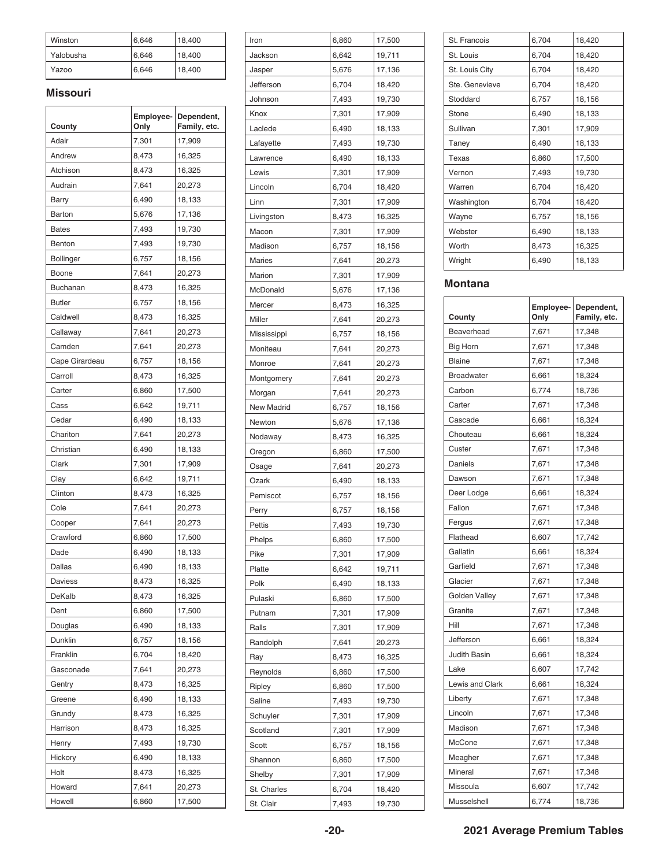| Winston   | 6,646 | 18,400 |
|-----------|-------|--------|
| Yalobusha | 6,646 | 18,400 |
| Yazoo     | 6,646 | 18,400 |

#### **Missouri**

| County         | Employee-<br>Only | Dependent,<br>Family, etc. |
|----------------|-------------------|----------------------------|
| Adair          | 7,301             | 17,909                     |
| Andrew         | 8,473             | 16,325                     |
| Atchison       | 8,473             | 16,325                     |
| Audrain        | 7,641             | 20,273                     |
| Barry          | 6,490             | 18,133                     |
| Barton         | 5,676             | 17,136                     |
| <b>Bates</b>   | 7,493             | 19,730                     |
| Benton         | 7,493             | 19,730                     |
| Bollinger      | 6,757             | 18,156                     |
| Boone          | 7,641             | 20,273                     |
| Buchanan       | 8,473             | 16,325                     |
| <b>Butler</b>  | 6,757             | 18,156                     |
| Caldwell       | 8,473             | 16,325                     |
| Callaway       | 7,641             | 20,273                     |
| Camden         | 7,641             | 20,273                     |
| Cape Girardeau | 6,757             | 18,156                     |
| Carroll        | 8,473             | 16,325                     |
| Carter         | 6,860             | 17,500                     |
| Cass           | 6,642             | 19,711                     |
| Cedar          | 6,490             | 18,133                     |
| Chariton       | 7,641             | 20,273                     |
| Christian      | 6,490             | 18,133                     |
| Clark          | 7,301             | 17,909                     |
| Clay           | 6,642             | 19,711                     |
| Clinton        | 8,473             | 16,325                     |
| Cole           | 7,641             | 20,273                     |
| Cooper         | 7,641             | 20,273                     |
| Crawford       | 6,860             | 17,500                     |
| Dade           | 6,490             | 18,133                     |
| Dallas         | 6,490             | 18,133                     |
| Daviess        | 8,473             | 16,325                     |
| DeKalb         | 8.473             | 16,325                     |
| Dent           | 6,860             | 17,500                     |
| Douglas        | 6,490             | 18,133                     |
| Dunklin        | 6,757             | 18,156                     |
| Franklin       | 6,704             | 18,420                     |
| Gasconade      | 7,641             | 20,273                     |
| Gentry         | 8,473             | 16,325                     |
| Greene         | 6,490             | 18,133                     |
| Grundy         | 8,473             | 16,325                     |
| Harrison       | 8,473             | 16,325                     |
| Henry          | 7,493             | 19,730                     |
| Hickory        | 6,490             | 18,133                     |
| Holt           | 8,473             | 16,325                     |
| Howard         | 7,641             | 20,273                     |
| Howell         | 6,860             | 17,500                     |

| Iron        | 6,860 | 17,500 |
|-------------|-------|--------|
| Jackson     | 6,642 | 19,711 |
| Jasper      | 5,676 | 17,136 |
| Jefferson   | 6,704 | 18,420 |
| Johnson     | 7,493 | 19,730 |
| Knox        | 7,301 | 17,909 |
| Laclede     | 6,490 | 18,133 |
| Lafayette   | 7,493 | 19,730 |
| Lawrence    | 6,490 | 18,133 |
| Lewis       | 7,301 | 17,909 |
| Lincoln     | 6,704 | 18,420 |
| Linn        | 7,301 | 17,909 |
| Livingston  | 8,473 | 16,325 |
|             |       |        |
| Macon       | 7,301 | 17,909 |
| Madison     | 6,757 | 18,156 |
| Maries      | 7,641 | 20,273 |
| Marion      | 7,301 | 17,909 |
| McDonald    | 5,676 | 17,136 |
| Mercer      | 8,473 | 16,325 |
| Miller      | 7,641 | 20,273 |
| Mississippi | 6,757 | 18,156 |
| Moniteau    | 7,641 | 20,273 |
| Monroe      | 7,641 | 20,273 |
| Montgomery  | 7,641 | 20,273 |
| Morgan      | 7,641 | 20,273 |
| New Madrid  | 6,757 | 18,156 |
| Newton      | 5,676 | 17,136 |
| Nodaway     | 8,473 | 16,325 |
| Oregon      | 6,860 | 17,500 |
| Osage       | 7,641 | 20,273 |
| Ozark       | 6,490 | 18,133 |
| Pemiscot    | 6,757 | 18,156 |
| Perry       | 6,757 | 18,156 |
| Pettis      | 7,493 | 19,730 |
| Phelps      | 6,860 | 17,500 |
| Pike        | 7,301 | 17,909 |
| Platte      | 6,642 | 19,711 |
| Polk        | 6,490 | 18,133 |
| Pulaski     | 6,860 | 17,500 |
| Putnam      | 7,301 | 17,909 |
| Ralls       | 7,301 | 17,909 |
| Randolph    | 7,641 | 20,273 |
| Ray         | 8,473 | 16,325 |
| Reynolds    | 6,860 | 17,500 |
| Ripley      | 6,860 | 17,500 |
| Saline      | 7,493 | 19,730 |
| Schuyler    | 7,301 | 17,909 |
| Scotland    | 7,301 | 17,909 |
|             |       |        |
| Scott       | 6,757 | 18,156 |
| Shannon     | 6,860 | 17,500 |
| Shelby      | 7,301 | 17,909 |
| St. Charles | 6,704 | 18,420 |
| St. Clair   | 7,493 | 19,730 |

| St. Francois   | 6,704 | 18,420 |
|----------------|-------|--------|
| St. Louis      | 6,704 | 18,420 |
| St. Louis City | 6,704 | 18,420 |
| Ste. Genevieve | 6,704 | 18,420 |
| Stoddard       | 6,757 | 18,156 |
| Stone          | 6,490 | 18,133 |
| Sullivan       | 7,301 | 17,909 |
| Taney          | 6,490 | 18,133 |
| Texas          | 6,860 | 17,500 |
| Vernon         | 7,493 | 19,730 |
| Warren         | 6,704 | 18,420 |
| Washington     | 6,704 | 18,420 |
| Wayne          | 6,757 | 18,156 |
| Webster        | 6,490 | 18,133 |
| Worth          | 8,473 | 16,325 |
| Wright         | 6,490 | 18,133 |
|                |       |        |

#### **Montana**

| County            | Employee-<br>Only | Dependent,<br>Family, etc. |
|-------------------|-------------------|----------------------------|
| Beaverhead        | 7,671             | 17,348                     |
| <b>Big Horn</b>   | 7,671             | 17,348                     |
| <b>Blaine</b>     | 7,671             | 17,348                     |
| <b>Broadwater</b> | 6,661             | 18,324                     |
| Carbon            | 6,774             | 18,736                     |
| Carter            | 7,671             | 17,348                     |
| Cascade           | 6,661             | 18,324                     |
| Chouteau          | 6,661             | 18,324                     |
| Custer            | 7,671             | 17,348                     |
| Daniels           | 7,671             | 17,348                     |
| Dawson            | 7,671             | 17,348                     |
| Deer Lodge        | 6,661             | 18,324                     |
| Fallon            | 7,671             | 17,348                     |
| Fergus            | 7,671             | 17,348                     |
| Flathead          | 6,607             | 17,742                     |
| Gallatin          | 6,661             | 18,324                     |
| Garfield          | 7,671             | 17,348                     |
| Glacier           | 7,671             | 17,348                     |
| Golden Valley     | 7,671             | 17,348                     |
| Granite           | 7,671             | 17,348                     |
| Hill              | 7,671             | 17,348                     |
| Jefferson         | 6,661             | 18,324                     |
| Judith Basin      | 6,661             | 18,324                     |
| Lake              | 6,607             | 17,742                     |
| Lewis and Clark   | 6,661             | 18,324                     |
| Liberty           | 7,671             | 17,348                     |
| Lincoln           | 7,671             | 17,348                     |
| Madison           | 7,671             | 17,348                     |
| McCone            | 7,671             | 17,348                     |
| Meagher           | 7,671             | 17,348                     |
| Mineral           | 7,671             | 17,348                     |
| Missoula          | 6,607             | 17,742                     |
| Musselshell       | 6,774             | 18,736                     |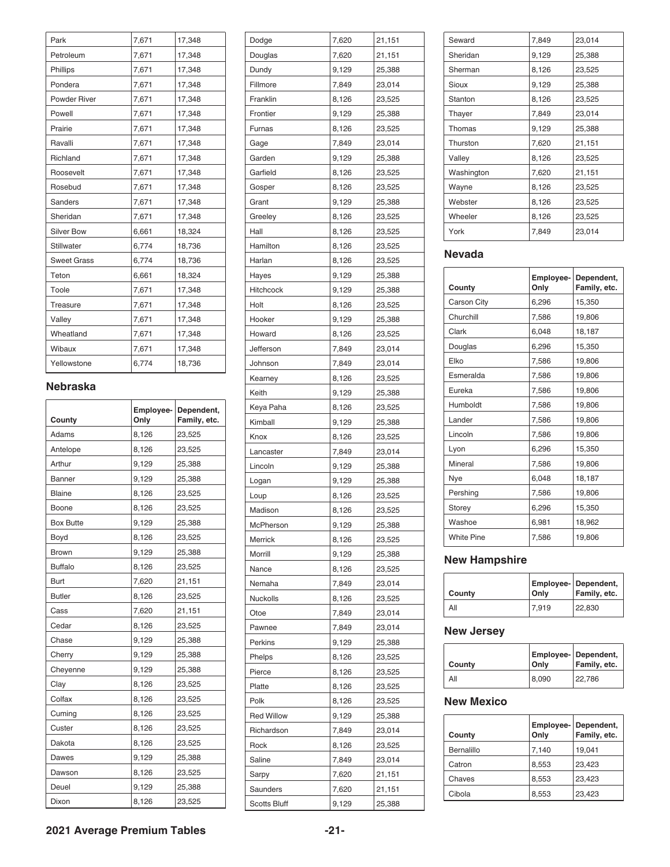| Park                | 7,671 | 17,348 |
|---------------------|-------|--------|
| Petroleum           | 7,671 | 17,348 |
| Phillips            | 7,671 | 17,348 |
| Pondera             | 7,671 | 17,348 |
| <b>Powder River</b> | 7,671 | 17,348 |
| Powell              | 7,671 | 17,348 |
| Prairie             | 7,671 | 17,348 |
| Ravalli             | 7,671 | 17,348 |
| Richland            | 7,671 | 17,348 |
| Roosevelt           | 7,671 | 17,348 |
| Rosebud             | 7,671 | 17,348 |
| <b>Sanders</b>      | 7,671 | 17,348 |
| Sheridan            | 7,671 | 17,348 |
| <b>Silver Bow</b>   | 6,661 | 18,324 |
| <b>Stillwater</b>   | 6,774 | 18,736 |
| <b>Sweet Grass</b>  | 6,774 | 18,736 |
| Teton               | 6,661 | 18,324 |
| Toole               | 7,671 | 17,348 |
| <b>Treasure</b>     | 7,671 | 17,348 |
| Valley              | 7,671 | 17,348 |
| Wheatland           | 7,671 | 17,348 |
| Wibaux              | 7,671 | 17,348 |
| Yellowstone         | 6,774 | 18,736 |

#### **Nebraska**

| County           | Employee-<br>Only | Dependent,<br>Family, etc. |
|------------------|-------------------|----------------------------|
| Adams            | 8,126             | 23,525                     |
| Antelope         | 8,126             | 23,525                     |
| Arthur           | 9,129             | 25,388                     |
| <b>Banner</b>    | 9,129             | 25,388                     |
| <b>Blaine</b>    | 8,126             | 23,525                     |
| Boone            | 8,126             | 23,525                     |
| <b>Box Butte</b> | 9,129             | 25,388                     |
| Boyd             | 8,126             | 23,525                     |
| Brown            | 9,129             | 25,388                     |
| <b>Buffalo</b>   | 8,126             | 23,525                     |
| Burt             | 7,620             | 21,151                     |
| <b>Butler</b>    | 8,126             | 23,525                     |
| Cass             | 7,620             | 21,151                     |
| Cedar            | 8,126             | 23,525                     |
| Chase            | 9,129             | 25,388                     |
| Cherry           | 9,129             | 25,388                     |
| Cheyenne         | 9,129             | 25,388                     |
| Clay             | 8,126             | 23,525                     |
| Colfax           | 8,126             | 23,525                     |
| Cuming           | 8,126             | 23,525                     |
| Custer           | 8,126             | 23,525                     |
| Dakota           | 8,126             | 23,525                     |
| Dawes            | 9,129             | 25,388                     |
| Dawson           | 8,126             | 23,525                     |
| Deuel            | 9,129             | 25,388                     |
| Dixon            | 8,126             | 23,525                     |

| Dodge               | 7,620 | 21,151 |
|---------------------|-------|--------|
| Douglas             | 7,620 | 21,151 |
| Dundy               | 9,129 | 25,388 |
| Fillmore            | 7,849 | 23,014 |
| Franklin            | 8,126 | 23,525 |
| Frontier            | 9,129 | 25,388 |
| Furnas              | 8,126 | 23,525 |
| Gage                | 7,849 | 23,014 |
| Garden              | 9,129 | 25,388 |
| Garfield            | 8,126 | 23,525 |
| Gosper              | 8,126 | 23,525 |
| Grant               | 9,129 | 25,388 |
| Greeley             | 8,126 | 23,525 |
| Hall                | 8,126 | 23,525 |
| Hamilton            | 8,126 | 23,525 |
| Harlan              | 8,126 | 23,525 |
| Hayes               | 9,129 | 25,388 |
| Hitchcock           | 9,129 | 25,388 |
| Holt                | 8,126 | 23,525 |
| Hooker              | 9,129 | 25,388 |
| Howard              | 8,126 | 23,525 |
| Jefferson           | 7,849 | 23,014 |
| Johnson             | 7,849 | 23,014 |
| Kearney             | 8,126 | 23,525 |
| Keith               | 9,129 | 25,388 |
| Keya Paha           | 8,126 | 23,525 |
| Kimball             | 9,129 | 25,388 |
| Knox                | 8,126 | 23,525 |
| Lancaster           | 7,849 | 23,014 |
| Lincoln             | 9,129 | 25,388 |
| Logan               | 9,129 | 25,388 |
| Loup                | 8,126 | 23,525 |
| Madison             | 8,126 | 23,525 |
| McPherson           | 9,129 | 25,388 |
| Merrick             | 8,126 | 23,525 |
| Morrill             | 9,129 | 25,388 |
| Nance               | 8,126 | 23,525 |
| Nemaha              | 7,849 | 23,014 |
| Nuckolls            | 8,126 | 23,525 |
| Otoe                | 7,849 | 23,014 |
| Pawnee              | 7,849 | 23,014 |
| Perkins             | 9,129 | 25,388 |
| Phelps              | 8,126 | 23,525 |
| Pierce              | 8,126 | 23,525 |
| Platte              | 8,126 | 23,525 |
| Polk                | 8,126 | 23,525 |
| <b>Red Willow</b>   | 9,129 | 25,388 |
| Richardson          | 7,849 | 23,014 |
| Rock                | 8,126 | 23,525 |
| Saline              | 7,849 | 23,014 |
| Sarpy               | 7,620 | 21,151 |
| Saunders            | 7,620 | 21,151 |
| <b>Scotts Bluff</b> | 9,129 | 25,388 |
|                     |       |        |

| Seward     | 7,849 | 23,014 |
|------------|-------|--------|
| Sheridan   | 9,129 | 25,388 |
| Sherman    | 8,126 | 23,525 |
| Sioux      | 9,129 | 25,388 |
| Stanton    | 8,126 | 23,525 |
| Thayer     | 7,849 | 23,014 |
| Thomas     | 9,129 | 25,388 |
| Thurston   | 7,620 | 21,151 |
| Valley     | 8,126 | 23,525 |
| Washington | 7,620 | 21,151 |
| Wayne      | 8,126 | 23,525 |
| Webster    | 8,126 | 23,525 |
| Wheeler    | 8,126 | 23,525 |
| York       | 7,849 | 23,014 |
|            |       |        |

### **Nevada**

|                   | Employee- | Dependent,   |
|-------------------|-----------|--------------|
| County            | Only      | Family, etc. |
| Carson City       | 6,296     | 15,350       |
| Churchill         | 7.586     | 19,806       |
| Clark             | 6,048     | 18,187       |
| Douglas           | 6.296     | 15,350       |
| Elko              | 7.586     | 19.806       |
| Esmeralda         | 7,586     | 19,806       |
| Eureka            | 7.586     | 19.806       |
| Humboldt          | 7,586     | 19,806       |
| Lander            | 7,586     | 19,806       |
| Lincoln           | 7,586     | 19,806       |
| Lyon              | 6,296     | 15,350       |
| Mineral           | 7,586     | 19,806       |
| Nye               | 6,048     | 18,187       |
| Pershing          | 7,586     | 19,806       |
| Storey            | 6,296     | 15,350       |
| Washoe            | 6.981     | 18,962       |
| <b>White Pine</b> | 7,586     | 19,806       |

### **New Hampshire**

| County | Only  | Employee- Dependent,<br>Family, etc. |
|--------|-------|--------------------------------------|
| All    | 7.919 | 22.830                               |

### **New Jersey**

| County | Only  | <b>Employee- Dependent,</b><br>Family, etc. |
|--------|-------|---------------------------------------------|
| All    | 8,090 | 22,786                                      |

#### **New Mexico**

| County     | Only  | Employee- Dependent,<br>Family, etc. |
|------------|-------|--------------------------------------|
| Bernalillo | 7,140 | 19,041                               |
| Catron     | 8,553 | 23,423                               |
| Chaves     | 8,553 | 23,423                               |
| Cibola     | 8,553 | 23,423                               |

**2021 Average Premium Tables -21-**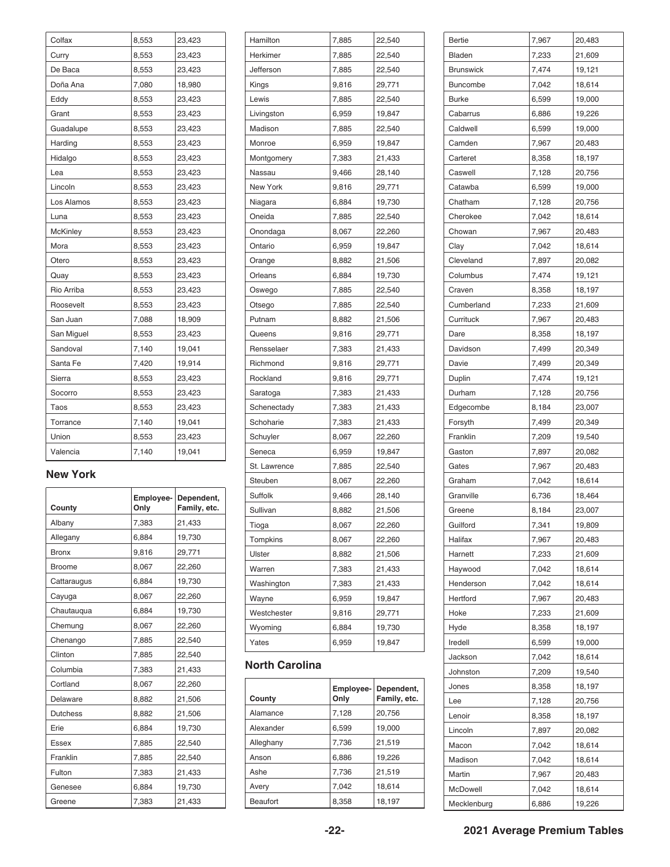| Colfax     | 8,553 | 23,423 |
|------------|-------|--------|
| Curry      | 8,553 | 23,423 |
| De Baca    | 8,553 | 23,423 |
| Doña Ana   | 7,080 | 18,980 |
| Eddy       | 8,553 | 23,423 |
| Grant      | 8,553 | 23,423 |
| Guadalupe  | 8,553 | 23,423 |
| Harding    | 8,553 | 23,423 |
| Hidalgo    | 8,553 | 23,423 |
| Lea        | 8,553 | 23,423 |
| Lincoln    | 8,553 | 23,423 |
| Los Alamos | 8,553 | 23,423 |
| Luna       | 8,553 | 23,423 |
| McKinley   | 8,553 | 23,423 |
| Mora       | 8,553 | 23,423 |
| Otero      | 8,553 | 23,423 |
| Quay       | 8,553 | 23,423 |
| Rio Arriba | 8,553 | 23,423 |
| Roosevelt  | 8,553 | 23,423 |
| San Juan   | 7,088 | 18,909 |
| San Miguel | 8,553 | 23,423 |
| Sandoval   | 7,140 | 19,041 |
| Santa Fe   | 7,420 | 19,914 |
| Sierra     | 8,553 | 23,423 |
| Socorro    | 8,553 | 23,423 |
| Taos       | 8,553 | 23,423 |
| Torrance   | 7,140 | 19,041 |
| Union      | 8,553 | 23,423 |
| Valencia   | 7,140 | 19,041 |

#### **New York**

| County          | Employee-<br>Only | Dependent,<br>Family, etc. |
|-----------------|-------------------|----------------------------|
| Albany          | 7,383             | 21,433                     |
| Allegany        | 6,884             | 19,730                     |
| <b>Bronx</b>    | 9,816             | 29,771                     |
| <b>Broome</b>   | 8,067             | 22,260                     |
| Cattaraugus     | 6,884             | 19,730                     |
| Cayuga          | 8,067             | 22,260                     |
| Chautauqua      | 6,884             | 19,730                     |
| Chemung         | 8,067             | 22,260                     |
| Chenango        | 7,885             | 22,540                     |
| Clinton         | 7,885             | 22,540                     |
| Columbia        | 7,383             | 21,433                     |
| Cortland        | 8,067             | 22,260                     |
| Delaware        | 8,882             | 21,506                     |
| <b>Dutchess</b> | 8,882             | 21,506                     |
| Erie            | 6,884             | 19,730                     |
| <b>Essex</b>    | 7,885             | 22,540                     |
| Franklin        | 7,885             | 22,540                     |
| Fulton          | 7,383             | 21,433                     |
| Genesee         | 6,884             | 19,730                     |
| Greene          | 7,383             | 21,433                     |

| Hamilton     | 7,885 | 22,540 |
|--------------|-------|--------|
| Herkimer     | 7,885 | 22,540 |
| Jefferson    | 7,885 | 22,540 |
| Kings        | 9,816 | 29,771 |
| Lewis        | 7,885 | 22,540 |
| Livingston   | 6,959 | 19,847 |
| Madison      | 7,885 | 22,540 |
| Monroe       | 6,959 | 19,847 |
| Montgomery   | 7,383 | 21,433 |
| Nassau       | 9,466 | 28,140 |
| New York     | 9,816 | 29,771 |
| Niagara      | 6,884 | 19,730 |
| Oneida       | 7,885 | 22,540 |
| Onondaga     | 8,067 | 22,260 |
| Ontario      | 6,959 | 19,847 |
| Orange       | 8,882 | 21,506 |
| Orleans      | 6,884 | 19,730 |
| Oswego       | 7,885 | 22,540 |
| Otsego       | 7,885 | 22,540 |
| Putnam       | 8,882 | 21,506 |
| Queens       | 9,816 | 29,771 |
| Rensselaer   | 7,383 | 21,433 |
| Richmond     | 9,816 | 29,771 |
| Rockland     | 9,816 | 29,771 |
| Saratoga     | 7,383 | 21,433 |
| Schenectady  | 7,383 | 21,433 |
| Schoharie    | 7,383 | 21,433 |
| Schuyler     | 8,067 | 22,260 |
| Seneca       | 6,959 | 19,847 |
| St. Lawrence | 7,885 | 22,540 |
| Steuben      | 8,067 | 22,260 |
| Suffolk      | 9,466 | 28,140 |
| Sullivan     | 8,882 | 21,506 |
| Tioga        | 8,067 | 22,260 |
| Tompkins     | 8,067 | 22,260 |
| Ulster       |       |        |
|              | 8,882 | 21,506 |
| Warren       | 7,383 | 21,433 |
| Washington   | 7,383 | 21,433 |
| Wayne        | 6,959 | 19,847 |
| Westchester  | 9,816 | 29,771 |
| Wyoming      | 6,884 | 19,730 |

#### **North Carolina**

| County    | Only  | Employee- Dependent,<br>Family, etc. |
|-----------|-------|--------------------------------------|
| Alamance  | 7,128 | 20,756                               |
| Alexander | 6,599 | 19,000                               |
| Alleghany | 7,736 | 21,519                               |
| Anson     | 6,886 | 19,226                               |
| Ashe      | 7,736 | 21,519                               |
| Avery     | 7,042 | 18,614                               |
| Beaufort  | 8,358 | 18,197                               |

| Bertie           | 7,967 | 20,483 |
|------------------|-------|--------|
| Bladen           | 7,233 | 21,609 |
| <b>Brunswick</b> | 7,474 | 19,121 |
| Buncombe         | 7,042 | 18,614 |
| <b>Burke</b>     | 6,599 | 19,000 |
| Cabarrus         | 6,886 | 19,226 |
| Caldwell         | 6,599 | 19,000 |
| Camden           | 7,967 | 20,483 |
| Carteret         | 8,358 | 18,197 |
| Caswell          | 7,128 | 20,756 |
| Catawba          | 6,599 | 19,000 |
| Chatham          | 7,128 | 20,756 |
| Cherokee         | 7,042 | 18,614 |
| Chowan           | 7,967 | 20,483 |
| Clay             | 7,042 | 18,614 |
| Cleveland        | 7,897 | 20,082 |
| Columbus         | 7,474 | 19,121 |
| Craven           | 8,358 | 18,197 |
| Cumberland       | 7,233 | 21,609 |
| Currituck        | 7,967 | 20,483 |
| Dare             | 8,358 | 18,197 |
| Davidson         | 7,499 | 20,349 |
| Davie            | 7,499 | 20,349 |
| Duplin           | 7,474 | 19,121 |
| Durham           | 7,128 | 20,756 |
| Edgecombe        | 8,184 | 23,007 |
| Forsyth          | 7,499 | 20,349 |
| Franklin         | 7,209 | 19,540 |
| Gaston           | 7,897 | 20,082 |
| Gates            | 7,967 | 20,483 |
| Graham           | 7,042 | 18,614 |
| Granville        | 6,736 | 18,464 |
| Greene           | 8,184 | 23,007 |
| Guilford         | 7,341 | 19,809 |
| Halifax          | 7,967 | 20,483 |
| Harnett          | 7,233 | 21,609 |
| Haywood          | 7,042 | 18,614 |
| Henderson        | 7,042 | 18,614 |
| Hertford         | 7,967 | 20,483 |
| Hoke             | 7,233 | 21,609 |
| Hyde             | 8,358 | 18,197 |
| Iredell          | 6,599 | 19,000 |
| Jackson          | 7,042 | 18,614 |
| Johnston         | 7,209 | 19,540 |
| Jones            | 8,358 | 18,197 |
| Lee              | 7,128 | 20,756 |
| Lenoir           | 8,358 | 18,197 |
| Lincoln          | 7,897 | 20,082 |
| Macon            | 7,042 | 18,614 |
| Madison          | 7,042 | 18,614 |
| Martin           | 7,967 | 20,483 |
| McDowell         | 7,042 | 18,614 |
| Mecklenburg      | 6,886 | 19,226 |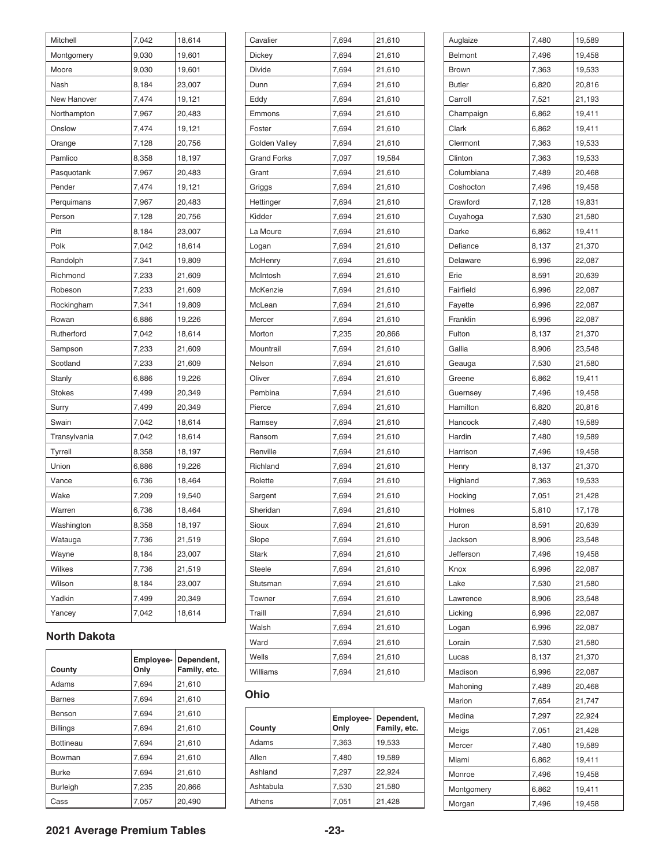| Mitchell      | 7,042 | 18,614 |
|---------------|-------|--------|
| Montgomery    | 9,030 | 19,601 |
| Moore         | 9,030 | 19,601 |
| Nash          | 8,184 | 23,007 |
| New Hanover   | 7,474 | 19,121 |
| Northampton   | 7,967 | 20,483 |
| Onslow        | 7,474 | 19,121 |
| Orange        | 7,128 | 20,756 |
| Pamlico       | 8,358 | 18,197 |
| Pasquotank    | 7,967 | 20,483 |
| Pender        | 7,474 | 19,121 |
| Perquimans    | 7,967 | 20,483 |
| Person        | 7,128 | 20,756 |
| Pitt          | 8,184 | 23,007 |
| Polk          | 7,042 | 18,614 |
| Randolph      | 7,341 | 19,809 |
| Richmond      | 7,233 | 21,609 |
| Robeson       | 7,233 | 21,609 |
| Rockingham    | 7,341 | 19,809 |
| Rowan         | 6,886 | 19,226 |
| Rutherford    | 7,042 | 18,614 |
| Sampson       | 7,233 | 21,609 |
| Scotland      | 7,233 | 21,609 |
| Stanly        | 6,886 | 19,226 |
| <b>Stokes</b> | 7,499 | 20,349 |
| Surry         | 7,499 | 20,349 |
| Swain         | 7,042 | 18,614 |
| Transylvania  | 7,042 | 18,614 |
| Tyrrell       | 8,358 | 18,197 |
| Union         | 6,886 | 19,226 |
| Vance         | 6,736 | 18,464 |
| Wake          | 7,209 | 19,540 |
| Warren        | 6,736 | 18,464 |
| Washington    | 8,358 | 18,197 |
| Watauga       | 7,736 | 21,519 |
| Wayne         | 8,184 | 23,007 |
| Wilkes        | 7,736 | 21,519 |
| Wilson        | 8,184 | 23,007 |
| Yadkin        | 7,499 | 20,349 |
| Yancey        | 7,042 | 18,614 |

#### **North Dakota**

| County           | Employee-<br>Only | Dependent,<br>Family, etc. |
|------------------|-------------------|----------------------------|
| Adams            | 7.694             | 21,610                     |
| <b>Barnes</b>    | 7,694             | 21,610                     |
| Benson           | 7,694             | 21,610                     |
| <b>Billings</b>  | 7,694             | 21,610                     |
| <b>Bottineau</b> | 7,694             | 21,610                     |
| Bowman           | 7,694             | 21,610                     |
| <b>Burke</b>     | 7,694             | 21,610                     |
| <b>Burleigh</b>  | 7,235             | 20,866                     |
| Cass             | 7.057             | 20.490                     |

| Cavalier           | 7,694 | 21,610 |
|--------------------|-------|--------|
| Dickey             | 7,694 | 21,610 |
| Divide             | 7,694 | 21,610 |
| Dunn               | 7,694 | 21,610 |
| Eddy               | 7,694 | 21,610 |
| Emmons             | 7,694 | 21,610 |
| Foster             | 7,694 | 21,610 |
| Golden Valley      | 7,694 | 21,610 |
| <b>Grand Forks</b> | 7,097 | 19,584 |
| Grant              | 7,694 | 21,610 |
| Griggs             | 7,694 | 21,610 |
| Hettinger          | 7,694 | 21,610 |
| Kidder             | 7,694 | 21,610 |
| La Moure           | 7,694 | 21,610 |
| Logan              | 7,694 | 21,610 |
| McHenry            | 7,694 | 21,610 |
| McIntosh           | 7,694 | 21,610 |
| McKenzie           | 7,694 | 21,610 |
| McLean             | 7,694 | 21,610 |
| Mercer             | 7,694 | 21,610 |
| Morton             | 7,235 | 20,866 |
| Mountrail          | 7,694 | 21,610 |
| Nelson             | 7,694 | 21,610 |
| Oliver             | 7,694 | 21,610 |
| Pembina            | 7,694 | 21,610 |
| Pierce             | 7,694 | 21,610 |
| Ramsey             | 7,694 | 21,610 |
| Ransom             | 7,694 | 21,610 |
| Renville           | 7,694 | 21,610 |
| Richland           | 7,694 | 21,610 |
| Rolette            | 7,694 | 21,610 |
| Sargent            | 7,694 | 21,610 |
| Sheridan           | 7,694 | 21,610 |
| Sioux              | 7,694 | 21,610 |
| Slope              | 7,694 | 21,610 |
| Stark              | 7,694 | 21,610 |
| Steele             | 7,694 | 21,610 |
| Stutsman           | 7,694 | 21,610 |
| Towner             | 7,694 | 21,610 |
| Traill             | 7,694 | 21,610 |
| Walsh              | 7,694 | 21,610 |
| Ward               | 7,694 | 21,610 |
| Wells              | 7,694 | 21,610 |
| Williams           | 7,694 | 21,610 |

#### **Ohio**

| County    | Employee-<br>Only | Dependent,<br>Family, etc. |
|-----------|-------------------|----------------------------|
| Adams     | 7,363             | 19,533                     |
| Allen     | 7.480             | 19,589                     |
| Ashland   | 7,297             | 22.924                     |
| Ashtabula | 7,530             | 21,580                     |
| Athens    | 7,051             | 21,428                     |

| Auglaize      | 7,480 | 19,589 |
|---------------|-------|--------|
| Belmont       | 7,496 | 19,458 |
| <b>Brown</b>  | 7,363 | 19,533 |
| <b>Butler</b> | 6,820 | 20,816 |
| Carroll       | 7,521 | 21,193 |
| Champaign     | 6,862 | 19,411 |
| Clark         | 6,862 | 19,411 |
| Clermont      | 7,363 | 19,533 |
| Clinton       | 7,363 | 19,533 |
| Columbiana    | 7,489 | 20,468 |
| Coshocton     | 7,496 | 19,458 |
| Crawford      | 7,128 | 19,831 |
| Cuyahoga      | 7,530 | 21,580 |
| Darke         | 6,862 | 19,411 |
| Defiance      | 8,137 | 21,370 |
| Delaware      | 6,996 | 22,087 |
| Erie          |       |        |
|               | 8,591 | 20,639 |
| Fairfield     | 6,996 | 22,087 |
| Fayette       | 6,996 | 22,087 |
| Franklin      | 6,996 | 22,087 |
| Fulton        | 8,137 | 21,370 |
| Gallia        | 8,906 | 23,548 |
| Geauga        | 7,530 | 21,580 |
| Greene        | 6,862 | 19,411 |
| Guernsey      | 7,496 | 19,458 |
| Hamilton      | 6,820 | 20,816 |
| Hancock       | 7,480 | 19,589 |
| Hardin        | 7,480 | 19,589 |
| Harrison      | 7,496 | 19,458 |
| Henry         | 8,137 | 21,370 |
| Highland      | 7,363 | 19,533 |
| Hocking       | 7,051 | 21,428 |
| Holmes        | 5,810 | 17,178 |
| Huron         | 8,591 | 20,639 |
| Jackson       | 8,906 | 23,548 |
| Jefferson     | 7,496 | 19,458 |
| Knox          | 6,996 | 22,087 |
| Lake          | 7,530 | 21,580 |
| Lawrence      | 8,906 | 23,548 |
| Licking       | 6,996 | 22,087 |
| Logan         | 6,996 | 22,087 |
| Lorain        | 7,530 | 21,580 |
| Lucas         | 8,137 | 21,370 |
| Madison       | 6,996 | 22,087 |
| Mahoning      | 7,489 | 20,468 |
| Marion        | 7,654 | 21,747 |
| Medina        | 7,297 | 22,924 |
| Meigs         | 7,051 | 21,428 |
| Mercer        | 7,480 | 19,589 |
| Miami         | 6,862 | 19,411 |
| Monroe        |       |        |
|               | 7,496 | 19,458 |
| Montgomery    | 6,862 | 19,411 |
| Morgan        | 7,496 | 19,458 |

#### **2021 Average Premium Tables -23-**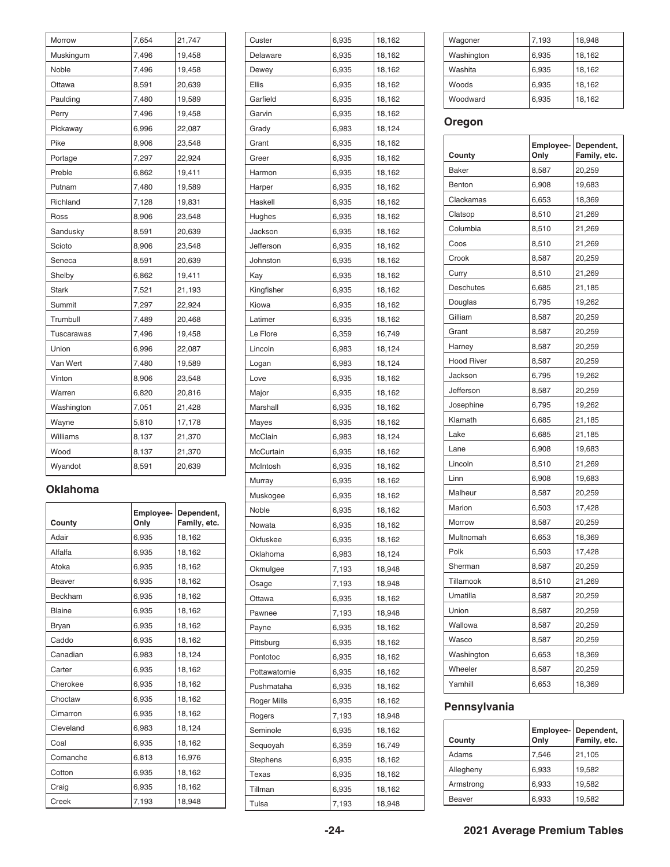| Morrow       | 7,654 | 21,747 |
|--------------|-------|--------|
| Muskingum    | 7,496 | 19,458 |
| Noble        | 7,496 | 19,458 |
| Ottawa       | 8,591 | 20,639 |
| Paulding     | 7,480 | 19,589 |
| Perry        | 7,496 | 19,458 |
| Pickaway     | 6,996 | 22,087 |
| Pike         | 8,906 | 23,548 |
| Portage      | 7,297 | 22,924 |
| Preble       | 6,862 | 19,411 |
| Putnam       | 7,480 | 19,589 |
| Richland     | 7,128 | 19,831 |
| Ross         | 8,906 | 23,548 |
| Sandusky     | 8,591 | 20,639 |
| Scioto       | 8,906 | 23,548 |
| Seneca       | 8,591 | 20,639 |
| Shelby       | 6,862 | 19,411 |
| <b>Stark</b> | 7,521 | 21,193 |
| Summit       | 7,297 | 22,924 |
| Trumbull     | 7,489 | 20,468 |
| Tuscarawas   | 7,496 | 19,458 |
| Union        | 6,996 | 22,087 |
| Van Wert     | 7,480 | 19,589 |
| Vinton       | 8,906 | 23,548 |
| Warren       | 6,820 | 20,816 |
| Washington   | 7,051 | 21,428 |
| Wayne        | 5,810 | 17,178 |
| Williams     | 8,137 | 21,370 |
| Wood         | 8,137 | 21,370 |
| Wyandot      | 8,591 | 20,639 |

#### **Oklahoma**

| County        | Employee-<br>Only | Dependent,<br>Family, etc. |
|---------------|-------------------|----------------------------|
| Adair         | 6,935             | 18,162                     |
| Alfalfa       | 6,935             | 18,162                     |
| Atoka         | 6,935             | 18,162                     |
| Beaver        | 6,935             | 18,162                     |
| Beckham       | 6,935             | 18,162                     |
| <b>Blaine</b> | 6,935             | 18,162                     |
| Bryan         | 6,935             | 18,162                     |
| Caddo         | 6,935             | 18,162                     |
| Canadian      | 6,983             | 18,124                     |
| Carter        | 6,935             | 18,162                     |
| Cherokee      | 6,935             | 18,162                     |
| Choctaw       | 6,935             | 18,162                     |
| Cimarron      | 6,935             | 18,162                     |
| Cleveland     | 6,983             | 18,124                     |
| Coal          | 6,935             | 18,162                     |
| Comanche      | 6,813             | 16,976                     |
| Cotton        | 6,935             | 18,162                     |
| Craig         | 6,935             | 18,162                     |
| Creek         | 7,193             | 18,948                     |

| Custer       | 6,935 | 18,162 |
|--------------|-------|--------|
| Delaware     | 6,935 | 18,162 |
| Dewey        | 6,935 | 18,162 |
| Ellis        | 6,935 | 18,162 |
| Garfield     | 6,935 | 18,162 |
| Garvin       | 6,935 | 18,162 |
| Grady        | 6,983 | 18,124 |
| Grant        | 6,935 | 18,162 |
| Greer        | 6,935 | 18,162 |
| Harmon       | 6,935 | 18,162 |
| Harper       | 6,935 | 18,162 |
| Haskell      | 6,935 | 18,162 |
| Hughes       | 6,935 | 18,162 |
| Jackson      | 6,935 | 18,162 |
| Jefferson    | 6,935 | 18,162 |
| Johnston     | 6,935 | 18,162 |
|              |       |        |
| Kay          | 6,935 | 18,162 |
| Kingfisher   | 6,935 | 18,162 |
| Kiowa        | 6,935 | 18,162 |
| Latimer      | 6,935 | 18,162 |
| Le Flore     | 6,359 | 16,749 |
| Lincoln      | 6,983 | 18,124 |
| Logan        | 6,983 | 18,124 |
| Love         | 6,935 | 18,162 |
| Major        | 6,935 | 18,162 |
| Marshall     | 6,935 | 18,162 |
| Mayes        | 6,935 | 18,162 |
| McClain      | 6,983 | 18,124 |
| McCurtain    | 6,935 | 18,162 |
| McIntosh     | 6,935 | 18,162 |
| Murray       | 6,935 | 18,162 |
| Muskogee     | 6,935 | 18,162 |
| Noble        | 6,935 | 18,162 |
| Nowata       | 6,935 | 18,162 |
| Okfuskee     | 6,935 | 18,162 |
| Oklahoma     | 6,983 | 18,124 |
| Okmulgee     | 7,193 | 18,948 |
| Osage        | 7,193 | 18,948 |
| Ottawa       | 6,935 | 18,162 |
| Pawnee       | 7,193 | 18,948 |
| Payne        | 6,935 | 18,162 |
| Pittsburg    | 6,935 | 18,162 |
| Pontotoc     | 6,935 | 18,162 |
| Pottawatomie | 6,935 | 18,162 |
| Pushmataha   | 6,935 | 18,162 |
| Roger Mills  | 6,935 | 18,162 |
| Rogers       | 7,193 | 18,948 |
| Seminole     | 6,935 | 18,162 |
| Sequoyah     | 6,359 | 16,749 |
| Stephens     | 6,935 | 18,162 |
| Texas        | 6,935 | 18,162 |
| Tillman      | 6,935 | 18,162 |
| Tulsa        | 7,193 | 18,948 |
|              |       |        |

| Wagoner    | 7,193 | 18,948 |
|------------|-------|--------|
| Washington | 6,935 | 18,162 |
| Washita    | 6,935 | 18,162 |
| Woods      | 6,935 | 18,162 |
| Woodward   | 6,935 | 18,162 |
|            |       |        |

### **Oregon**

| County            | Employee-<br>Only | Dependent,<br>Family, etc. |
|-------------------|-------------------|----------------------------|
| <b>Baker</b>      | 8,587             | 20,259                     |
| Benton            | 6,908             | 19,683                     |
| Clackamas         | 6,653             | 18,369                     |
| Clatsop           | 8,510             | 21,269                     |
| Columbia          | 8,510             | 21,269                     |
| Coos              | 8,510             | 21,269                     |
| Crook             | 8,587             | 20,259                     |
| Curry             | 8,510             | 21,269                     |
| <b>Deschutes</b>  | 6,685             | 21,185                     |
| Douglas           | 6,795             | 19,262                     |
| Gilliam           | 8,587             | 20,259                     |
| Grant             | 8,587             | 20,259                     |
| Harney            | 8,587             | 20,259                     |
| <b>Hood River</b> | 8,587             | 20,259                     |
| Jackson           | 6,795             | 19,262                     |
| Jefferson         | 8,587             | 20,259                     |
| Josephine         | 6,795             | 19,262                     |
| Klamath           | 6,685             | 21,185                     |
| Lake              | 6,685             | 21,185                     |
| Lane              | 6,908             | 19,683                     |
| Lincoln           | 8,510             | 21,269                     |
| Linn              | 6,908             | 19,683                     |
| Malheur           | 8,587             | 20,259                     |
| Marion            | 6,503             | 17,428                     |
| Morrow            | 8,587             | 20,259                     |
| Multnomah         | 6,653             | 18,369                     |
| Polk              | 6,503             | 17,428                     |
| Sherman           | 8,587             | 20,259                     |
| Tillamook         | 8,510             | 21,269                     |
| Umatilla          | 8,587             | 20,259                     |
| Union             | 8,587             | 20,259                     |
| Wallowa           | 8,587             | 20,259                     |
| Wasco             | 8,587             | 20,259                     |
| Washington        | 6,653             | 18,369                     |
| Wheeler           | 8,587             | 20,259                     |
| Yamhill           | 6,653             | 18,369                     |

### **Pennsylvania**

| County    | Only  | Employee- Dependent,<br>Family, etc. |
|-----------|-------|--------------------------------------|
| Adams     | 7.546 | 21,105                               |
| Allegheny | 6,933 | 19,582                               |
| Armstrong | 6,933 | 19,582                               |
| Beaver    | 6,933 | 19,582                               |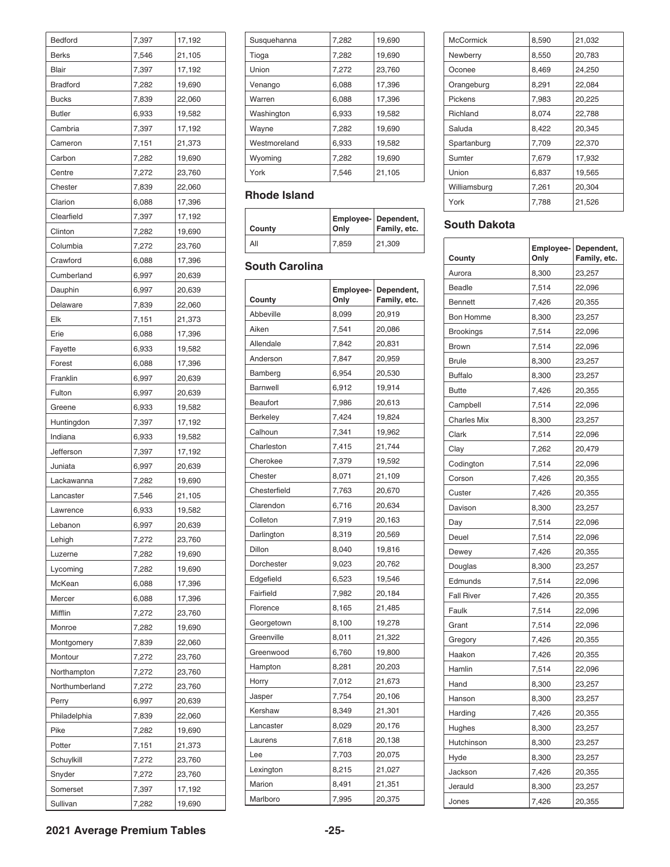| Bedford         | 7,397 | 17,192 |
|-----------------|-------|--------|
| <b>Berks</b>    | 7,546 | 21,105 |
| Blair           | 7,397 | 17,192 |
| <b>Bradford</b> | 7,282 | 19,690 |
| <b>Bucks</b>    | 7,839 | 22,060 |
| <b>Butler</b>   | 6,933 | 19,582 |
| Cambria         | 7,397 | 17,192 |
| Cameron         | 7,151 | 21,373 |
| Carbon          | 7,282 | 19,690 |
| Centre          | 7,272 | 23,760 |
| Chester         | 7,839 | 22,060 |
| Clarion         | 6,088 | 17,396 |
| Clearfield      | 7,397 | 17,192 |
| Clinton         | 7,282 | 19,690 |
| Columbia        | 7,272 | 23,760 |
| Crawford        |       |        |
|                 | 6,088 | 17,396 |
| Cumberland      | 6,997 | 20,639 |
| Dauphin         | 6,997 | 20,639 |
| Delaware        | 7,839 | 22,060 |
| Elk             | 7,151 | 21,373 |
| Erie            | 6,088 | 17,396 |
| Fayette         | 6,933 | 19,582 |
| Forest          | 6,088 | 17,396 |
| Franklin        | 6,997 | 20,639 |
| Fulton          | 6,997 | 20,639 |
| Greene          | 6,933 | 19,582 |
| Huntingdon      | 7,397 | 17,192 |
| Indiana         | 6,933 | 19,582 |
| Jefferson       | 7,397 | 17,192 |
| Juniata         | 6,997 | 20,639 |
| Lackawanna      | 7,282 | 19,690 |
| Lancaster       | 7,546 | 21,105 |
| Lawrence        | 6,933 | 19,582 |
| Lebanon         | 6,997 | 20,639 |
| Lehigh          | 7,272 | 23,760 |
| Luzerne         | 7,282 | 19,690 |
| Lycoming        | 7,282 | 19,690 |
| McKean          | 6,088 | 17,396 |
| Mercer          | 6,088 | 17,396 |
| Mifflin         | 7,272 | 23,760 |
| Monroe          | 7,282 | 19,690 |
| Montgomery      | 7,839 | 22,060 |
| Montour         | 7,272 | 23,760 |
| Northampton     | 7,272 | 23,760 |
| Northumberland  |       |        |
|                 | 7,272 | 23,760 |
| Perry           | 6,997 | 20,639 |
| Philadelphia    | 7,839 | 22,060 |
| Pike            | 7,282 | 19,690 |
| Potter          | 7,151 | 21,373 |
| Schuylkill      | 7,272 | 23,760 |
| Snyder          | 7,272 | 23,760 |
| Somerset        | 7,397 | 17,192 |
| Sullivan        | 7,282 | 19,690 |

| Susquehanna  | 7,282 | 19,690 |
|--------------|-------|--------|
| Tioga        | 7,282 | 19,690 |
| Union        | 7,272 | 23,760 |
| Venango      | 6,088 | 17,396 |
| Warren       | 6,088 | 17,396 |
| Washington   | 6,933 | 19,582 |
| Wayne        | 7,282 | 19,690 |
| Westmoreland | 6,933 | 19,582 |
| Wyoming      | 7.282 | 19,690 |
| York         | 7,546 | 21,105 |

#### **Rhode Island**

| County | <b>Only</b> | <b>Employee- Dependent,</b><br>Family, etc. |
|--------|-------------|---------------------------------------------|
| All    | 7.859       | 21.309                                      |

### **South Carolina**

| County          | Employee-<br>Only | Dependent,<br>Family, etc. |
|-----------------|-------------------|----------------------------|
| Abbeville       | 8,099             | 20,919                     |
| Aiken           | 7,541             | 20,086                     |
| Allendale       | 7,842             | 20,831                     |
| Anderson        | 7,847             | 20,959                     |
| Bamberg         | 6,954             | 20,530                     |
| Barnwell        | 6,912             | 19,914                     |
| <b>Beaufort</b> | 7,986             | 20,613                     |
| Berkeley        | 7,424             | 19,824                     |
| Calhoun         | 7,341             | 19,962                     |
| Charleston      | 7,415             | 21,744                     |
| Cherokee        | 7,379             | 19,592                     |
| Chester         | 8,071             | 21,109                     |
| Chesterfield    | 7,763             | 20,670                     |
| Clarendon       | 6,716             | 20,634                     |
| Colleton        | 7,919             | 20,163                     |
| Darlington      | 8,319             | 20,569                     |
| Dillon          | 8,040             | 19,816                     |
| Dorchester      | 9,023             | 20,762                     |
| Edgefield       | 6,523             | 19,546                     |
| Fairfield       | 7,982             | 20,184                     |
| Florence        | 8,165             | 21,485                     |
| Georgetown      | 8,100             | 19,278                     |
| Greenville      | 8,011             | 21,322                     |
| Greenwood       | 6,760             | 19,800                     |
| Hampton         | 8,281             | 20,203                     |
| Horry           | 7,012             | 21,673                     |
| Jasper          | 7,754             | 20,106                     |
| Kershaw         | 8,349             | 21,301                     |
| Lancaster       | 8,029             | 20,176                     |
| Laurens         | 7,618             | 20,138                     |
| Lee             | 7,703             | 20,075                     |
| Lexington       | 8,215             | 21,027                     |
| Marion          | 8,491             | 21,351                     |
| Marlboro        | 7,995             | 20,375                     |

| <b>McCormick</b> | 8,590 | 21,032 |
|------------------|-------|--------|
| Newberry         | 8,550 | 20,783 |
| Oconee           | 8,469 | 24,250 |
| Orangeburg       | 8,291 | 22,084 |
| Pickens          | 7,983 | 20,225 |
| Richland         | 8.074 | 22,788 |
| Saluda           | 8,422 | 20,345 |
| Spartanburg      | 7,709 | 22,370 |
| Sumter           | 7,679 | 17,932 |
| Union            | 6,837 | 19,565 |
| Williamsburg     | 7.261 | 20,304 |
| York             | 7,788 | 21,526 |
|                  |       |        |

### **South Dakota**

| County             | Employee-<br>Only | Dependent,<br>Family, etc. |
|--------------------|-------------------|----------------------------|
| Aurora             | 8,300             | 23,257                     |
| <b>Beadle</b>      | 7,514             | 22,096                     |
| <b>Bennett</b>     | 7,426             | 20,355                     |
| <b>Bon Homme</b>   | 8,300             | 23,257                     |
| <b>Brookings</b>   | 7,514             | 22,096                     |
| <b>Brown</b>       | 7,514             | 22,096                     |
| <b>Brule</b>       | 8,300             | 23,257                     |
| <b>Buffalo</b>     | 8,300             | 23,257                     |
| <b>Butte</b>       | 7,426             | 20,355                     |
| Campbell           | 7,514             | 22,096                     |
| <b>Charles Mix</b> | 8,300             | 23,257                     |
| Clark              | 7,514             | 22,096                     |
| Clay               | 7,262             | 20,479                     |
| Codington          | 7,514             | 22,096                     |
| Corson             | 7,426             | 20,355                     |
| Custer             | 7,426             | 20,355                     |
| Davison            | 8,300             | 23,257                     |
| Day                | 7,514             | 22,096                     |
| Deuel              | 7,514             | 22,096                     |
| Dewey              | 7,426             | 20,355                     |
| Douglas            | 8,300             | 23,257                     |
| Edmunds            | 7,514             | 22,096                     |
| <b>Fall River</b>  | 7,426             | 20,355                     |
| Faulk              | 7,514             | 22,096                     |
| Grant              | 7,514             | 22,096                     |
| Gregory            | 7,426             | 20,355                     |
| Haakon             | 7,426             | 20,355                     |
| Hamlin             | 7,514             | 22,096                     |
| Hand               | 8,300             | 23,257                     |
| Hanson             | 8,300             | 23,257                     |
| Harding            | 7,426             | 20,355                     |
| Hughes             | 8,300             | 23,257                     |
| Hutchinson         | 8,300             | 23,257                     |
| Hyde               | 8,300             | 23,257                     |
| Jackson            | 7,426             | 20,355                     |
| Jerauld            | 8,300             | 23,257                     |
| Jones              | 7,426             | 20,355                     |

**2021 Average Premium Tables -25-**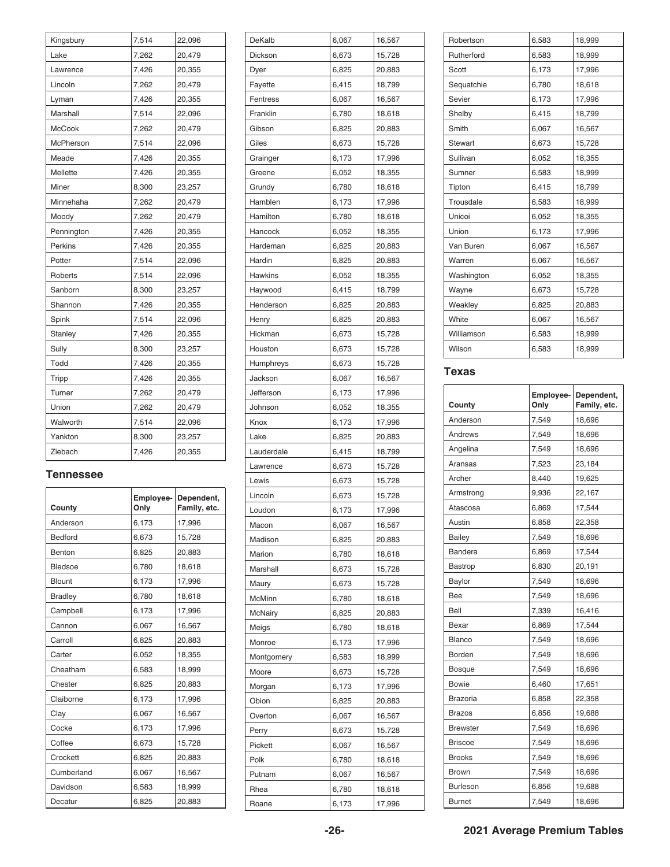| Kingsbury     | 7,514 | 22,096 |
|---------------|-------|--------|
| Lake          | 7,262 | 20,479 |
| Lawrence      | 7,426 | 20,355 |
| Lincoln       | 7,262 | 20,479 |
| Lyman         | 7,426 | 20,355 |
| Marshall      | 7,514 | 22,096 |
| <b>McCook</b> | 7,262 | 20,479 |
| McPherson     | 7,514 | 22,096 |
| Meade         | 7,426 | 20,355 |
| Mellette      | 7,426 | 20,355 |
| Miner         | 8,300 | 23,257 |
| Minnehaha     | 7,262 | 20,479 |
| Moody         | 7,262 | 20,479 |
| Pennington    | 7,426 | 20,355 |
| Perkins       | 7,426 | 20,355 |
| Potter        | 7,514 | 22,096 |
| Roberts       | 7,514 | 22,096 |
| Sanborn       | 8,300 | 23,257 |
| Shannon       | 7,426 | 20,355 |
| Spink         | 7,514 | 22,096 |
| Stanley       | 7,426 | 20,355 |
| Sully         | 8,300 | 23,257 |
| Todd          | 7,426 | 20,355 |
| Tripp         | 7,426 | 20,355 |
| Turner        | 7,262 | 20,479 |
| Union         | 7,262 | 20,479 |
| Walworth      | 7,514 | 22,096 |
| Yankton       | 8,300 | 23,257 |
| Ziebach       | 7,426 | 20,355 |

#### **Tennessee**

| County         | Employee-<br>Only | Dependent,<br>Family, etc. |
|----------------|-------------------|----------------------------|
| Anderson       | 6,173             | 17,996                     |
| Bedford        | 6,673             | 15,728                     |
| Benton         | 6,825             | 20,883                     |
| <b>Bledsoe</b> | 6,780             | 18,618                     |
| <b>Blount</b>  | 6,173             | 17,996                     |
| <b>Bradley</b> | 6,780             | 18,618                     |
| Campbell       | 6,173             | 17,996                     |
| Cannon         | 6,067             | 16,567                     |
| Carroll        | 6,825             | 20,883                     |
| Carter         | 6,052             | 18,355                     |
| Cheatham       | 6,583             | 18,999                     |
| Chester        | 6,825             | 20,883                     |
| Claiborne      | 6,173             | 17,996                     |
| Clay           | 6,067             | 16,567                     |
| Cocke          | 6,173             | 17,996                     |
| Coffee         | 6,673             | 15,728                     |
| Crockett       | 6,825             | 20,883                     |
| Cumberland     | 6,067             | 16,567                     |
| Davidson       | 6,583             | 18,999                     |
| Decatur        | 6,825             | 20,883                     |

| DeKalb     | 6,067 | 16,567 |
|------------|-------|--------|
| Dickson    | 6,673 | 15,728 |
| Dyer       | 6,825 | 20,883 |
| Fayette    | 6,415 | 18,799 |
| Fentress   | 6,067 | 16,567 |
| Franklin   | 6,780 | 18,618 |
| Gibson     | 6,825 | 20,883 |
| Giles      | 6,673 | 15,728 |
| Grainger   | 6,173 | 17,996 |
| Greene     | 6,052 | 18,355 |
| Grundy     | 6,780 | 18,618 |
| Hamblen    | 6,173 | 17,996 |
| Hamilton   | 6,780 | 18,618 |
| Hancock    | 6,052 | 18,355 |
| Hardeman   | 6,825 | 20,883 |
| Hardin     | 6,825 | 20,883 |
| Hawkins    | 6,052 | 18,355 |
| Haywood    | 6,415 | 18,799 |
| Henderson  | 6,825 | 20,883 |
|            |       |        |
| Henry      | 6,825 | 20,883 |
| Hickman    | 6,673 | 15,728 |
| Houston    | 6,673 | 15,728 |
| Humphreys  | 6,673 | 15,728 |
| Jackson    | 6,067 | 16,567 |
| Jefferson  | 6,173 | 17,996 |
| Johnson    | 6,052 | 18,355 |
| Knox       | 6,173 | 17,996 |
| Lake       | 6,825 | 20,883 |
| Lauderdale | 6,415 | 18,799 |
| Lawrence   | 6,673 | 15,728 |
| Lewis      | 6,673 | 15,728 |
| Lincoln    | 6,673 | 15,728 |
| Loudon     | 6,173 | 17,996 |
| Macon      | 6,067 | 16,567 |
| Madison    | 6,825 | 20,883 |
| Marion     | 6,780 | 18,618 |
| Marshall   | 6,673 | 15,728 |
| Maury      | 6,673 | 15,728 |
| McMinn     | 6,780 | 18,618 |
| McNairy    | 6,825 | 20,883 |
| Meigs      | 6,780 | 18,618 |
| Monroe     | 6,173 | 17,996 |
| Montgomery | 6,583 | 18,999 |
| Moore      | 6,673 | 15,728 |
| Morgan     | 6,173 | 17,996 |
| Obion      | 6,825 | 20,883 |
| Overton    | 6,067 | 16,567 |
| Perry      | 6,673 | 15,728 |
| Pickett    | 6,067 | 16,567 |
| Polk       | 6,780 | 18,618 |
| Putnam     | 6,067 | 16,567 |
| Rhea       | 6,780 | 18,618 |
| Roane      | 6,173 | 17,996 |
|            |       |        |

| Robertson      | 6,583 | 18,999 |
|----------------|-------|--------|
| Rutherford     | 6,583 | 18,999 |
| Scott          | 6,173 | 17,996 |
| Sequatchie     | 6,780 | 18,618 |
| Sevier         | 6,173 | 17,996 |
| Shelby         | 6,415 | 18,799 |
| Smith          | 6,067 | 16,567 |
| <b>Stewart</b> | 6,673 | 15,728 |
| Sullivan       | 6,052 | 18,355 |
| Sumner         | 6,583 | 18,999 |
| Tipton         | 6,415 | 18,799 |
| Trousdale      | 6,583 | 18,999 |
| Unicoi         | 6,052 | 18,355 |
| Union          | 6,173 | 17,996 |
| Van Buren      | 6,067 | 16,567 |
| Warren         | 6,067 | 16,567 |
| Washington     | 6,052 | 18,355 |
| Wayne          | 6,673 | 15,728 |
| Weakley        | 6,825 | 20,883 |
| White          | 6,067 | 16,567 |
| Williamson     | 6,583 | 18,999 |
| Wilson         | 6,583 | 18,999 |
|                |       |        |

#### **Texas**

| County          | Employee-<br>Only | Dependent,<br>Family, etc. |
|-----------------|-------------------|----------------------------|
| Anderson        | 7,549             | 18,696                     |
| Andrews         | 7,549             | 18,696                     |
| Angelina        | 7,549             | 18,696                     |
| Aransas         | 7,523             | 23,184                     |
| Archer          | 8,440             | 19,625                     |
| Armstrong       | 9,936             | 22,167                     |
| Atascosa        | 6,869             | 17,544                     |
| Austin          | 6,858             | 22,358                     |
| Bailey          | 7,549             | 18,696                     |
| Bandera         | 6,869             | 17,544                     |
| Bastrop         | 6,830             | 20,191                     |
| Baylor          | 7,549             | 18,696                     |
| Bee             | 7,549             | 18,696                     |
| Bell            | 7,339             | 16,416                     |
| Bexar           | 6,869             | 17,544                     |
| Blanco          | 7,549             | 18,696                     |
| <b>Borden</b>   | 7,549             | 18,696                     |
| <b>Bosque</b>   | 7,549             | 18,696                     |
| <b>Bowie</b>    | 6,460             | 17,651                     |
| <b>Brazoria</b> | 6,858             | 22,358                     |
| <b>Brazos</b>   | 6,856             | 19,688                     |
| <b>Brewster</b> | 7,549             | 18,696                     |
| <b>Briscoe</b>  | 7,549             | 18,696                     |
| <b>Brooks</b>   | 7,549             | 18,696                     |
| <b>Brown</b>    | 7,549             | 18,696                     |
| Burleson        | 6,856             | 19,688                     |
| <b>Burnet</b>   | 7,549             | 18,696                     |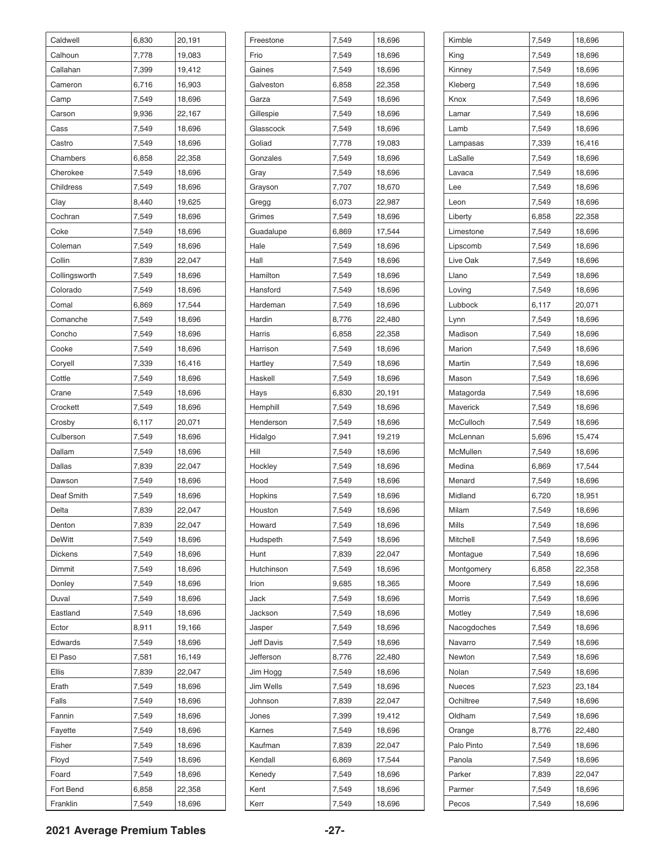| Caldwell      | 6,830 | 20,191 |
|---------------|-------|--------|
| Calhoun       | 7,778 | 19,083 |
| Callahan      | 7,399 | 19,412 |
| Cameron       | 6,716 | 16,903 |
| Camp          | 7,549 | 18,696 |
| Carson        | 9,936 | 22,167 |
| Cass          | 7,549 | 18,696 |
| Castro        | 7,549 | 18,696 |
| Chambers      | 6,858 | 22,358 |
| Cherokee      | 7,549 | 18,696 |
| Childress     | 7,549 | 18,696 |
| Clay          | 8,440 | 19,625 |
| Cochran       | 7,549 | 18,696 |
| Coke          | 7,549 | 18,696 |
| Coleman       | 7,549 | 18,696 |
| Collin        | 7,839 | 22,047 |
| Collingsworth | 7,549 | 18,696 |
| Colorado      | 7,549 | 18,696 |
| Comal         | 6,869 | 17,544 |
| Comanche      | 7,549 | 18,696 |
| Concho        | 7,549 | 18,696 |
| Cooke         | 7,549 | 18,696 |
| Coryell       | 7,339 | 16,416 |
| Cottle        | 7,549 | 18,696 |
| Crane         | 7,549 | 18,696 |
| Crockett      | 7,549 | 18,696 |
| Crosby        | 6,117 | 20,071 |
| Culberson     | 7,549 | 18,696 |
| Dallam        | 7,549 | 18,696 |
| Dallas        | 7,839 | 22,047 |
| Dawson        | 7,549 | 18,696 |
| Deaf Smith    | 7,549 | 18,696 |
| Delta         | 7,839 | 22,047 |
|               | 7,839 | 22,047 |
| Denton        |       |        |
| DeWitt        | 7,549 | 18,696 |
| Dickens       | 7,549 | 18,696 |
| Dimmit        | 7,549 | 18,696 |
| Donley        | 7,549 | 18,696 |
| Duval         | 7,549 | 18,696 |
| Eastland      | 7,549 | 18,696 |
| Ector         | 8,911 | 19,166 |
| Edwards       | 7,549 | 18,696 |
| El Paso       | 7,581 | 16,149 |
| Ellis         | 7,839 | 22,047 |
| Erath         | 7,549 | 18,696 |
| Falls         | 7,549 | 18,696 |
| Fannin        | 7,549 | 18,696 |
| Fayette       | 7,549 | 18,696 |
| Fisher        | 7,549 | 18,696 |
| Floyd         | 7,549 | 18,696 |
| Foard         | 7,549 | 18,696 |
| Fort Bend     | 6,858 | 22,358 |
| Franklin      | 7,549 | 18,696 |

| Freestone         | 7,549 | 18,696 |
|-------------------|-------|--------|
| Frio              | 7,549 | 18,696 |
| Gaines            | 7,549 | 18,696 |
| Galveston         | 6,858 | 22,358 |
| Garza             | 7,549 | 18,696 |
| Gillespie         | 7,549 | 18,696 |
| Glasscock         | 7,549 | 18,696 |
| Goliad            | 7,778 | 19,083 |
| Gonzales          | 7,549 | 18,696 |
| Gray              | 7,549 | 18,696 |
| Grayson           | 7,707 | 18,670 |
| Gregg             | 6,073 | 22,987 |
| Grimes            | 7,549 | 18,696 |
| Guadalupe         | 6,869 | 17,544 |
| Hale              | 7,549 | 18,696 |
| Hall              | 7,549 | 18,696 |
| Hamilton          | 7,549 | 18,696 |
| Hansford          | 7,549 | 18,696 |
| Hardeman          | 7,549 | 18,696 |
| Hardin            | 8,776 | 22,480 |
| Harris            | 6,858 | 22,358 |
| Harrison          | 7,549 | 18,696 |
| Hartley           | 7,549 | 18,696 |
| Haskell           | 7,549 | 18,696 |
| Hays              | 6,830 | 20,191 |
| Hemphill          | 7,549 | 18,696 |
| Henderson         | 7,549 | 18,696 |
| Hidalgo           | 7,941 | 19,219 |
| Hill              | 7,549 | 18,696 |
| Hockley           | 7,549 | 18,696 |
| Hood              | 7,549 | 18,696 |
| Hopkins           | 7,549 | 18,696 |
| Houston           | 7,549 | 18,696 |
| Howard            | 7,549 | 18,696 |
| Hudspeth          | 7,549 | 18,696 |
| Hunt              | 7,839 | 22,047 |
| Hutchinson        | 7,549 | 18,696 |
| Irion             | 9,685 | 18,365 |
| Jack              | 7,549 | 18,696 |
| Jackson           | 7,549 | 18,696 |
| Jasper            | 7,549 | 18,696 |
| <b>Jeff Davis</b> | 7,549 | 18,696 |
| Jefferson         | 8,776 | 22,480 |
| Jim Hogg          | 7,549 | 18,696 |
| Jim Wells         | 7,549 | 18,696 |
| Johnson           | 7,839 | 22,047 |
| Jones             | 7,399 | 19,412 |
| Karnes            | 7,549 | 18,696 |
| Kaufman           | 7,839 | 22,047 |
| Kendall           | 6,869 | 17,544 |
| Kenedy            | 7,549 | 18,696 |
| Kent              | 7,549 | 18,696 |
| Kerr              | 7,549 | 18,696 |

| Kimble            | 7,549 | 18,696           |
|-------------------|-------|------------------|
| King              | 7,549 | 18,696           |
| Kinney            | 7,549 | 18,696           |
| Kleberg           | 7,549 | 18,696           |
| Knox              | 7,549 | 18,696           |
| Lamar             | 7,549 | 18,696           |
| Lamb              | 7,549 | 18,696           |
| Lampasas          | 7,339 | 16,416           |
| LaSalle           | 7,549 | 18,696           |
| Lavaca            | 7,549 | 18,696           |
| Lee               | 7,549 | 18,696           |
| Leon              | 7,549 | 18,696           |
| Liberty           | 6,858 | 22,358           |
| Limestone         | 7,549 | 18,696           |
| Lipscomb          | 7,549 | 18,696           |
| Live Oak          | 7,549 | 18,696           |
| Llano             | 7,549 | 18,696           |
| Loving            | 7,549 | 18,696           |
| Lubbock           | 6,117 | 20,071           |
| Lynn              | 7,549 | 18,696           |
| Madison           | 7,549 | 18,696           |
| Marion            | 7,549 | 18,696           |
| Martin            | 7,549 | 18,696           |
| Mason             | 7,549 | 18,696           |
| Matagorda         | 7,549 | 18,696           |
| Maverick          | 7,549 | 18,696           |
| McCulloch         | 7,549 | 18,696           |
| McLennan          | 5,696 | 15,474           |
| McMullen          | 7,549 | 18,696           |
| Medina            | 6,869 | 17,544           |
| Menard            | 7,549 | 18,696           |
| Midland           | 6,720 | 18,951           |
| Milam             | 7,549 | 18,696           |
|                   |       |                  |
| Mills<br>Mitchell | 7,549 | 18,696<br>18,696 |
|                   | 7,549 |                  |
| Montague          | 7,549 | 18,696           |
| Montgomery        | 6,858 | 22,358           |
| Moore             | 7,549 | 18,696<br>18,696 |
| Morris            | 7,549 |                  |
| Motley            | 7,549 | 18,696           |
| Nacogdoches       | 7,549 | 18,696           |
| Navarro           | 7,549 | 18,696           |
| Newton            | 7,549 | 18,696           |
| Nolan             | 7,549 | 18,696           |
| Nueces            | 7,523 | 23,184           |
| Ochiltree         | 7,549 | 18,696           |
| Oldham            | 7,549 | 18,696           |
| Orange            | 8,776 | 22,480           |
| Palo Pinto        | 7,549 | 18,696           |
| Panola            | 7,549 | 18,696           |
| Parker            | 7,839 | 22,047           |
| Parmer            | 7,549 | 18,696           |
| Pecos             | 7,549 | 18,696           |

#### **2021 Average Premium Tables -27-**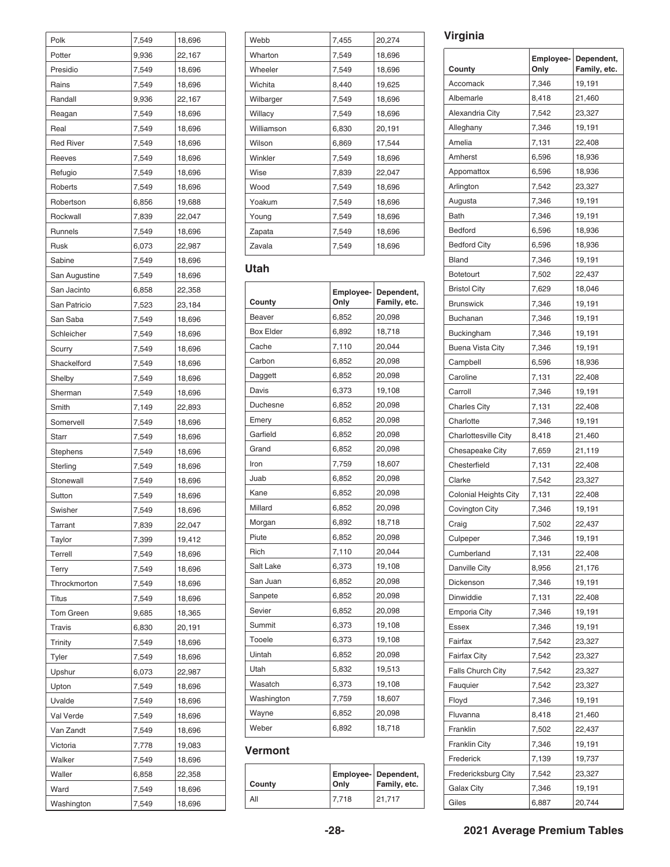| Polk             | 7,549 | 18,696 |
|------------------|-------|--------|
| Potter           | 9,936 | 22,167 |
| Presidio         | 7,549 | 18,696 |
| Rains            | 7,549 | 18,696 |
| Randall          | 9,936 | 22,167 |
| Reagan           | 7,549 | 18,696 |
| Real             | 7,549 | 18,696 |
| <b>Red River</b> | 7,549 | 18,696 |
| Reeves           | 7,549 | 18,696 |
| Refugio          | 7,549 | 18,696 |
| Roberts          | 7,549 | 18,696 |
| Robertson        | 6,856 | 19,688 |
| Rockwall         | 7,839 | 22,047 |
| Runnels          | 7,549 | 18,696 |
| Rusk             | 6,073 | 22,987 |
| Sabine           | 7,549 | 18,696 |
| San Augustine    | 7,549 | 18,696 |
| San Jacinto      | 6,858 | 22,358 |
| San Patricio     | 7,523 | 23,184 |
| San Saba         | 7,549 | 18,696 |
| Schleicher       | 7,549 | 18,696 |
| Scurry           | 7,549 | 18,696 |
| Shackelford      | 7,549 | 18,696 |
| Shelby           | 7,549 | 18,696 |
| Sherman          | 7,549 | 18,696 |
| Smith            | 7,149 | 22,893 |
| Somervell        | 7,549 | 18,696 |
| Starr            | 7,549 | 18,696 |
| Stephens         | 7,549 | 18,696 |
| Sterling         | 7,549 | 18,696 |
| Stonewall        | 7,549 | 18,696 |
| Sutton           | 7,549 | 18,696 |
| Swisher          | 7,549 | 18,696 |
| Tarrant          | 7,839 | 22,047 |
| Taylor           | 7,399 | 19,412 |
|                  |       |        |
| Terrell          | 7,549 | 18,696 |
| Terry            | 7,549 | 18,696 |
| Throckmorton     | 7,549 | 18,696 |
| Titus            | 7,549 | 18,696 |
| Tom Green        | 9,685 | 18,365 |
| Travis           | 6,830 | 20,191 |
| Trinity          | 7,549 | 18,696 |
| Tyler            | 7,549 | 18,696 |
| Upshur           | 6,073 | 22,987 |
| Upton            | 7,549 | 18,696 |
| Uvalde           | 7,549 | 18,696 |
| Val Verde        | 7,549 | 18,696 |
| Van Zandt        | 7,549 | 18,696 |
| Victoria         | 7,778 | 19,083 |
| Walker           | 7,549 | 18,696 |
| Waller           | 6,858 | 22,358 |
| Ward             | 7,549 | 18,696 |
| Washington       | 7,549 | 18,696 |

| Webb       | 7,455 | 20,274 |
|------------|-------|--------|
| Wharton    | 7,549 | 18,696 |
| Wheeler    | 7,549 | 18,696 |
| Wichita    | 8,440 | 19,625 |
| Wilbarger  | 7,549 | 18,696 |
| Willacy    | 7,549 | 18,696 |
| Williamson | 6,830 | 20,191 |
| Wilson     | 6,869 | 17,544 |
| Winkler    | 7,549 | 18,696 |
| Wise       | 7,839 | 22,047 |
| Wood       | 7,549 | 18,696 |
| Yoakum     | 7,549 | 18,696 |
| Young      | 7,549 | 18,696 |
| Zapata     | 7,549 | 18,696 |
| Zavala     | 7,549 | 18,696 |

#### **Utah**

| County           | Employee-<br>Only | Dependent,<br>Family, etc. |
|------------------|-------------------|----------------------------|
| Beaver           | 6,852             | 20,098                     |
| <b>Box Elder</b> | 6,892             | 18,718                     |
| Cache            | 7,110             | 20,044                     |
| Carbon           | 6,852             | 20,098                     |
| Daggett          | 6,852             | 20,098                     |
| Davis            | 6,373             | 19,108                     |
| Duchesne         | 6,852             | 20,098                     |
| Emery            | 6,852             | 20,098                     |
| Garfield         | 6,852             | 20,098                     |
| Grand            | 6,852             | 20,098                     |
| Iron             | 7,759             | 18,607                     |
| Juab             | 6,852             | 20,098                     |
| Kane             | 6,852             | 20,098                     |
| Millard          | 6,852             | 20,098                     |
| Morgan           | 6,892             | 18,718                     |
| Piute            | 6,852             | 20,098                     |
| Rich             | 7,110             | 20,044                     |
| Salt Lake        | 6,373             | 19,108                     |
| San Juan         | 6,852             | 20,098                     |
| Sanpete          | 6,852             | 20,098                     |
| Sevier           | 6,852             | 20,098                     |
| Summit           | 6,373             | 19,108                     |
| Tooele           | 6,373             | 19,108                     |
| Uintah           | 6,852             | 20,098                     |
| Utah             | 5,832             | 19,513                     |
| Wasatch          | 6,373             | 19,108                     |
| Washington       | 7,759             | 18,607                     |
| Wayne            | 6,852             | 20,098                     |
| Weber            | 6,892             | 18,718                     |

#### **Vermont**

| County | Only  | <b>Employee- Dependent,</b><br>Family, etc. |
|--------|-------|---------------------------------------------|
| All    | 7.718 | 21.717                                      |

#### **Virginia**

| County                       | <b>Employee-</b><br>Only | Dependent,<br>Family, etc. |
|------------------------------|--------------------------|----------------------------|
| Accomack                     | 7,346                    | 19,191                     |
| Albemarle                    | 8,418                    | 21,460                     |
| Alexandria City              | 7,542                    | 23,327                     |
| Alleghany                    | 7,346                    | 19,191                     |
| Amelia                       | 7,131                    | 22,408                     |
| Amherst                      | 6,596                    | 18,936                     |
|                              |                          |                            |
| Appomattox                   | 6,596                    | 18,936                     |
| Arlington                    | 7,542                    | 23,327                     |
| Augusta                      | 7,346                    | 19,191                     |
| Bath                         | 7,346                    | 19,191                     |
| Bedford                      | 6,596                    | 18,936                     |
| <b>Bedford City</b>          | 6,596                    | 18,936                     |
| Bland                        | 7,346                    | 19,191                     |
| <b>Botetourt</b>             | 7,502                    | 22,437                     |
| <b>Bristol City</b>          | 7,629                    | 18,046                     |
| <b>Brunswick</b>             | 7,346                    | 19,191                     |
| Buchanan                     | 7,346                    | 19,191                     |
| Buckingham                   | 7,346                    | 19,191                     |
| <b>Buena Vista City</b>      | 7,346                    | 19,191                     |
| Campbell                     | 6,596                    | 18,936                     |
| Caroline                     | 7,131                    | 22,408                     |
| Carroll                      | 7,346                    | 19,191                     |
| <b>Charles City</b>          | 7,131                    | 22,408                     |
| Charlotte                    | 7,346                    | 19,191                     |
| <b>Charlottesville City</b>  | 8,418                    | 21,460                     |
| Chesapeake City              | 7,659                    | 21,119                     |
| Chesterfield                 | 7,131                    | 22,408                     |
| Clarke                       | 7,542                    | 23,327                     |
| <b>Colonial Heights City</b> | 7,131                    | 22,408                     |
| Covington City               | 7,346                    | 19,191                     |
| Craig                        | 7,502                    | 22,437                     |
| Culpeper                     | 7,346                    | 19,191                     |
| Cumberland                   | 7,131                    | 22,408                     |
| Danville City                | 8,956                    | 21,176                     |
| Dickenson                    | 7,346                    | 19,191                     |
| Dinwiddie                    | 7,131                    | 22,408                     |
| <b>Emporia City</b>          | 7,346                    | 19,191                     |
| <b>Essex</b>                 | 7,346                    | 19,191                     |
| Fairfax                      | 7,542                    | 23,327                     |
| Fairfax City                 | 7,542                    | 23,327                     |
| <b>Falls Church City</b>     | 7,542                    | 23,327                     |
| Fauquier                     | 7,542                    | 23,327                     |
| Floyd                        | 7,346                    | 19,191                     |
| Fluvanna                     | 8,418                    | 21,460                     |
| Franklin                     | 7,502                    | 22,437                     |
| <b>Franklin City</b>         | 7,346                    | 19,191                     |
| Frederick                    | 7,139                    | 19,737                     |
| Fredericksburg City          | 7,542                    | 23,327                     |
| Galax City                   | 7,346                    | 19,191                     |
|                              |                          |                            |
| Giles                        | 6,887                    | 20,744                     |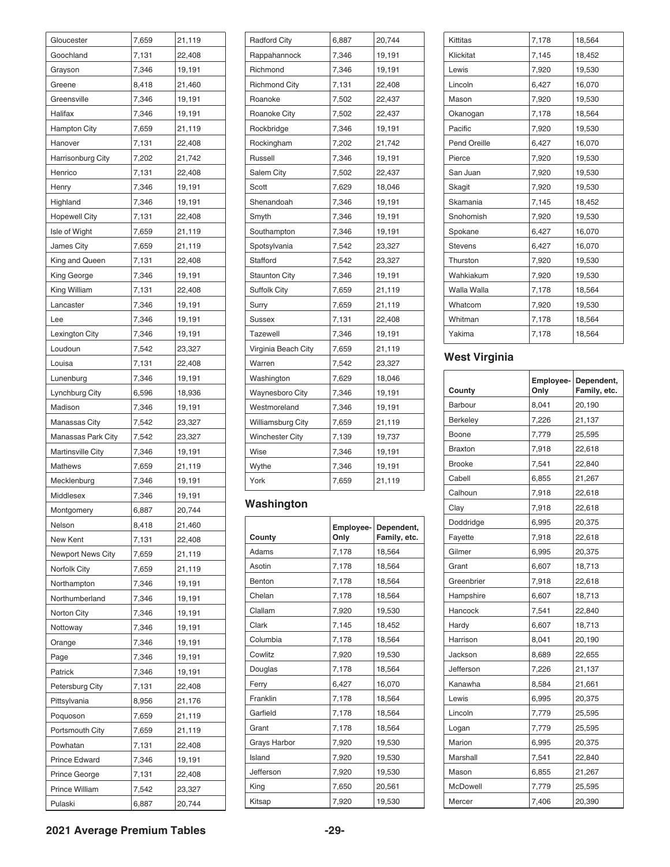| Gloucester               | 7,659          | 21,119 |
|--------------------------|----------------|--------|
| Goochland                | 7,131          | 22,408 |
| Grayson                  | 7,346          | 19,191 |
| Greene                   | 8,418          | 21,460 |
| Greensville              | 7,346          | 19,191 |
| Halifax                  | 7,346          | 19,191 |
| <b>Hampton City</b>      | 7,659          | 21,119 |
| Hanover                  | 7,131          | 22,408 |
| Harrisonburg City        | 7,202          | 21,742 |
| Henrico                  | 7,131          | 22,408 |
| Henry                    | 7,346          | 19,191 |
| Highland                 | 7,346          | 19,191 |
| <b>Hopewell City</b>     | 7,131          | 22,408 |
| Isle of Wight            | 7,659          | 21,119 |
| <b>James City</b>        | 7,659          | 21,119 |
| King and Queen           | 7,131          | 22,408 |
| King George              | 7,346          | 19,191 |
| King William             | 7,131          | 22,408 |
| Lancaster                | 7,346          | 19,191 |
| Lee                      | 7,346          | 19,191 |
| Lexington City           | 7,346          | 19,191 |
| Loudoun                  | 7,542          | 23,327 |
| Louisa                   | 7,131          | 22,408 |
| Lunenburg                | 7,346          | 19,191 |
| Lynchburg City           | 6,596          | 18,936 |
| Madison                  | 7,346          | 19,191 |
| Manassas City            | 7,542          | 23,327 |
| Manassas Park City       | 7,542          | 23,327 |
| <b>Martinsville City</b> | 7,346          | 19,191 |
| <b>Mathews</b>           | 7,659          | 21,119 |
| Mecklenburg              | 7,346          | 19,191 |
| Middlesex                | 7,346          | 19,191 |
|                          | 6,887          | 20,744 |
| Montgomery<br>Nelson     | 8,418          | 21,460 |
| New Kent                 | 7,131          | 22,408 |
|                          |                |        |
| <b>Newport News City</b> | 7,659          | 21,119 |
| Norfolk City             | 7,659<br>7,346 | 21,119 |
| Northampton              |                | 19,191 |
| Northumberland           | 7,346          | 19,191 |
| Norton City              | 7,346          | 19,191 |
| Nottoway                 | 7,346          | 19,191 |
| Orange                   | 7,346          | 19,191 |
| Page                     | 7,346          | 19,191 |
| Patrick                  | 7,346          | 19,191 |
| Petersburg City          | 7,131          | 22,408 |
| Pittsylvania             | 8,956          | 21,176 |
| Poquoson                 | 7,659          | 21,119 |
| Portsmouth City          | 7,659          | 21,119 |
| Powhatan                 | 7,131          | 22,408 |
| Prince Edward            | 7,346          | 19,191 |
| Prince George            | 7,131          | 22,408 |
| Prince William           | 7,542          | 23,327 |
| Pulaski                  | 6,887          | 20,744 |

| <b>Radford City</b>    | 6,887 | 20,744 |
|------------------------|-------|--------|
| Rappahannock           | 7,346 | 19,191 |
| Richmond               | 7,346 | 19,191 |
| <b>Richmond City</b>   | 7,131 | 22,408 |
| Roanoke                | 7,502 | 22,437 |
| <b>Roanoke City</b>    | 7,502 | 22,437 |
| Rockbridge             | 7,346 | 19,191 |
| Rockingham             | 7,202 | 21,742 |
| Russell                | 7,346 | 19,191 |
| Salem City             | 7,502 | 22,437 |
| Scott                  | 7,629 | 18,046 |
| Shenandoah             | 7,346 | 19,191 |
| Smyth                  | 7,346 | 19,191 |
| Southampton            | 7,346 | 19,191 |
| Spotsylvania           | 7,542 | 23,327 |
| Stafford               | 7,542 | 23,327 |
| <b>Staunton City</b>   | 7,346 | 19,191 |
| <b>Suffolk City</b>    | 7,659 | 21,119 |
| Surry                  | 7,659 | 21,119 |
| <b>Sussex</b>          | 7,131 | 22,408 |
| <b>Tazewell</b>        | 7,346 | 19,191 |
| Virginia Beach City    | 7,659 | 21,119 |
| Warren                 | 7,542 | 23,327 |
| Washington             | 7,629 | 18,046 |
| <b>Waynesboro City</b> | 7,346 | 19,191 |
| Westmoreland           | 7,346 | 19,191 |
| Williamsburg City      | 7,659 | 21,119 |
| Winchester City        | 7,139 | 19,737 |
| Wise                   | 7,346 | 19,191 |
| Wythe                  | 7,346 | 19,191 |
| York                   | 7,659 | 21,119 |

### **Washington**

| County       | Employee-<br>Only | Dependent,<br>Family, etc. |
|--------------|-------------------|----------------------------|
| Adams        | 7,178             | 18,564                     |
| Asotin       | 7,178             | 18,564                     |
| Benton       | 7,178             | 18,564                     |
| Chelan       | 7,178             | 18,564                     |
| Clallam      | 7,920             | 19,530                     |
| Clark        | 7,145             | 18,452                     |
| Columbia     | 7.178             | 18,564                     |
| Cowlitz      | 7,920             | 19,530                     |
| Douglas      | 7,178             | 18,564                     |
| Ferry        | 6,427             | 16,070                     |
| Franklin     | 7,178             | 18,564                     |
| Garfield     | 7,178             | 18,564                     |
| Grant        | 7,178             | 18,564                     |
| Grays Harbor | 7,920             | 19,530                     |
| Island       | 7,920             | 19,530                     |
| Jefferson    | 7,920             | 19,530                     |
| King         | 7,650             | 20,561                     |
| Kitsap       | 7,920             | 19,530                     |

| Kittitas            | 7,178 | 18,564 |
|---------------------|-------|--------|
| Klickitat           | 7,145 | 18,452 |
| Lewis               | 7,920 | 19,530 |
| Lincoln             | 6,427 | 16,070 |
| Mason               | 7,920 | 19,530 |
| Okanogan            | 7,178 | 18,564 |
| Pacific             | 7,920 | 19,530 |
| <b>Pend Oreille</b> | 6,427 | 16,070 |
| Pierce              | 7,920 | 19,530 |
| San Juan            | 7,920 | 19,530 |
| Skagit              | 7,920 | 19,530 |
| Skamania            | 7,145 | 18,452 |
| Snohomish           | 7,920 | 19,530 |
| Spokane             | 6,427 | 16,070 |
| <b>Stevens</b>      | 6,427 | 16,070 |
| Thurston            | 7,920 | 19,530 |
| Wahkiakum           | 7,920 | 19,530 |
| Walla Walla         | 7,178 | 18,564 |
| Whatcom             | 7,920 | 19,530 |
| Whitman             | 7,178 | 18,564 |
| Yakima              | 7,178 | 18,564 |
|                     |       |        |

### **West Virginia**

| County          | Employee-<br>Only | Dependent,<br>Family, etc. |
|-----------------|-------------------|----------------------------|
| <b>Barbour</b>  | 8,041             | 20,190                     |
| Berkeley        | 7,226             | 21,137                     |
| Boone           | 7,779             | 25,595                     |
| <b>Braxton</b>  | 7,918             | 22,618                     |
| <b>Brooke</b>   | 7,541             | 22,840                     |
| Cabell          | 6,855             | 21,267                     |
| Calhoun         | 7,918             | 22,618                     |
| Clay            | 7,918             | 22,618                     |
| Doddridge       | 6,995             | 20,375                     |
| Fayette         | 7,918             | 22,618                     |
| Gilmer          | 6,995             | 20,375                     |
| Grant           | 6,607             | 18,713                     |
| Greenbrier      | 7,918             | 22,618                     |
| Hampshire       | 6,607             | 18,713                     |
| Hancock         | 7,541             | 22,840                     |
| Hardy           | 6,607             | 18,713                     |
| Harrison        | 8,041             | 20,190                     |
| Jackson         | 8,689             | 22,655                     |
| Jefferson       | 7,226             | 21,137                     |
| Kanawha         | 8,584             | 21,661                     |
| Lewis           | 6,995             | 20,375                     |
| Lincoln         | 7,779             | 25,595                     |
| Logan           | 7,779             | 25,595                     |
| Marion          | 6,995             | 20,375                     |
| Marshall        | 7,541             | 22,840                     |
| Mason           | 6,855             | 21,267                     |
| <b>McDowell</b> | 7,779             | 25,595                     |
| Mercer          | 7,406             | 20,390                     |

#### **2021 Average Premium Tables -29-**